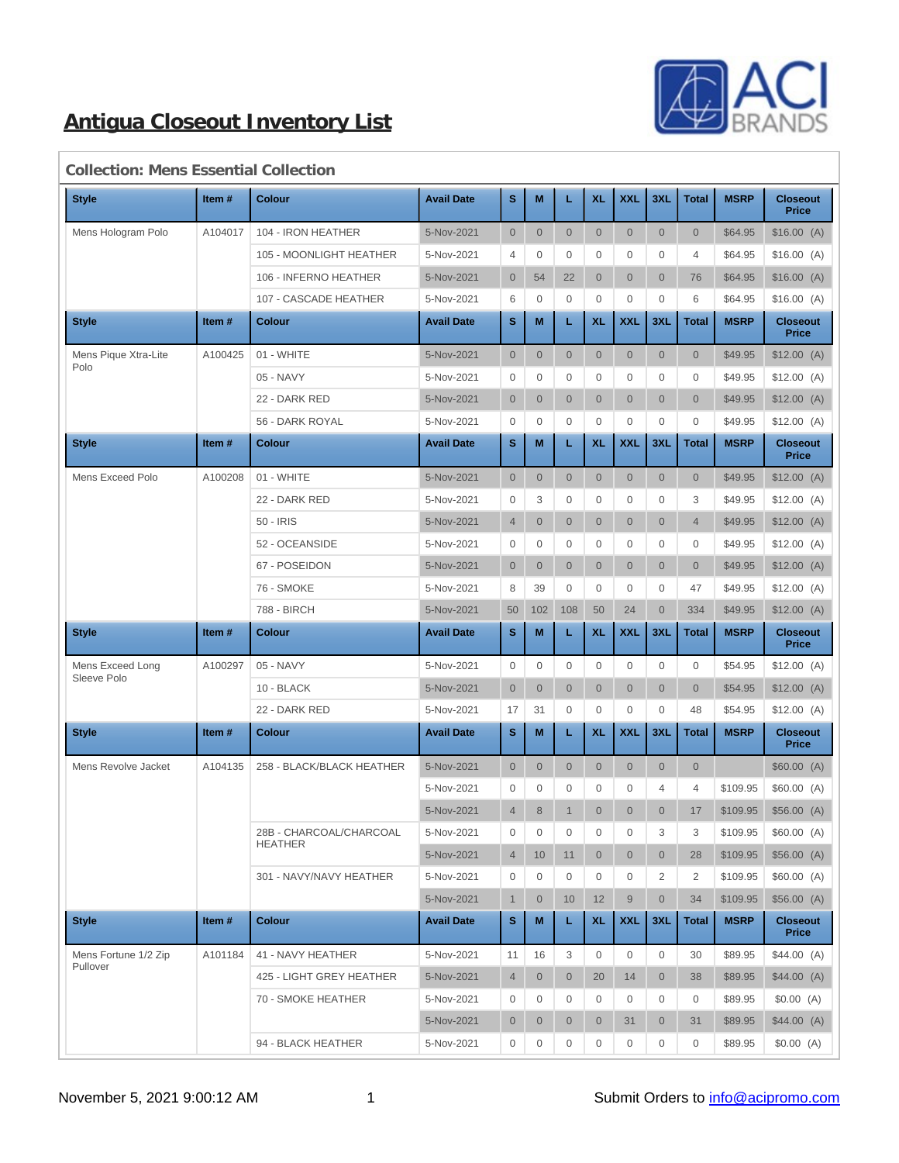

| <b>Style</b>         | Item#   | <b>Colour</b>             | <b>Avail Date</b> | s              | M              | L                | <b>XL</b>      | <b>XXL</b>     | 3XL            | <b>Total</b>   | <b>MSRP</b> | <b>Closeout</b><br><b>Price</b> |
|----------------------|---------|---------------------------|-------------------|----------------|----------------|------------------|----------------|----------------|----------------|----------------|-------------|---------------------------------|
| Mens Hologram Polo   | A104017 | 104 - IRON HEATHER        | 5-Nov-2021        | $\overline{0}$ | $\overline{0}$ | $\mathbf{0}$     | $\overline{0}$ | $\overline{0}$ | $\overline{0}$ | $\overline{0}$ | \$64.95     | \$16.00(A)                      |
|                      |         | 105 - MOONLIGHT HEATHER   | 5-Nov-2021        | 4              | $\mathbf{0}$   | $\mathbf{0}$     | 0              | 0              | $\mathbf 0$    | 4              | \$64.95     | \$16.00(A)                      |
|                      |         | 106 - INFERNO HEATHER     | 5-Nov-2021        | $\overline{0}$ | 54             | 22               | $\overline{0}$ | $\overline{0}$ | $\overline{0}$ | 76             | \$64.95     | \$16.00(A)                      |
|                      |         | 107 - CASCADE HEATHER     | 5-Nov-2021        | 6              | $\mathbf{0}$   | $\mathbf{0}$     | 0              | 0              | 0              | 6              | \$64.95     | \$16.00(A)                      |
| <b>Style</b>         | Item#   | Colour                    | <b>Avail Date</b> | s              | M              | L                | <b>XL</b>      | <b>XXL</b>     | 3XL            | <b>Total</b>   | <b>MSRP</b> | <b>Closeout</b><br><b>Price</b> |
| Mens Pique Xtra-Lite | A100425 | 01 - WHITE                | 5-Nov-2021        | $\overline{0}$ | $\mathbf{0}$   | $\mathbf{0}$     | $\overline{0}$ | $\overline{0}$ | $\overline{0}$ | $\overline{0}$ | \$49.95     | $$12.00$ (A)                    |
| Polo                 |         | 05 - NAVY                 | 5-Nov-2021        | $\mathbf 0$    | 0              | $\mathbf{0}$     | 0              | 0              | 0              | $\mathbf 0$    | \$49.95     | \$12.00(A)                      |
|                      |         | 22 - DARK RED             | 5-Nov-2021        | $\overline{0}$ | $\overline{0}$ | $\mathbf{0}$     | $\overline{0}$ | $\overline{0}$ | $\overline{0}$ | $\overline{0}$ | \$49.95     | $$12.00$ (A)                    |
|                      |         | 56 - DARK ROYAL           | 5-Nov-2021        | 0              | $\mathbf{0}$   | $\mathbf{0}$     | 0              | 0              | $\mathbf{0}$   | $\mathbf{0}$   | \$49.95     | \$12.00(A)                      |
| <b>Style</b>         | Item#   | Colour                    | <b>Avail Date</b> | s              | M              | L                | <b>XL</b>      | <b>XXL</b>     | 3XL            | <b>Total</b>   | <b>MSRP</b> | <b>Closeout</b><br><b>Price</b> |
| Mens Exceed Polo     | A100208 | 01 - WHITE                | 5-Nov-2021        | $\overline{0}$ | $\mathbf{0}$   | $\mathbf 0$      | $\overline{0}$ | $\mathbf 0$    | $\mathbf{0}$   | $\overline{0}$ | \$49.95     | \$12.00(A)                      |
|                      |         | 22 - DARK RED             | 5-Nov-2021        | 0              | 3              | $\mathbf 0$      | 0              | 0              | $\mathbf{0}$   | 3              | \$49.95     | \$12.00(A)                      |
|                      |         | 50 - IRIS                 | 5-Nov-2021        | $\overline{4}$ | $\overline{0}$ | $\mathbf{0}$     | $\overline{0}$ | $\overline{0}$ | $\overline{0}$ | $\overline{4}$ | \$49.95     | \$12.00(A)                      |
|                      |         | 52 - OCEANSIDE            | 5-Nov-2021        | 0              | $\mathbf{0}$   | $\mathbf{0}$     | 0              | 0              | $\mathbf{0}$   | $\mathbf{0}$   | \$49.95     | \$12.00(A)                      |
|                      |         | 67 - POSEIDON             | 5-Nov-2021        | $\overline{0}$ | $\overline{0}$ | $\mathbf{0}$     | $\overline{0}$ | $\overline{0}$ | $\overline{0}$ | $\overline{0}$ | \$49.95     | \$12.00(A)                      |
|                      |         | 76 - SMOKE                | 5-Nov-2021        | 8              | 39             | $\mathbf 0$      | 0              | 0              | $\mathbf 0$    | 47             | \$49.95     | \$12.00(A)                      |
|                      |         | 788 - BIRCH               | 5-Nov-2021        | 50             | 102            | 108              | 50             | 24             | $\mathbf{0}$   | 334            | \$49.95     | \$12.00(A)                      |
| <b>Style</b>         | Item#   | <b>Colour</b>             | <b>Avail Date</b> | s              | M              | L                | <b>XL</b>      | <b>XXL</b>     | 3XL            | <b>Total</b>   | <b>MSRP</b> | <b>Closeout</b><br><b>Price</b> |
| Mens Exceed Long     | A100297 | 05 - NAVY                 | 5-Nov-2021        | 0              | $\mathbf{0}$   | $\mathbf 0$      | $\mathbf 0$    | 0              | 0              | 0              | \$54.95     | \$12.00(A)                      |
| Sleeve Polo          |         |                           |                   |                |                |                  | $\mathbf 0$    | $\overline{0}$ | $\overline{0}$ | $\overline{0}$ | \$54.95     | \$12.00(A)                      |
|                      |         | 10 - BLACK                | 5-Nov-2021        | $\overline{0}$ | $\mathbf{0}$   | $\mathbf{0}$     |                |                |                |                |             |                                 |
|                      |         | 22 - DARK RED             | 5-Nov-2021        | 17             | 31             | $\mathbf{0}$     | 0              | 0              | $\mathbf{0}$   | 48             | \$54.95     | \$12.00(A)                      |
| <b>Style</b>         | Item#   | <b>Colour</b>             | <b>Avail Date</b> | s              | M              | L                | <b>XL</b>      | <b>XXL</b>     | 3XL            | <b>Total</b>   | <b>MSRP</b> | <b>Closeout</b><br><b>Price</b> |
| Mens Revolve Jacket  | A104135 | 258 - BLACK/BLACK HEATHER | 5-Nov-2021        | $\overline{0}$ | $\overline{0}$ | $\mathbf{0}$     | $\overline{0}$ | $\mathbf{0}$   | $\overline{0}$ | $\overline{0}$ |             | \$60.00(A)                      |
|                      |         |                           | 5-Nov-2021        | 0              | $\mathbf{0}$   | $\mathbf{0}$     | 0              | 0              | 4              | 4              | \$109.95    | \$60.00(A)                      |
|                      |         |                           | 5-Nov-2021        | $\overline{4}$ | 8              | $\mathbf{1}$     | $\overline{0}$ | $\overline{0}$ | $\overline{0}$ | 17             | \$109.95    | \$56.00(A)                      |
|                      |         | 28B - CHARCOAL/CHARCOAL   | 5-Nov-2021        | 0              | $\mathbf 0$    | $\boldsymbol{0}$ | 0              | 0              | 3              | 3              | \$109.95    | \$60.00(A)                      |
|                      |         | <b>HEATHER</b>            | 5-Nov-2021        | $\overline{4}$ | 10             | 11               | $\overline{0}$ | 0              | $\overline{0}$ | 28             | \$109.95    | \$56.00(A)                      |
|                      |         | 301 - NAVY/NAVY HEATHER   | 5-Nov-2021        | 0              | 0              | 0                | 0              | 0              | 2              | 2              | \$109.95    | \$60.00(A)                      |
|                      |         |                           | 5-Nov-2021        | $\mathbf{1}$   | $\overline{0}$ | 10               | 12             | 9              | $\overline{0}$ | 34             | \$109.95    | \$56.00(A)                      |
| <b>Style</b>         | Item#   | <b>Colour</b>             | <b>Avail Date</b> | s              | M              | L.               | <b>XL</b>      | <b>XXL</b>     | 3XL            | <b>Total</b>   | <b>MSRP</b> | <b>Closeout</b><br><b>Price</b> |
| Mens Fortune 1/2 Zip | A101184 | 41 - NAVY HEATHER         | 5-Nov-2021        | 11             | 16             | 3                | $\mathbf{0}$   | 0              | 0              | 30             | \$89.95     | \$44.00(A)                      |
| Pullover             |         | 425 - LIGHT GREY HEATHER  | 5-Nov-2021        | $\overline{4}$ | $\overline{0}$ | $\overline{0}$   | 20             | 14             | $\overline{0}$ | 38             | \$89.95     | \$44.00(A)                      |
|                      |         | 70 - SMOKE HEATHER        | 5-Nov-2021        | 0              | 0              | $\mathbf{0}$     | 0              | 0              | 0              | 0              | \$89.95     | \$0.00(A)                       |
|                      |         |                           | 5-Nov-2021        | $\overline{0}$ | $\overline{0}$ | $\overline{0}$   | $\overline{0}$ | 31             | $\overline{0}$ | 31             | \$89.95     | \$44.00(A)                      |

### **Collection: Mens Essential Collection**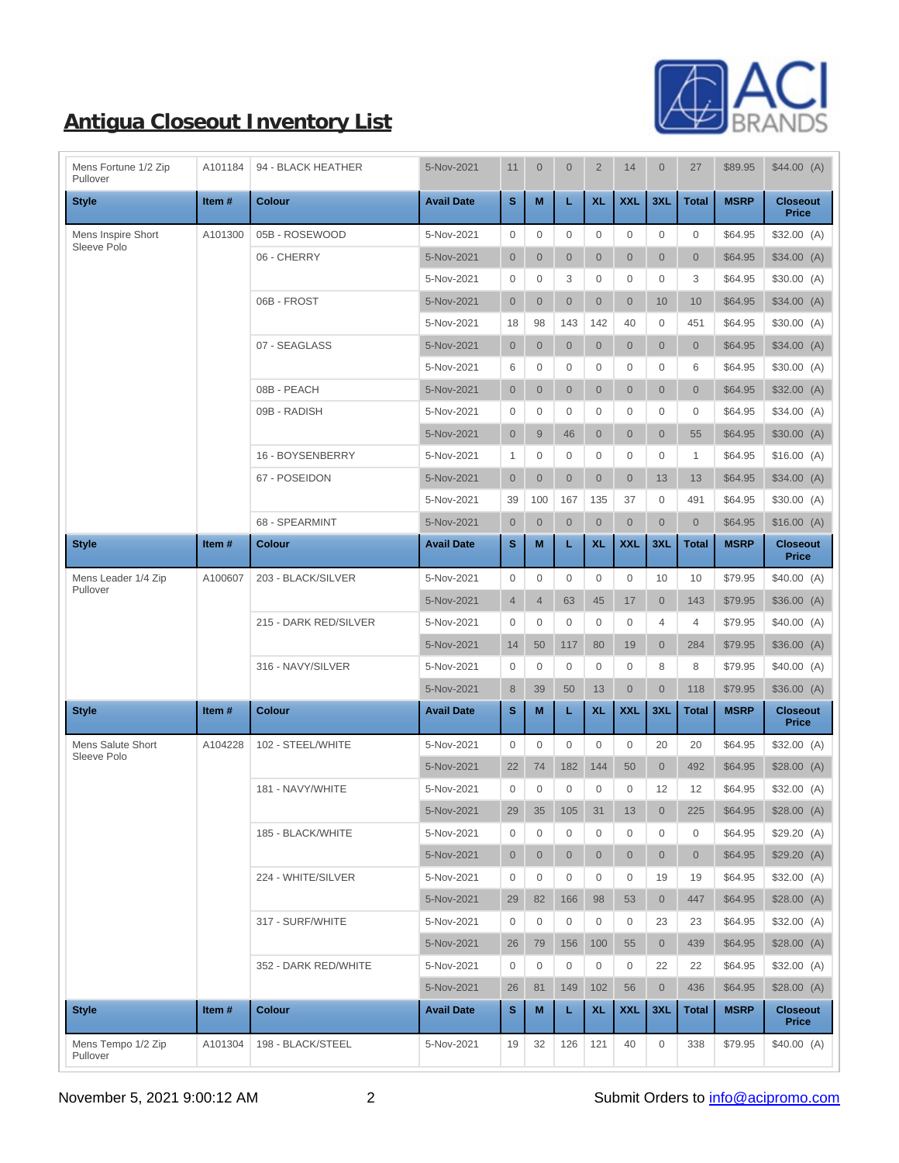

| Mens Fortune 1/2 Zip<br>Pullover | A101184 | 94 - BLACK HEATHER    | 5-Nov-2021        | 11               | $\mathbf{0}$   | $\mathbf{0}$   | $\overline{2}$   | 14           | $\overline{0}$ | 27             | \$89.95     | \$44.00(A)                      |
|----------------------------------|---------|-----------------------|-------------------|------------------|----------------|----------------|------------------|--------------|----------------|----------------|-------------|---------------------------------|
| <b>Style</b>                     | Item#   | <b>Colour</b>         | <b>Avail Date</b> | s                | M              | L              | <b>XL</b>        | <b>XXL</b>   | 3XL            | <b>Total</b>   | <b>MSRP</b> | <b>Closeout</b><br><b>Price</b> |
| Mens Inspire Short               | A101300 | 05B - ROSEWOOD        | 5-Nov-2021        | $\mathbf{0}$     | $\mathbf{0}$   | $\mathbf 0$    | $\mathbf 0$      | $\mathbf 0$  | $\mathbf{0}$   | $\mathbf 0$    | \$64.95     | \$32.00(A)                      |
| Sleeve Polo                      |         | 06 - CHERRY           | 5-Nov-2021        | $\mathbf 0$      | $\mathbf{0}$   | $\overline{0}$ | $\mathbf{0}$     | $\mathbf{0}$ | $\overline{0}$ | $\overline{0}$ | \$64.95     | \$34.00(A)                      |
|                                  |         |                       | 5-Nov-2021        | $\mathbf 0$      | $\mathbf 0$    | 3              | $\mathbf{0}$     | $\mathbf{0}$ | $\mathbf{0}$   | 3              | \$64.95     | \$30.00(A)                      |
|                                  |         | 06B - FROST           | 5-Nov-2021        | $\overline{0}$   | $\mathbf{0}$   | $\overline{0}$ | $\mathbf{0}$     | $\mathbf{0}$ | 10             | 10             | \$64.95     | \$34.00(A)                      |
|                                  |         |                       | 5-Nov-2021        | 18               | 98             | 143            | 142              | 40           | $\mathbf{0}$   | 451            | \$64.95     | \$30.00(A)                      |
|                                  |         | 07 - SEAGLASS         | 5-Nov-2021        | $\overline{0}$   | $\overline{0}$ | $\overline{0}$ | $\overline{0}$   | $\mathbf{0}$ | $\overline{0}$ | $\overline{0}$ | \$64.95     | \$34.00(A)                      |
|                                  |         |                       | 5-Nov-2021        | 6                | 0              | 0              | $\mathbf{0}$     | $\mathbf{0}$ | $\mathbf{0}$   | 6              | \$64.95     | \$30.00(A)                      |
|                                  |         | 08B - PEACH           | 5-Nov-2021        | $\overline{0}$   | $\overline{0}$ | $\overline{0}$ | $\mathbf{0}$     | $\mathbf{0}$ | $\overline{0}$ | $\overline{0}$ | \$64.95     | \$32.00(A)                      |
|                                  |         | 09B - RADISH          | 5-Nov-2021        | $\mathbf 0$      | $\mathbf{0}$   | 0              | $\mathbf{0}$     | $\mathbf{0}$ | $\mathbf{0}$   | 0              | \$64.95     | \$34.00(A)                      |
|                                  |         |                       | 5-Nov-2021        | $\mathbf 0$      | 9              | 46             | $\mathbf{0}$     | $\mathbf{0}$ | $\overline{0}$ | 55             | \$64.95     | \$30.00(A)                      |
|                                  |         | 16 - BOYSENBERRY      | 5-Nov-2021        | 1                | $\mathbf{0}$   | $\mathbf{0}$   | $\mathbf{0}$     | $\mathbf{0}$ | $\mathbf{0}$   | 1              | \$64.95     | \$16.00(A)                      |
|                                  |         | 67 - POSEIDON         | 5-Nov-2021        | $\overline{0}$   | $\mathbf{0}$   | $\overline{0}$ | $\overline{0}$   | $\mathbf{0}$ | 13             | 13             | \$64.95     | \$34.00(A)                      |
|                                  |         |                       | 5-Nov-2021        | 39               | 100            | 167            | 135              | 37           | $\mathbf{0}$   | 491            | \$64.95     | \$30.00(A)                      |
|                                  |         | 68 - SPEARMINT        | 5-Nov-2021        | $\boldsymbol{0}$ | $\mathbf{0}$   | $\overline{0}$ | $\mathbf{0}$     | $\mathbf{0}$ | $\overline{0}$ | $\overline{0}$ | \$64.95     | \$16.00(A)                      |
| <b>Style</b>                     | Item#   | Colour                | <b>Avail Date</b> | s                | M              | L              | <b>XL</b>        | <b>XXL</b>   | 3XL            | <b>Total</b>   | <b>MSRP</b> | <b>Closeout</b><br><b>Price</b> |
| Mens Leader 1/4 Zip<br>Pullover  | A100607 | 203 - BLACK/SILVER    | 5-Nov-2021        | $\overline{0}$   | $\mathbf{0}$   | $\mathbf 0$    | $\boldsymbol{0}$ | $\mathbf 0$  | 10             | 10             | \$79.95     | \$40.00(A)                      |
|                                  |         |                       | 5-Nov-2021        | $\overline{4}$   | $\overline{4}$ | 63             | 45               | 17           | $\overline{0}$ | 143            | \$79.95     | \$36.00(A)                      |
|                                  |         | 215 - DARK RED/SILVER | 5-Nov-2021        | $\overline{0}$   | $\mathbf 0$    | $\mathbf{0}$   | $\mathbf{0}$     | $\mathbf{0}$ | $\overline{4}$ | 4              | \$79.95     | \$40.00(A)                      |
|                                  |         |                       | 5-Nov-2021        | 14               | 50             | 117            | 80               | 19           | $\overline{0}$ | 284            | \$79.95     | \$36.00(A)                      |
|                                  |         | 316 - NAVY/SILVER     | 5-Nov-2021        | $\mathbf{0}$     | $\mathbf{0}$   | $\mathbf{0}$   | 0                | $\mathbf{0}$ | 8              | 8              | \$79.95     | \$40.00(A)                      |
|                                  |         |                       | 5-Nov-2021        | 8                | 39             | 50             | 13               | $\mathbf{0}$ | $\overline{0}$ | 118            | \$79.95     | \$36.00(A)                      |
| <b>Style</b>                     | Item#   | <b>Colour</b>         | <b>Avail Date</b> | S                | M              | L              | <b>XL</b>        | <b>XXL</b>   | 3XL            | <b>Total</b>   | <b>MSRP</b> | <b>Closeout</b><br><b>Price</b> |
| Mens Salute Short<br>Sleeve Polo | A104228 | 102 - STEEL/WHITE     | 5-Nov-2021        | 0                | $\mathbf{0}$   | $\mathbf{0}$   | 0                | $\mathbf{0}$ | 20             | 20             | \$64.95     | \$32.00(A)                      |
|                                  |         |                       | 5-Nov-2021        | 22               | 74             | 182            | 144              | 50           | $\overline{0}$ | 492            | \$64.95     | \$28.00(A)                      |
|                                  |         | 181 - NAVY/WHITE      | 5-Nov-2021        | $\mathbf{0}$     | $\mathbf{0}$   | $\mathbf 0$    | 0                | $\mathbf{0}$ | 12             | 12             | \$64.95     | \$32.00(A)                      |
|                                  |         |                       | 5-Nov-2021        | 29               |                | 35 105         | 31               | $13$         | $\overline{0}$ | 225            | \$64.95     | \$28.00(A)                      |
|                                  |         | 185 - BLACK/WHITE     | 5-Nov-2021        | 0                | $\mathbf 0$    | 0              | 0                | 0            | 0              | 0              | \$64.95     | \$29.20(A)                      |
|                                  |         |                       | 5-Nov-2021        | $\overline{0}$   | $\mathbf{0}$   | $\overline{0}$ | $\overline{0}$   | $\mathbf{0}$ | $\overline{0}$ | $\overline{0}$ | \$64.95     | \$29.20(A)                      |
|                                  |         | 224 - WHITE/SILVER    | 5-Nov-2021        | $\mathbf 0$      | $\mathbf 0$    | 0              | 0                | $\mathbf 0$  | 19             | 19             | \$64.95     | \$32.00(A)                      |
|                                  |         |                       | 5-Nov-2021        | 29               | 82             | 166            | 98               | 53           | $\overline{0}$ | 447            | \$64.95     | \$28.00(A)                      |
|                                  |         | 317 - SURF/WHITE      | 5-Nov-2021        | 0                | $\mathbf 0$    | 0              | 0                | $\mathbf 0$  | 23             | 23             | \$64.95     | \$32.00(A)                      |
|                                  |         |                       | 5-Nov-2021        | 26               | 79             | 156            | 100              | 55           | $\overline{0}$ | 439            | \$64.95     | \$28.00(A)                      |
|                                  |         | 352 - DARK RED/WHITE  | 5-Nov-2021        | $\mathbf 0$      | $\mathbf 0$    | $\mathbf{0}$   | 0                | $\mathbf 0$  | 22             | 22             | \$64.95     | \$32.00(A)                      |
|                                  |         |                       | 5-Nov-2021        | 26               | 81             | 149            | 102              | 56           | $\mathbf{0}$   | 436            | \$64.95     | \$28.00(A)                      |
| <b>Style</b>                     | Item#   | <b>Colour</b>         | <b>Avail Date</b> | s                | М              | L              | <b>XL</b>        | <b>XXL</b>   | 3XL            | <b>Total</b>   | <b>MSRP</b> | <b>Closeout</b><br><b>Price</b> |
| Mens Tempo 1/2 Zip<br>Pullover   | A101304 | 198 - BLACK/STEEL     | 5-Nov-2021        | 19               | 32             | 126            | 121              | 40           | 0              | 338            | \$79.95     | \$40.00(A)                      |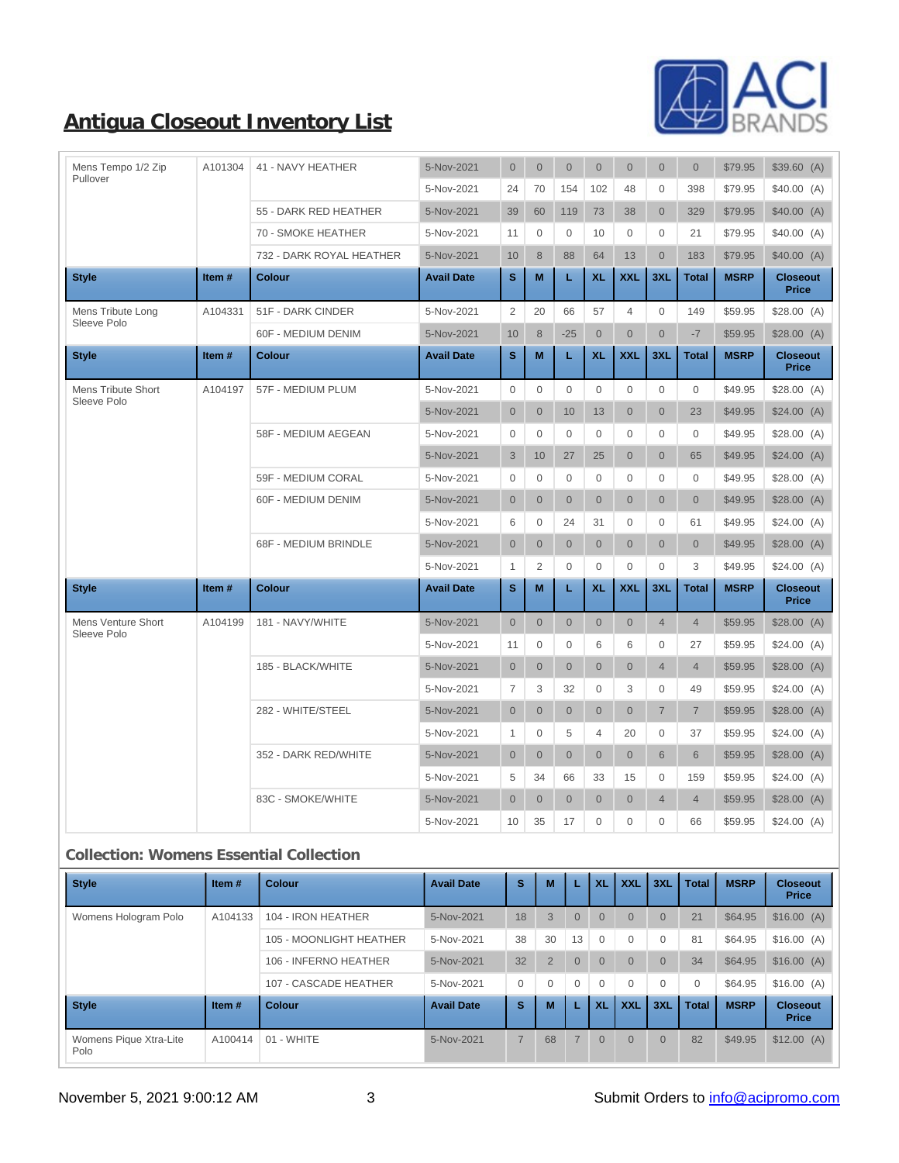

| Mens Tempo 1/2 Zip<br>Pullover    | A101304 | 41 - NAVY HEATHER        | 5-Nov-2021        | $\overline{0}$ | $\overline{0}$ | $\overline{0}$ | $\overline{0}$ | $\overline{0}$ | $\overline{0}$ | $\overline{0}$      | \$79.95     | \$39.60(A)                      |
|-----------------------------------|---------|--------------------------|-------------------|----------------|----------------|----------------|----------------|----------------|----------------|---------------------|-------------|---------------------------------|
|                                   |         |                          | 5-Nov-2021        | 24             | 70             | 154            | 102            | 48             | $\mathbf 0$    | 398                 | \$79.95     | \$40.00(A)                      |
|                                   |         | 55 - DARK RED HEATHER    | 5-Nov-2021        | 39             | 60             | 119            | 73             | 38             | $\overline{0}$ | 329                 | \$79.95     | \$40.00(A)                      |
|                                   |         | 70 - SMOKE HEATHER       | 5-Nov-2021        | 11             | $\mathbf{0}$   | $\Omega$       | 10             | $\mathbf{0}$   | $\mathbf 0$    | 21                  | \$79.95     | \$40.00(A)                      |
|                                   |         | 732 - DARK ROYAL HEATHER | 5-Nov-2021        | 10             | 8              | 88             | 64             | 13             | $\overline{0}$ | 183                 | \$79.95     | \$40.00(A)                      |
| <b>Style</b>                      | Item#   | <b>Colour</b>            | <b>Avail Date</b> | s              | M              | L.             | <b>XL</b>      | <b>XXL</b>     | 3XL            | <b>Total</b>        | <b>MSRP</b> | <b>Closeout</b><br><b>Price</b> |
| Mens Tribute Long                 | A104331 | 51F - DARK CINDER        | 5-Nov-2021        | $\overline{2}$ | 20             | 66             | 57             | $\overline{4}$ | $\mathbf 0$    | 149                 | \$59.95     | \$28.00(A)                      |
| Sleeve Polo                       |         | 60F - MEDIUM DENIM       | 5-Nov-2021        | 10             | 8              | $-25$          | $\mathbf 0$    | $\overline{0}$ | $\overline{0}$ | $-7$                | \$59.95     | \$28.00(A)                      |
| <b>Style</b>                      | Item#   | <b>Colour</b>            | <b>Avail Date</b> | s              | M              | L.             | <b>XL</b>      | <b>XXL</b>     | 3XL            | <b>Total</b>        | <b>MSRP</b> | <b>Closeout</b><br><b>Price</b> |
| Mens Tribute Short                | A104197 | 57F - MEDIUM PLUM        | 5-Nov-2021        | $\mathbf 0$    | $\Omega$       | $\Omega$       | $\mathbf 0$    | $\mathbf 0$    | $\Omega$       | $\mathsf{O}\xspace$ | \$49.95     | \$28.00(A)                      |
| Sleeve Polo                       |         |                          | 5-Nov-2021        | $\overline{0}$ | $\overline{0}$ | 10             | 13             | $\overline{0}$ | $\overline{0}$ | 23                  | \$49.95     | \$24.00(A)                      |
|                                   |         | 58F - MEDIUM AEGEAN      | 5-Nov-2021        | $\mathbf{0}$   | $\Omega$       | $\Omega$       | $\Omega$       | $\Omega$       | 0              | $\Omega$            | \$49.95     | \$28.00(A)                      |
|                                   |         |                          | 5-Nov-2021        | 3              | 10             | 27             | 25             | $\overline{0}$ | $\overline{0}$ | 65                  | \$49.95     | \$24.00(A)                      |
|                                   |         | 59F - MEDIUM CORAL       | 5-Nov-2021        | $\overline{0}$ | $\mathbf{0}$   | $\Omega$       | $\mathbf{0}$   | $\mathbf{0}$   | $\mathbf 0$    | $\mathbf{0}$        | \$49.95     | \$28.00(A)                      |
|                                   |         | 60F - MEDIUM DENIM       | 5-Nov-2021        | $\mathbf 0$    | $\mathbf{0}$   | $\overline{0}$ | $\mathbf 0$    | $\mathbf{0}$   | $\overline{0}$ | $\overline{0}$      | \$49.95     | \$28.00(A)                      |
|                                   |         |                          | 5-Nov-2021        | 6              | $\mathbf{0}$   | 24             | 31             | $\mathbf{0}$   | 0              | 61                  | \$49.95     | \$24.00(A)                      |
|                                   |         | 68F - MEDIUM BRINDLE     | 5-Nov-2021        | $\overline{0}$ | $\overline{0}$ | $\overline{0}$ | $\overline{0}$ | $\overline{0}$ | $\overline{0}$ | $\overline{0}$      | \$49.95     | \$28.00(A)                      |
|                                   |         |                          | 5-Nov-2021        | $\mathbf{1}$   | 2              | $\Omega$       | $\Omega$       | $\Omega$       | $\Omega$       | 3                   | \$49.95     | \$24.00(A)                      |
| <b>Style</b>                      | Item#   | <b>Colour</b>            | <b>Avail Date</b> | s              | M              | L.             | <b>XL</b>      | <b>XXL</b>     | 3XL            | <b>Total</b>        | <b>MSRP</b> | <b>Closeout</b><br><b>Price</b> |
| Mens Venture Short<br>Sleeve Polo | A104199 | 181 - NAVY/WHITE         | 5-Nov-2021        | $\mathbf 0$    | $\mathbf{0}$   | $\overline{0}$ | $\mathbf 0$    | $\mathbf{0}$   | $\overline{4}$ | $\overline{4}$      | \$59.95     | \$28.00(A)                      |
|                                   |         |                          | 5-Nov-2021        | 11             | $\Omega$       | $\Omega$       | 6              | 6              | $\Omega$       | 27                  | \$59.95     | \$24.00(A)                      |
|                                   |         | 185 - BLACK/WHITE        | 5-Nov-2021        | $\overline{0}$ | $\overline{0}$ | $\overline{0}$ | $\overline{0}$ | $\overline{0}$ | $\overline{4}$ | $\overline{4}$      | \$59.95     | \$28.00(A)                      |
|                                   |         |                          | 5-Nov-2021        | $\overline{7}$ | 3              | 32             | $\mathbf{0}$   | 3              | 0              | 49                  | \$59.95     | \$24.00(A)                      |
|                                   |         | 282 - WHITE/STEEL        | 5-Nov-2021        | $\overline{0}$ | $\overline{0}$ | $\overline{0}$ | $\overline{0}$ | $\overline{0}$ | $\overline{7}$ | $\overline{7}$      | \$59.95     | \$28.00(A)                      |
|                                   |         |                          | 5-Nov-2021        | $\mathbf{1}$   | $\mathbf{0}$   | 5              | $\overline{4}$ | 20             | 0              | 37                  | \$59.95     | \$24.00(A)                      |
|                                   |         | 352 - DARK RED/WHITE     | 5-Nov-2021        | $\overline{0}$ | $\mathbf{0}$   | $\overline{0}$ | $\overline{0}$ | $\overline{0}$ | 6              | 6                   | \$59.95     | \$28.00(A)                      |
|                                   |         |                          | 5-Nov-2021        | 5              | 34             | 66             | 33             | 15             | $\mathbf 0$    | 159                 | \$59.95     | \$24.00(A)                      |
|                                   |         | 83C - SMOKE/WHITE        | 5-Nov-2021        | $\overline{0}$ | $\overline{0}$ | $\overline{0}$ | $\overline{0}$ | $\overline{0}$ | $\overline{4}$ | $\overline{4}$      | \$59.95     | \$28.00(A)                      |
|                                   |         |                          | 5-Nov-2021        | 10             | 35             | 17             | $\overline{0}$ | $\mathbf 0$    | $\mathbf 0$    | 66                  | \$59.95     | \$24.00(A)                      |

#### **Collection: Womens Essential Collection**

| <b>Style</b>                   | Item $#$ | <b>Colour</b>           | <b>Avail Date</b> | s              | M              |                | <b>XL</b>      | <b>XXL</b> | 3XL            | <b>Total</b> | <b>MSRP</b> | <b>Closeout</b><br><b>Price</b> |
|--------------------------------|----------|-------------------------|-------------------|----------------|----------------|----------------|----------------|------------|----------------|--------------|-------------|---------------------------------|
| Womens Hologram Polo           | A104133  | 104 - IRON HEATHER      | 5-Nov-2021        | 18             | 3              | $\Omega$       | $\overline{0}$ | $\Omega$   | $\Omega$       | 21           | \$64.95     | \$16.00(A)                      |
|                                |          | 105 - MOONLIGHT HEATHER | 5-Nov-2021        | 38             | 30             | 13             | $\mathbf{0}$   | 0          | $\Omega$       | 81           | \$64.95     | \$16.00(A)                      |
|                                |          | 106 - INFERNO HEATHER   | 5-Nov-2021        | 32             | $\overline{2}$ | $\overline{0}$ | $\overline{0}$ | $\Omega$   | $\overline{0}$ | 34           | \$64.95     | \$16.00(A)                      |
|                                |          | 107 - CASCADE HEATHER   | 5-Nov-2021        | $\mathbf{0}$   | $\mathbf{0}$   | $\Omega$       | $\Omega$       | $\Omega$   | $\Omega$       | $\Omega$     | \$64.95     | \$16.00(A)                      |
| <b>Style</b>                   | Item $#$ | <b>Colour</b>           | <b>Avail Date</b> | s              | M              |                | <b>XL</b>      | <b>XXL</b> | 3XL            | <b>Total</b> | <b>MSRP</b> | <b>Closeout</b><br><b>Price</b> |
| Womens Pique Xtra-Lite<br>Polo | A100414  | 01 - WHITE              | 5-Nov-2021        | $\overline{7}$ | 68             | $\overline{7}$ | $\overline{0}$ | $\Omega$   | $\overline{0}$ | 82           | \$49.95     | $$12.00$ (A)                    |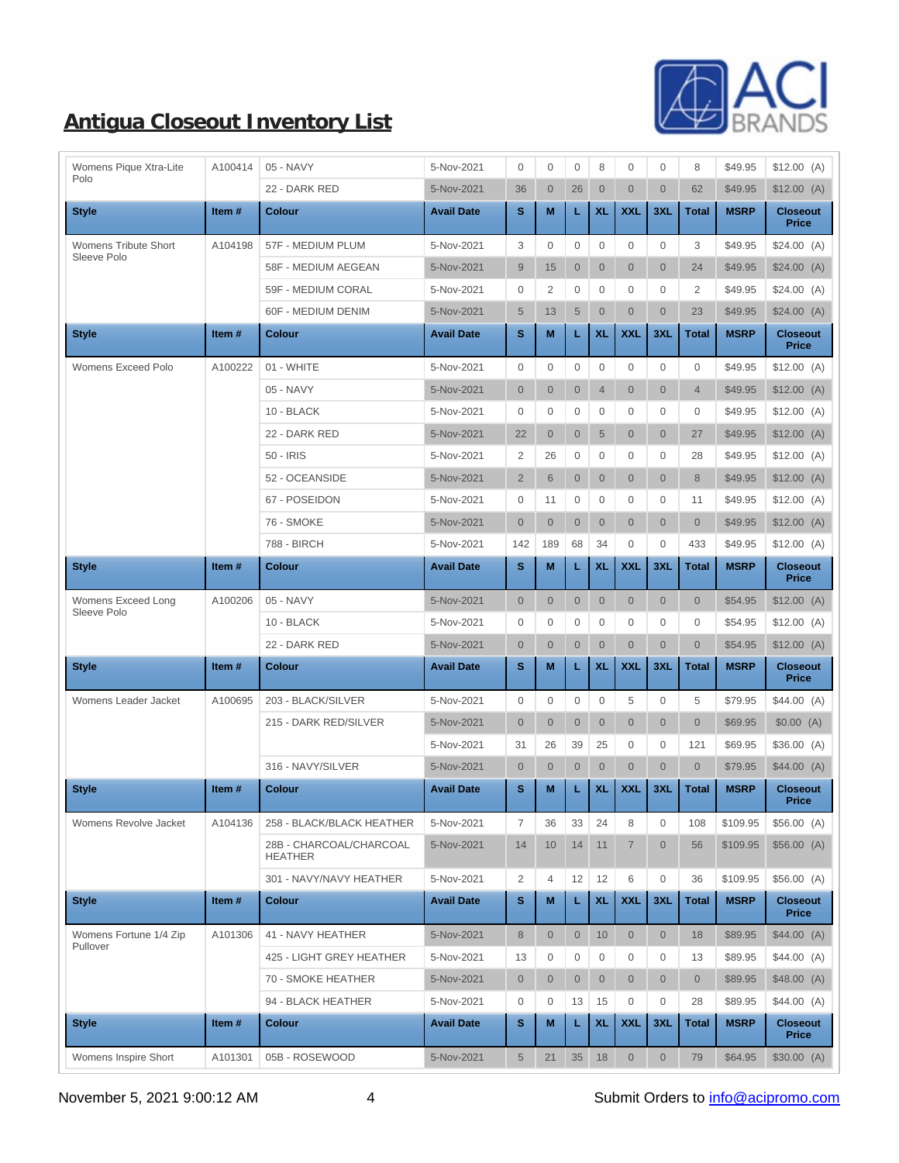

| Womens Pique Xtra-Lite<br>Polo | A100414 | 05 - NAVY                                 | 5-Nov-2021        | $\mathbf{0}$        | $\mathbf{0}$   | $\mathbf 0$    | 8              | 0                   | $\mathbf{0}$        | 8              | \$49.95     | \$12.00(A)                      |
|--------------------------------|---------|-------------------------------------------|-------------------|---------------------|----------------|----------------|----------------|---------------------|---------------------|----------------|-------------|---------------------------------|
|                                |         | 22 - DARK RED                             | 5-Nov-2021        | 36                  | $\overline{0}$ | 26             | $\mathbf 0$    | $\overline{0}$      | $\overline{0}$      | 62             | \$49.95     | \$12.00(A)                      |
| <b>Style</b>                   | Item#   | <b>Colour</b>                             | <b>Avail Date</b> | s                   | M              | L.             | <b>XL</b>      | <b>XXL</b>          | 3XL                 | <b>Total</b>   | <b>MSRP</b> | <b>Closeout</b><br><b>Price</b> |
| Womens Tribute Short           | A104198 | 57F - MEDIUM PLUM                         | 5-Nov-2021        | 3                   | $\mathbf{0}$   | 0              | $\mathbf{0}$   | $\mathbf{0}$        | $\mathbf{0}$        | 3              | \$49.95     | \$24.00(A)                      |
| Sleeve Polo                    |         | 58F - MEDIUM AEGEAN                       | 5-Nov-2021        | 9                   | 15             | $\overline{0}$ | $\mathbf 0$    | $\overline{0}$      | $\overline{0}$      | 24             | \$49.95     | \$24.00(A)                      |
|                                |         | 59F - MEDIUM CORAL                        | 5-Nov-2021        | 0                   | 2              | 0              | $\mathbf{0}$   | $\mathbf{0}$        | $\mathbf{0}$        | 2              | \$49.95     | \$24.00(A)                      |
|                                |         | 60F - MEDIUM DENIM                        | 5-Nov-2021        | $\sqrt{5}$          | 13             | $\overline{5}$ | $\mathbf{0}$   | $\overline{0}$      | $\overline{0}$      | 23             | \$49.95     | \$24.00(A)                      |
| <b>Style</b>                   | Item#   | <b>Colour</b>                             | <b>Avail Date</b> | s                   | M              | L.             | <b>XL</b>      | <b>XXL</b>          | 3XL                 | <b>Total</b>   | <b>MSRP</b> | <b>Closeout</b><br><b>Price</b> |
| Womens Exceed Polo             | A100222 | 01 - WHITE                                | 5-Nov-2021        | $\mathsf{O}\xspace$ | $\mathbf{0}$   | 0              | $\mathbf{0}$   | $\mathbf{0}$        | $\mathbf{0}$        | $\mathbf{0}$   | \$49.95     | \$12.00(A)                      |
|                                |         | 05 - NAVY                                 | 5-Nov-2021        | $\overline{0}$      | $\overline{0}$ | $\overline{0}$ | $\overline{4}$ | $\overline{0}$      | $\mathbf{0}$        | $\overline{4}$ | \$49.95     | \$12.00(A)                      |
|                                |         | 10 - BLACK                                | 5-Nov-2021        | 0                   | $\mathbf{0}$   | $\mathbf{0}$   | $\mathbf{0}$   | $\mathbf 0$         | $\mathbf{0}$        | $\mathbf 0$    | \$49.95     | $$12.00$ (A)                    |
|                                |         | 22 - DARK RED                             | 5-Nov-2021        | 22                  | $\overline{0}$ | $\overline{0}$ | $\overline{5}$ | $\overline{0}$      | $\overline{0}$      | 27             | \$49.95     | \$12.00 (A)                     |
|                                |         | 50 - IRIS                                 | 5-Nov-2021        | $\overline{2}$      | 26             | $\mathbf{0}$   | $\mathbf 0$    | 0                   | $\mathbf{0}$        | 28             | \$49.95     | $$12.00$ (A)                    |
|                                |         | 52 - OCEANSIDE                            | 5-Nov-2021        | $\overline{2}$      | 6              | $\overline{0}$ | $\mathbf{0}$   | $\overline{0}$      | $\mathbf{0}$        | 8              | \$49.95     | \$12.00(A)                      |
|                                |         | 67 - POSEIDON                             | 5-Nov-2021        | 0                   | 11             | 0              | $\mathbf{0}$   | 0                   | $\mathbf{0}$        | 11             | \$49.95     | $$12.00$ (A)                    |
|                                |         | 76 - SMOKE                                | 5-Nov-2021        | $\overline{0}$      | $\overline{0}$ | $\overline{0}$ | $\mathbf{0}$   | $\overline{0}$      | $\overline{0}$      | $\overline{0}$ | \$49.95     | \$12.00(A)                      |
|                                |         | 788 - BIRCH                               | 5-Nov-2021        | 142                 | 189            | 68             | 34             | $\mathbf{0}$        | $\mathbf{0}$        | 433            | \$49.95     | \$12.00(A)                      |
| <b>Style</b>                   | Item#   | <b>Colour</b>                             | <b>Avail Date</b> | $\mathbf{s}$        | M              |                | <b>XL</b>      | <b>XXL</b>          | 3XL                 | <b>Total</b>   | <b>MSRP</b> | <b>Closeout</b><br><b>Price</b> |
| Womens Exceed Long             | A100206 | 05 - NAVY                                 | 5-Nov-2021        | $\mathbf{0}$        | $\overline{0}$ | $\overline{0}$ | $\overline{0}$ | $\overline{0}$      | $\mathbf{0}$        | $\overline{0}$ | \$54.95     | \$12.00(A)                      |
| Sleeve Polo                    |         | 10 - BLACK                                | 5-Nov-2021        | 0                   | $\mathbf{0}$   | 0              | $\mathbf{0}$   | $\mathbf 0$         | $\mathbf{0}$        | $\mathbf 0$    | \$54.95     | $$12.00$ (A)                    |
|                                |         | 22 - DARK RED                             | 5-Nov-2021        | $\mathbf{0}$        | $\overline{0}$ | $\overline{0}$ | $\mathbf{0}$   | $\overline{0}$      | $\overline{0}$      | $\overline{0}$ | \$54.95     | \$12.00(A)                      |
| <b>Style</b>                   | Item#   | <b>Colour</b>                             | <b>Avail Date</b> | s                   | M              | L.             | <b>XL</b>      | <b>XXL</b>          | 3XL                 | <b>Total</b>   | <b>MSRP</b> | <b>Closeout</b><br><b>Price</b> |
| Womens Leader Jacket           | A100695 | 203 - BLACK/SILVER                        | 5-Nov-2021        | 0                   | $\mathbf{0}$   | 0              | $\mathbf{0}$   | 5                   | $\mathbf{0}$        | 5              | \$79.95     | \$44.00(A)                      |
|                                |         | 215 - DARK RED/SILVER                     | 5-Nov-2021        | $\overline{0}$      | $\overline{0}$ | $\overline{0}$ | $\overline{0}$ | $\overline{0}$      | $\overline{0}$      | $\overline{0}$ | \$69.95     | \$0.00(A)                       |
|                                |         |                                           | 5-Nov-2021        | 31                  | 26             | 39             | 25             | 0                   | $\mathbf 0$         | 121            | \$69.95     | \$36.00(A)                      |
|                                |         | 316 - NAVY/SILVER                         | 5-Nov-2021        | $\overline{0}$      | $\overline{0}$ | $\mathbf{0}$   | $\mathbf{0}$   | $\overline{0}$      | $\overline{0}$      | $\overline{0}$ | \$79.95     | \$44.00(A)                      |
| <b>Style</b>                   | Item#   | <b>Colour</b>                             | <b>Avail Date</b> | s                   | M              |                | <b>XL</b>      | <b>XXL</b>          | 3XL                 | <b>Total</b>   | <b>MSRP</b> | <b>Closeout</b><br><b>Price</b> |
| Womens Revolve Jacket          | A104136 | 258 - BLACK/BLACK HEATHER                 | 5-Nov-2021        | 7                   | 36             | 33             | 24             | 8                   | $\mathbf 0$         | 108            | \$109.95    | \$56.00(A)                      |
|                                |         | 28B - CHARCOAL/CHARCOAL<br><b>HEATHER</b> | 5-Nov-2021        | 14                  | 10             | 14             | 11             | $\overline{7}$      | $\mathbf{0}$        | 56             | \$109.95    | \$56.00(A)                      |
|                                |         | 301 - NAVY/NAVY HEATHER                   | 5-Nov-2021        | $\overline{2}$      | 4              | 12             | 12             | 6                   | $\mathsf{O}\xspace$ | 36             | \$109.95    | \$56.00(A)                      |
| <b>Style</b>                   | Item#   | <b>Colour</b>                             | <b>Avail Date</b> | $\mathbf s$         | M              | L              | <b>XL</b>      | <b>XXL</b>          | 3XL                 | <b>Total</b>   | <b>MSRP</b> | <b>Closeout</b><br><b>Price</b> |
| Womens Fortune 1/4 Zip         | A101306 | 41 - NAVY HEATHER                         | 5-Nov-2021        | $8\phantom{1}$      | $\overline{0}$ | $\overline{0}$ | 10             | $\overline{0}$      | $\overline{0}$      | 18             | \$89.95     | \$44.00(A)                      |
| Pullover                       |         | 425 - LIGHT GREY HEATHER                  | 5-Nov-2021        | 13                  | $\mathbf{0}$   | $\mathbf{0}$   | 0              | $\mathbf 0$         | 0                   | 13             | \$89.95     | \$44.00(A)                      |
|                                |         | 70 - SMOKE HEATHER                        | 5-Nov-2021        | $\overline{0}$      | $\overline{0}$ | $\overline{0}$ | $\overline{0}$ | $\overline{0}$      | $\overline{0}$      | $\overline{0}$ | \$89.95     | \$48.00(A)                      |
|                                |         | 94 - BLACK HEATHER                        | 5-Nov-2021        | 0                   | $\mathbf{0}$   | 13             | 15             | $\mathbf 0$         | 0                   | 28             | \$89.95     | \$44.00(A)                      |
| <b>Style</b>                   | Item#   | Colour                                    | <b>Avail Date</b> | s                   | M              | L              | <b>XL</b>      | <b>XXL</b>          | 3XL                 | <b>Total</b>   | <b>MSRP</b> | <b>Closeout</b><br><b>Price</b> |
| Womens Inspire Short           | A101301 | 05B - ROSEWOOD                            | 5-Nov-2021        | $\sqrt{5}$          | 21             | 35             | 18             | $\mathsf{O}\xspace$ | $\overline{0}$      | 79             | \$64.95     | \$30.00(A)                      |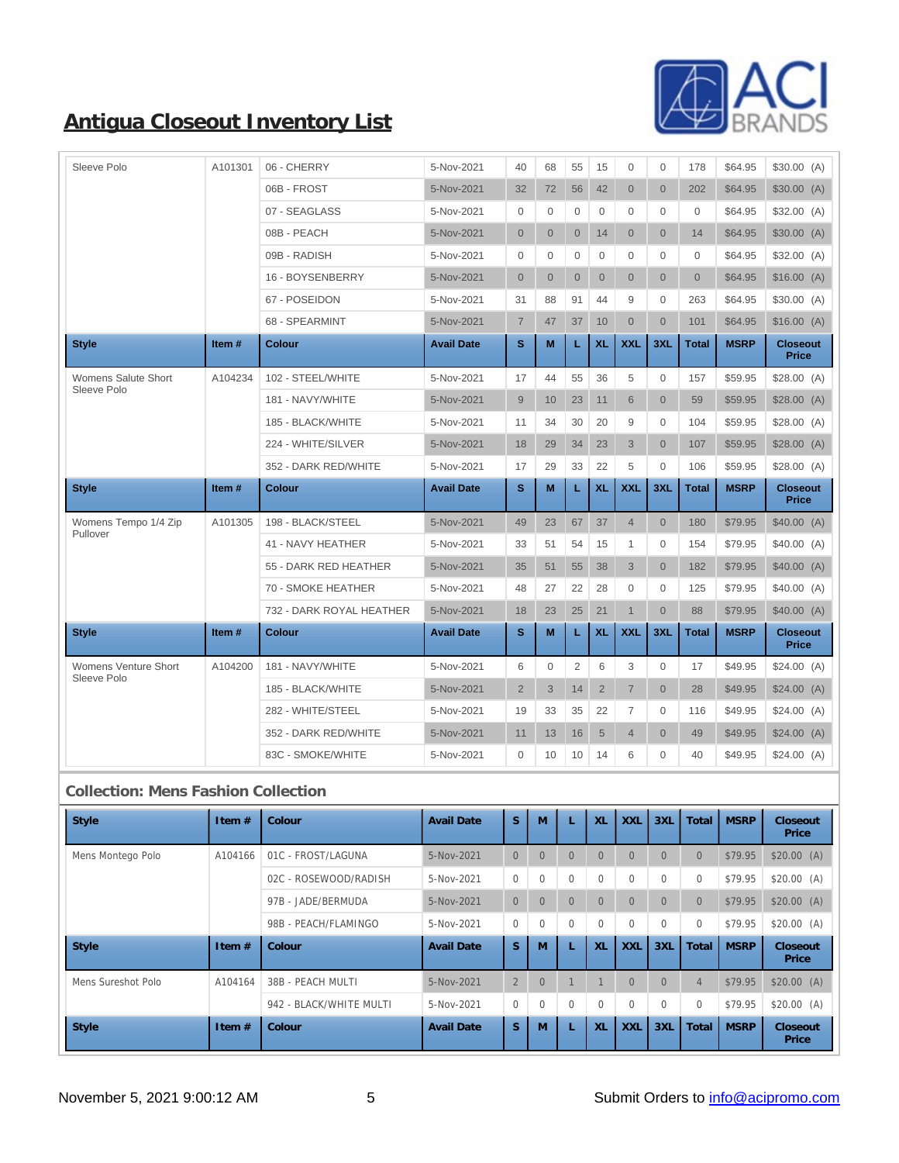

| Sleeve Polo                                | A101301 | 06 - CHERRY              | 5-Nov-2021        | 40               | 68               | 55               | 15               | $\mathbf{0}$     | $\mathbf 0$      | 178              | \$64.95     | \$30.00(A)                      |
|--------------------------------------------|---------|--------------------------|-------------------|------------------|------------------|------------------|------------------|------------------|------------------|------------------|-------------|---------------------------------|
|                                            |         | 06B - FROST              | 5-Nov-2021        | 32               | 72               | 56               | 42               | $\overline{0}$   | $\overline{0}$   | 202              | \$64.95     | \$30.00(A)                      |
|                                            |         | 07 - SEAGLASS            | 5-Nov-2021        | 0                | $\mathbf{0}$     | $\mathbf 0$      | $\mathbf{0}$     | $\mathbf{0}$     | 0                | $\mathbf 0$      | \$64.95     | \$32.00(A)                      |
|                                            |         | 08B - PEACH              | 5-Nov-2021        | $\mathbf{0}$     | $\overline{0}$   | $\overline{0}$   | 14               | $\overline{0}$   | $\overline{0}$   | 14               | \$64.95     | \$30.00(A)                      |
|                                            |         | 09B - RADISH             | 5-Nov-2021        | 0                | $\mathbf 0$      | 0                | 0                | 0                | $\mathbf 0$      | 0                | \$64.95     | \$32.00(A)                      |
|                                            |         | 16 - BOYSENBERRY         | 5-Nov-2021        | $\mathbf{0}$     | $\overline{0}$   | $\overline{0}$   | $\mathbf 0$      | $\overline{0}$   | $\overline{0}$   | $\overline{0}$   | \$64.95     | \$16.00(A)                      |
|                                            |         | 67 - POSEIDON            | 5-Nov-2021        | 31               | 88               | 91               | 44               | 9                | $\mathbf 0$      | 263              | \$64.95     | \$30.00(A)                      |
|                                            |         | 68 - SPEARMINT           | 5-Nov-2021        | $\overline{7}$   | 47               | 37               | 10               | $\overline{0}$   | $\overline{0}$   | 101              | \$64.95     | \$16.00(A)                      |
| <b>Style</b>                               | Item#   | <b>Colour</b>            | <b>Avail Date</b> | S                | M                | L                | <b>XL</b>        | <b>XXL</b>       | 3XL              | <b>Total</b>     | <b>MSRP</b> | <b>Closeout</b><br><b>Price</b> |
| Womens Salute Short                        | A104234 | 102 - STEEL/WHITE        | 5-Nov-2021        | 17               | 44               | 55               | 36               | 5                | $\mathbf 0$      | 157              | \$59.95     | \$28.00(A)                      |
| Sleeve Polo                                |         | 181 - NAVY/WHITE         | 5-Nov-2021        | 9                | 10               | 23               | 11               | 6                | $\overline{0}$   | 59               | \$59.95     | \$28.00(A)                      |
|                                            |         | 185 - BLACK/WHITE        | 5-Nov-2021        | 11               | 34               | 30               | 20               | 9                | $\mathbf 0$      | 104              | \$59.95     | \$28.00(A)                      |
|                                            |         | 224 - WHITE/SILVER       | 5-Nov-2021        | 18               | 29               | 34               | 23               | 3                | $\overline{0}$   | 107              | \$59.95     | \$28.00(A)                      |
|                                            |         | 352 - DARK RED/WHITE     | 5-Nov-2021        | 17               | 29               | 33               | 22               | 5                | $\mathbf 0$      | 106              | \$59.95     | \$28.00(A)                      |
| <b>Style</b>                               | Item#   | <b>Colour</b>            | <b>Avail Date</b> | s                | M                | L                | <b>XL</b>        | <b>XXL</b>       | 3XL              | <b>Total</b>     | <b>MSRP</b> | <b>Closeout</b><br><b>Price</b> |
| Womens Tempo 1/4 Zip                       | A101305 | 198 - BLACK/STEEL        | 5-Nov-2021        | 49               | 23               | 67               | 37               | $\overline{4}$   | $\overline{0}$   | 180              | \$79.95     | \$40.00(A)                      |
| Pullover                                   |         | 41 - NAVY HEATHER        | 5-Nov-2021        | 33               | 51               | 54               | 15               | 1                | $\mathbf{0}$     | 154              | \$79.95     | \$40.00(A)                      |
|                                            |         | 55 - DARK RED HEATHER    | 5-Nov-2021        | 35               | 51               | 55               | 38               | 3                | $\overline{0}$   | 182              | \$79.95     | \$40.00(A)                      |
|                                            |         | 70 - SMOKE HEATHER       | 5-Nov-2021        | 48               | 27               | 22               | 28               | 0                | $\mathbf 0$      | 125              | \$79.95     | \$40.00(A)                      |
|                                            |         | 732 - DARK ROYAL HEATHER | 5-Nov-2021        | 18               | 23               | 25               | 21               | $\mathbf{1}$     | $\overline{0}$   | 88               | \$79.95     | \$40.00(A)                      |
| <b>Style</b>                               | Item#   | <b>Colour</b>            | <b>Avail Date</b> | s                | M                | L                | <b>XL</b>        | <b>XXL</b>       | 3XL              | <b>Total</b>     | <b>MSRP</b> | <b>Closeout</b><br><b>Price</b> |
| Womens Venture Short                       | A104200 | 181 - NAVY/WHITE         | 5-Nov-2021        | 6                | $\mathbf{0}$     | 2                | 6                | 3                | $\mathbf{0}$     | 17               | \$49.95     | \$24.00(A)                      |
| Sleeve Polo                                |         | 185 - BLACK/WHITE        | 5-Nov-2021        | $\overline{2}$   | 3                | 14               | $\overline{2}$   | $\overline{7}$   | $\overline{0}$   | 28               | \$49.95     | \$24.00(A)                      |
|                                            |         | 282 - WHITE/STEEL        | 5-Nov-2021        | 19               | 33               | 35               | 22               | $\overline{7}$   | $\mathbf{0}$     | 116              | \$49.95     | \$24.00(A)                      |
|                                            |         | 352 - DARK RED/WHITE     | 5-Nov-2021        | 11               | 13               | 16               | $\sqrt{5}$       | $\overline{4}$   | $\overline{0}$   | 49               | \$49.95     | \$24.00(A)                      |
|                                            |         | 83C - SMOKE/WHITE        | 5-Nov-2021        | 0                | 10               | 10               | 14               | 6                | 0                | 40               | \$49.95     | \$24.00(A)                      |
| <b>Collection: Mens Fashion Collection</b> |         |                          |                   |                  |                  |                  |                  |                  |                  |                  |             |                                 |
| <b>Style</b>                               | Item #  | Colour                   | <b>Avail Date</b> | $\mathbf S$      | M                | L                | XL               | <b>XXL</b>       | 3XL              | Total            | <b>MSRP</b> | Closeout<br>Price               |
| Mens Montego Polo                          | A104166 | 01C - FROST/LAGUNA       | 5-Nov-2021        | $\mathbf{0}$     | $\mathbf{0}$     | $\overline{0}$   | $\overline{0}$   | $\overline{0}$   | $\overline{0}$   | $\boldsymbol{0}$ | \$79.95     | \$20.00(A)                      |
|                                            |         | 02C - ROSEWOOD/RADISH    | 5-Nov-2021        | $\boldsymbol{0}$ | $\boldsymbol{0}$ | $\bf{0}$         | $\boldsymbol{0}$ | $\bf{0}$         | $\boldsymbol{0}$ | $\boldsymbol{0}$ | \$79.95     | \$20.00(A)                      |
|                                            |         | 97B - JADE/BERMUDA       | 5-Nov-2021        | $\overline{0}$   | $\mathbf{0}$     | $\overline{0}$   | $\boldsymbol{0}$ | $\overline{0}$   | $\mathbf{0}$     | $\boldsymbol{0}$ | \$79.95     | \$20.00(A)                      |
|                                            |         | 98B - PEACH/FLAMINGO     | 5-Nov-2021        | $\bf{0}$         | $\bf{0}$         | $\mathbf{0}$     | $\boldsymbol{0}$ | $\bf{0}$         | $\mathbf{0}$     | $\bf{0}$         | \$79.95     | \$20.00(A)                      |
| <b>Style</b>                               | Item #  | Colour                   | <b>Avail Date</b> | $\mathbf S$      | $\mathbf M$      | L                | XL               | <b>XXL</b>       | 3XL              | Total            | <b>MSRP</b> | Closeout                        |
|                                            |         |                          |                   |                  |                  |                  |                  |                  |                  |                  |             | Price                           |
| Mens Sureshot Polo                         | A104164 | 38B - PEACH MULTI        | 5-Nov-2021        | $\boldsymbol{2}$ | $\boldsymbol{0}$ | $\mathbf{1}$     | $\mathbf{1}$     | $\boldsymbol{0}$ | $\mathbf{0}$     | $\sqrt{4}$       | \$79.95     | \$20.00(A)                      |
|                                            |         | 942 - BLACK/WHITE MULTI  | 5-Nov-2021        | $\mathbf{0}$     | $\boldsymbol{0}$ | $\boldsymbol{0}$ | $\boldsymbol{0}$ | $\boldsymbol{0}$ | $\boldsymbol{0}$ | $\boldsymbol{0}$ | \$79.95     | \$20.00(A)                      |

**If Style If tem # Colour Avail Date S M L XL XL XXL 3XL Total MSRP** 

**Price**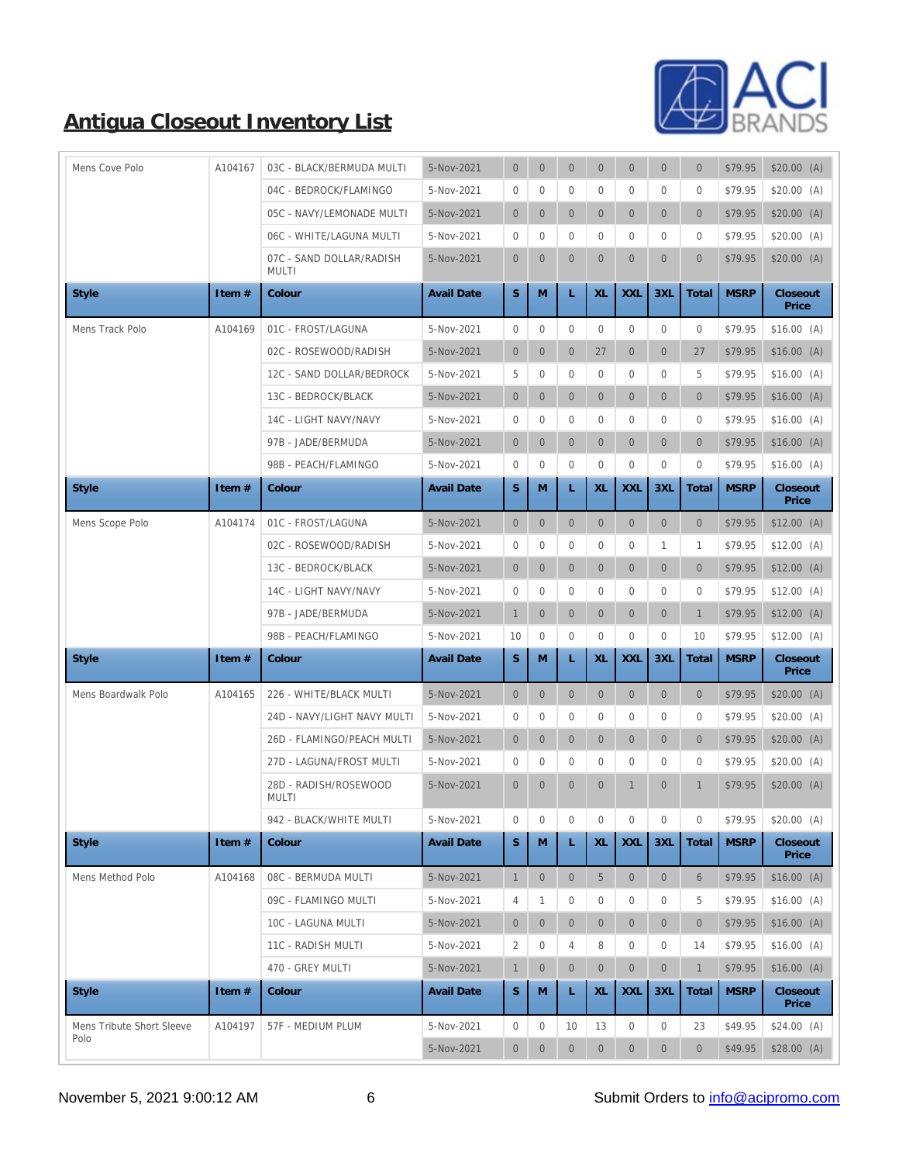

| Mens Cove Polo            | A104167  | 03C - BLACK/BERMUDA MULTI                | 5-Nov-2021        | $\mathbf{0}$     | $\boldsymbol{0}$ | $\mathbf{0}$   | $\mathbf{0}$   | $\overline{0}$   | $\mathbf{0}$     | $\mathbf{0}$     | \$79.95     | \$20.00(A)        |
|---------------------------|----------|------------------------------------------|-------------------|------------------|------------------|----------------|----------------|------------------|------------------|------------------|-------------|-------------------|
|                           |          | 04C - BEDROCK/FLAMINGO                   | 5-Nov-2021        | $\bf{0}$         | $\boldsymbol{0}$ | $\overline{0}$ | $\bf{0}$       | $\overline{0}$   | $\boldsymbol{0}$ | $\boldsymbol{0}$ | \$79.95     | \$20.00(A)        |
|                           |          | 05C - NAVY/LEMONADE MULTI                | 5-Nov-2021        | $\overline{0}$   | $\mathbf{0}$     | $\overline{0}$ | $\overline{0}$ | $\overline{0}$   | $\mathbf{0}$     | $\mathbf{0}$     | \$79.95     | \$20.00(A)        |
|                           |          | 06C - WHITE/LAGUNA MULTI                 | 5-Nov-2021        | $\bf{0}$         | $\mathbf{0}$     | $\overline{0}$ | $\mathbf{0}$   | $\overline{0}$   | $\mathbf{0}$     | $\mathbf{0}$     | \$79.95     | \$20.00(A)        |
|                           |          | 07C - SAND DOLLAR/RADISH<br><b>MULTI</b> | 5-Nov-2021        | $\overline{0}$   | $\mathbf{0}$     | $\overline{0}$ | $\overline{0}$ | $\overline{0}$   | $\mathbf{0}$     | $\overline{0}$   | \$79.95     | \$20.00(A)        |
| <b>Style</b>              | Item #   | Colour                                   | <b>Avail Date</b> | S                | M                | L              | XL             | <b>XXL</b>       | 3XL              | Total            | <b>MSRP</b> | Closeout<br>Price |
| Mens Track Polo           | A104169  | 01C - FROST/LAGUNA                       | 5-Nov-2021        | $\bf{0}$         | $\mathbf{0}$     | $\mathbf{0}$   | $\mathbf{0}$   | $\mathbf{0}$     | $\overline{0}$   | $\mathbf{0}$     | \$79.95     | \$16.00(A)        |
|                           |          | 02C - ROSEWOOD/RADISH                    | 5-Nov-2021        | $\overline{0}$   | $\mathbf{0}$     | $\mathbf{0}$   | 27             | $\overline{0}$   | $\mathbf{0}$     | 27               | \$79.95     | \$16.00(A)        |
|                           |          | 12C - SAND DOLLAR/BEDROCK                | 5-Nov-2021        | $\overline{5}$   | $\bf{0}$         | $\mathbf{0}$   | $\bf{0}$       | $\overline{0}$   | $\mathbf{0}$     | 5                | \$79.95     | \$16.00(A)        |
|                           |          | 13C - BEDROCK/BLACK                      | 5-Nov-2021        | $\overline{0}$   | $\boldsymbol{0}$ | $\overline{0}$ | $\overline{0}$ | $\overline{0}$   | $\mathbf{0}$     | $\mathbf{0}$     | \$79.95     | \$16.00(A)        |
|                           |          | 14C - LIGHT NAVY/NAVY                    | 5-Nov-2021        | $\bf{0}$         | $\bf{0}$         | $\mathbf{0}$   | $\bf{0}$       | 0                | $\mathbf{0}$     | $\mathbf{0}$     | \$79.95     | \$16.00(A)        |
|                           |          | 97B - JADE/BERMUDA                       | 5-Nov-2021        | $\mathbf{0}$     | $\mathbf{0}$     | $\overline{0}$ | $\overline{0}$ | $\overline{0}$   | $\mathbf{0}$     | $\overline{0}$   | \$79.95     | \$16.00(A)        |
|                           |          | 98B - PEACH/FLAMINGO                     | 5-Nov-2021        | $\bf{0}$         | $\mathbf{0}$     | $\mathbf{0}$   | $\mathbf{0}$   | $\mathbf{0}$     | $\mathbf{0}$     | $\mathbf{0}$     | \$79.95     | \$16.00(A)        |
| <b>Style</b>              | Item #   | Colour                                   | <b>Avail Date</b> | S                | M                | L              | XL             | <b>XXL</b>       | 3XL              | Total            | <b>MSRP</b> | Closeout<br>Price |
| Mens Scope Polo           | A104174  | 01C - FROST/LAGUNA                       | 5-Nov-2021        | $\overline{0}$   | $\mathbf{0}$     | $\mathbf{0}$   | $\overline{0}$ | $\overline{0}$   | $\mathbf{0}$     | $\mathbf{0}$     | \$79.95     | $$12.00$ (A)      |
|                           |          | 02C - ROSEWOOD/RADISH                    | 5-Nov-2021        | $\boldsymbol{0}$ | $\mathbf{0}$     | $\mathbf{0}$   | $\mathbf{0}$   | $\overline{0}$   | 1                | 1                | \$79.95     | $$12.00$ (A)      |
|                           |          | 13C - BEDROCK/BLACK                      | 5-Nov-2021        | $\mathbf{0}$     | $\mathbf{0}$     | $\mathbf{0}$   | $\overline{0}$ | $\overline{0}$   | $\mathbf{0}$     | $\mathbf{0}$     | \$79.95     | $$12.00$ (A)      |
|                           |          | 14C - LIGHT NAVY/NAVY                    | 5-Nov-2021        | $\bf{0}$         | $\boldsymbol{0}$ | $\mathbf{0}$   | $\mathbf{0}$   | $\overline{0}$   | $\mathbf{0}$     | $\mathbf{0}$     | \$79.95     | $$12.00$ (A)      |
|                           |          | 97B - JADE/BERMUDA                       | 5-Nov-2021        | $\mathbf{1}$     | $\boldsymbol{0}$ | $\mathbf{0}$   | $\overline{0}$ | $\boldsymbol{0}$ | $\mathbf{0}$     | $\mathbf{1}$     | \$79.95     | $$12.00$ (A)      |
|                           |          | 98B - PEACH/FLAMINGO                     | 5-Nov-2021        | 10               | $\mathbf{0}$     | $\mathbf{0}$   | $\mathbf{0}$   | $\overline{0}$   | $\mathbf{0}$     | 10               | \$79.95     | $$12.00$ (A)      |
| <b>Style</b>              | Item #   | Colour                                   | <b>Avail Date</b> | S                | M                | L              | XL             | <b>XXL</b>       | 3XL              | Total            | <b>MSRP</b> | Closeout<br>Price |
| Mens Boardwalk Polo       | A104165  | 226 - WHITE/BLACK MULTI                  | 5-Nov-2021        | $\overline{0}$   | $\boldsymbol{0}$ | $\mathbf{0}$   | $\mathbf{0}$   | $\mathbf{0}$     | $\mathbf{0}$     | $\mathbf{0}$     | \$79.95     | \$20.00(A)        |
|                           |          | 24D - NAVY/LIGHT NAVY MULTI              | 5-Nov-2021        | $\bf{0}$         | $\bf{0}$         | $\mathbf{0}$   | $\bf{0}$       | $\overline{0}$   | $\mathbf{0}$     | $\mathbf{0}$     | \$79.95     | \$20.00(A)        |
|                           |          | 26D - FLAMINGO/PEACH MULTI               | 5-Nov-2021        | $\mathbf{0}$     | $\mathbf{0}$     | $\overline{0}$ | $\overline{0}$ | $\overline{0}$   | $\mathbf{0}$     | $\mathbf{0}$     | \$79.95     | \$20.00(A)        |
|                           |          | 27D - LAGUNA/FROST MULTI                 | 5-Nov-2021        | $\bf{0}$         | $\bf{0}$         | $\mathbf{0}$   | $\bf{0}$       | 0                | $\mathbf{0}$     | $\mathbf{0}$     | \$79.95     | \$20.00(A)        |
|                           |          | 28D - RADISH/ROSEWOOD<br>MULTI           | 5-Nov-2021        | $\overline{0}$   | $\mathbf{0}$     | $\mathbf{0}$   | $\overline{0}$ | $\mathbf{1}$     | $\mathbf{0}$     | $\mathbf{1}$     | \$79.95     | \$20.00(A)        |
|                           |          | 942 - BLACK/WHITE MULTI                  | 5-Nov-2021        | $\boldsymbol{0}$ | $\bf{0}$         | $\mathbf{0}$   | $\mathbf{0}$   | $\bf{0}$         | $\mathbf{0}$     | $\mathbf{0}$     | \$79.95     | \$20.00(A)        |
| <b>Style</b>              | Item $#$ | Colour                                   | <b>Avail Date</b> | $\mathbf S$      | $\mathbf M$      | L              | XL             | <b>XXL</b>       | 3XL              | Total            | <b>MSRP</b> | Closeout<br>Price |
| Mens Method Polo          | A104168  | 08C - BERMUDA MULTI                      | 5-Nov-2021        | $\mathbf{1}$     | $\boldsymbol{0}$ | $\overline{0}$ | $\overline{5}$ | $\overline{0}$   | $\mathbf{0}$     | $6\phantom{1}6$  | \$79.95     | \$16.00(A)        |
|                           |          | 09C - FLAMINGO MULTI                     | 5-Nov-2021        | $\overline{4}$   | 1                | $\mathbf{0}$   | $\bf{0}$       | 0                | $\boldsymbol{0}$ | 5                | \$79.95     | \$16.00(A)        |
|                           |          | 10C - LAGUNA MULTI                       | 5-Nov-2021        | $\overline{0}$   | $\mathbf{0}$     | $\overline{0}$ | $\overline{0}$ | $\overline{0}$   | $\mathbf{0}$     | $\mathbf{0}$     | \$79.95     | \$16.00(A)        |
|                           |          | 11C - RADISH MULTI                       | 5-Nov-2021        | 2                | $\bf{0}$         | 4              | 8              | $\bf{0}$         | $\bf{0}$         | 14               | \$79.95     | \$16.00(A)        |
|                           |          | 470 - GREY MULTI                         | 5-Nov-2021        | $\mathbf{1}$     | $\boldsymbol{0}$ | $\mathbf{0}$   | $\overline{0}$ | $\mathbf{0}$     | $\mathbf{0}$     | $\mathbf{1}$     | \$79.95     | \$16.00(A)        |
| <b>Style</b>              | Item #   | Colour                                   | <b>Avail Date</b> | $\mathbf S$      | M                | L              | XL             | <b>XXL</b>       | 3XL              | Total            | <b>MSRP</b> | Closeout<br>Price |
| Mens Tribute Short Sleeve | A104197  | 57F - MEDIUM PLUM                        | 5-Nov-2021        | $\bf{0}$         | $\bf{0}$         | 10             | 13             | $\bf{0}$         | $\mathbf{0}$     | 23               | \$49.95     | $$24.00$ (A)      |
| Polo                      |          |                                          | 5-Nov-2021        | $\overline{0}$   | $\mathbf{0}$     | $\mathbf{0}$   | $\overline{0}$ | $\mathbf{0}$     | $\mathbf{0}$     | $\mathbf{0}$     | \$49.95     | \$28.00(A)        |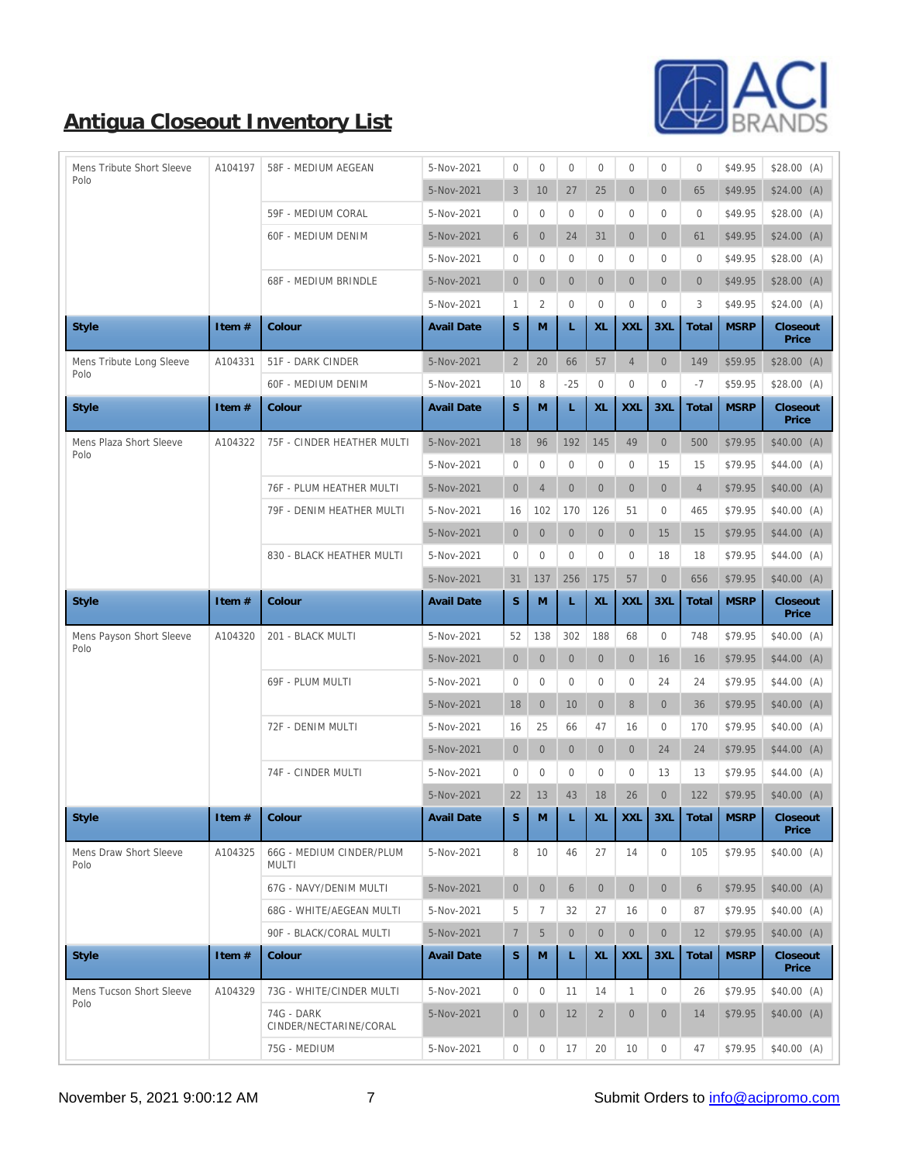

| Mens Tribute Short Sleeve      | A104197 | 58F - MEDIUM AEGEAN                  | 5-Nov-2021        | $\mathbf{0}$     | $\mathbf{0}$     | $\mathbf{0}$    | $\bf{0}$         | $\mathbf{0}$   | $\boldsymbol{0}$ | $\mathbf{0}$   | \$49.95     | \$28.00 (A)       |
|--------------------------------|---------|--------------------------------------|-------------------|------------------|------------------|-----------------|------------------|----------------|------------------|----------------|-------------|-------------------|
| Polo                           |         |                                      | 5-Nov-2021        | $\sqrt{3}$       | 10               | 27              | 25               | $\overline{0}$ | $\mathbf{0}$     | 65             | \$49.95     | $$24.00$ (A)      |
|                                |         | 59F - MEDIUM CORAL                   | 5-Nov-2021        | $\bf{0}$         | $\bf{0}$         | $\overline{0}$  | $\mathbf{0}$     | $\overline{0}$ | $\mathbf{0}$     | $\bf{0}$       | \$49.95     | \$28.00(A)        |
|                                |         | <b>60F - MEDIUM DENIM</b>            | 5-Nov-2021        | $\,6\,$          | $\mathbf{0}$     | 24              | 31               | $\mathbf{0}$   | $\mathbf{0}$     | 61             | \$49.95     | $$24.00$ (A)      |
|                                |         |                                      | 5-Nov-2021        | $\bf{0}$         | $\bf{0}$         | $\bf{0}$        | $\bf{0}$         | $\bf{0}$       | $\boldsymbol{0}$ | $\mathbf{0}$   | \$49.95     | \$28.00(A)        |
|                                |         | 68F - MEDIUM BRINDLE                 | 5-Nov-2021        | $\overline{0}$   | $\mathbf{0}$     | $\overline{0}$  | $\overline{0}$   | $\overline{0}$ | $\mathbf{0}$     | $\mathbf{0}$   | \$49.95     | \$28.00(A)        |
|                                |         |                                      | 5-Nov-2021        | $\mathbf{1}$     | $\sqrt{2}$       | $\mathbf{0}$    | $\bf{0}$         | $\mathbf{0}$   | $\boldsymbol{0}$ | 3              | \$49.95     | $$24.00$ (A)      |
| <b>Style</b>                   | Item #  | Colour                               | <b>Avail Date</b> | S                | M                | L               | XL               | <b>XXL</b>     | 3XL              | Total          | <b>MSRP</b> | Closeout<br>Price |
| Mens Tribute Long Sleeve       | A104331 | 51F - DARK CINDER                    | 5-Nov-2021        | $\boldsymbol{2}$ | 20               | 66              | 57               | $\overline{4}$ | $\mathbf{0}$     | 149            | \$59.95     | \$28.00(A)        |
| Polo                           |         | <b>60F - MEDIUM DENIM</b>            | 5-Nov-2021        | 10               | 8                | $-25$           | $\bf{0}$         | $\bf{0}$       | $\boldsymbol{0}$ | $-7$           | \$59.95     | \$28.00(A)        |
| <b>Style</b>                   | Item#   | Colour                               | <b>Avail Date</b> | $\mathbf S$      | M                | L               | XL               | <b>XXL</b>     | 3XL              | Total          | <b>MSRP</b> | Closeout<br>Price |
| Mens Plaza Short Sleeve        | A104322 | 75F - CINDER HEATHER MULTI           | 5-Nov-2021        | 18               | 96               | 192             | 145              | 49             | $\mathbf{0}$     | 500            | \$79.95     | \$40.00(A)        |
| Polo                           |         |                                      | 5-Nov-2021        | $\mathbf{0}$     | $\mathbf{0}$     | $\overline{0}$  | $\bf{0}$         | $\mathbf{0}$   | 15               | 15             | \$79.95     | $$44.00$ (A)      |
|                                |         | 76F - PLUM HEATHER MULTI             | 5-Nov-2021        | $\mathbf{0}$     | $\sqrt{4}$       | $\mathbf{0}$    | $\overline{0}$   | $\overline{0}$ | $\mathbf{0}$     | $\overline{4}$ | \$79.95     | \$40.00(A)        |
|                                |         | 79F - DENIM HEATHER MULTI            | 5-Nov-2021        | 16               | 102              | 170             | 126              | 51             | $\mathbf{0}$     | 465            | \$79.95     | \$40.00(A)        |
|                                |         |                                      | 5-Nov-2021        | $\mathbf{0}$     | $\boldsymbol{0}$ | $\mathbf{0}$    | $\mathbf{0}$     | $\mathbf{0}$   | 15               | 15             | \$79.95     | $$44.00$ (A)      |
|                                |         | 830 - BLACK HEATHER MULTI            | 5-Nov-2021        | $\bf{0}$         | $\bf{0}$         | $\mathbf{0}$    | $\bf{0}$         | $\mathbf{0}$   | 18               | 18             | \$79.95     | $$44.00$ (A)      |
|                                |         |                                      | 5-Nov-2021        | 31               | 137              | 256             | 175              | 57             | $\mathbf{0}$     | 656            | \$79.95     | \$40.00(A)        |
| Style                          | Item #  | Colour                               | <b>Avail Date</b> | S                | M                | L               | XL               | <b>XXL</b>     | 3XL              | Total          | <b>MSRP</b> | Closeout<br>Price |
| Mens Payson Short Sleeve       | A104320 | 201 - BLACK MULTI                    | 5-Nov-2021        | 52               | 138              | 302             | 188              | 68             | $\mathbf{0}$     | 748            | \$79.95     | \$40.00(A)        |
| Polo                           |         |                                      | 5-Nov-2021        | $\mathbf{0}$     | $\mathbf{0}$     | $\mathbf{0}$    | $\mathbf{0}$     | $\overline{0}$ | 16               | 16             | \$79.95     | $$44.00$ (A)      |
|                                |         | 69F - PLUM MULTI                     | 5-Nov-2021        | $\bf{0}$         | $\bf{0}$         | $\mathbf{0}$    | $\bf{0}$         | $\bf{0}$       | 24               | 24             | \$79.95     | $$44.00$ (A)      |
|                                |         |                                      | 5-Nov-2021        | 18               | $\mathbf{0}$     | 10              | $\overline{0}$   | 8              | $\mathbf{0}$     | 36             | \$79.95     | \$40.00(A)        |
|                                |         | 72F - DENIM MULTI                    | 5-Nov-2021        | 16               | 25               | 66              | 47               | 16             | $\boldsymbol{0}$ | 170            | \$79.95     | $$40.00$ (A)      |
|                                |         |                                      | 5-Nov-2021        | $\overline{0}$   | $\mathbf{0}$     | $\overline{0}$  | $\mathbf{0}$     | $\mathbf{0}$   | 24               | 24             | \$79.95     | \$44.00(A)        |
|                                |         | 74F - CINDER MULTI                   | 5-Nov-2021        | $\bf{0}$         | $\mathbf{0}$     | $\overline{0}$  | $\bf{0}$         | $\mathbf{0}$   | 13               | 13             | \$79.95     | $$44.00$ (A)      |
|                                |         |                                      | 5-Nov-2021        | 22               | 13               | 43              | 18               | 26             | $\boldsymbol{0}$ | 122            | \$79.95     | \$40.00(A)        |
| <b>Style</b>                   | Item #  | Colour                               | <b>Avail Date</b> | S                | M                | L               | XL.              | XXL            | 3XL              | Total          | <b>MSRP</b> | Closeout<br>Price |
| Mens Draw Short Sleeve<br>Polo | A104325 | 66G - MEDIUM CINDER/PLUM<br>MULTI    | 5-Nov-2021        | 8                | 10               | 46              | 27               | 14             | $\mathbf{0}$     | 105            | \$79.95     | $$40.00$ (A)      |
|                                |         | 67G - NAVY/DENIM MULTI               | 5-Nov-2021        | $\mathbf{0}$     | $\mathbf{0}$     | $6\phantom{1}6$ | $\mathbf{0}$     | $\overline{0}$ | $\mathbf{0}$     | $6\phantom{1}$ | \$79.95     | \$40.00(A)        |
|                                |         | 68G - WHITE/AEGEAN MULTI             | 5-Nov-2021        | $\overline{5}$   | 7                | 32              | 27               | 16             | $\mathbf{0}$     | 87             | \$79.95     | \$40.00(A)        |
|                                |         | 90F - BLACK/CORAL MULTI              | 5-Nov-2021        | $\,7$            | $\overline{5}$   | $\overline{0}$  | $\mathbf{0}$     | $\mathbf{0}$   | $\mathbf{0}$     | 12             | \$79.95     | \$40.00(A)        |
| <b>Style</b>                   | Item #  | Colour                               | <b>Avail Date</b> | $\mathbf S$      | M                | L               | XL               | <b>XXL</b>     | 3XL              | Total          | <b>MSRP</b> | Closeout<br>Price |
| Mens Tucson Short Sleeve       | A104329 | 73G - WHITE/CINDER MULTI             | 5-Nov-2021        | $\bf{0}$         | $\bf{0}$         | 11              | 14               | $\mathbf{1}$   | $\mathbf{0}$     | 26             | \$79.95     | $$40.00$ (A)      |
| Polo                           |         | 74G - DARK<br>CINDER/NECTARINE/CORAL | 5-Nov-2021        | $\overline{0}$   | $\mathbf{0}$     | 12              | $\boldsymbol{2}$ | $\mathbf{0}$   | $\mathbf{0}$     | 14             | \$79.95     | \$40.00(A)        |
|                                |         |                                      |                   |                  |                  |                 |                  |                |                  |                |             |                   |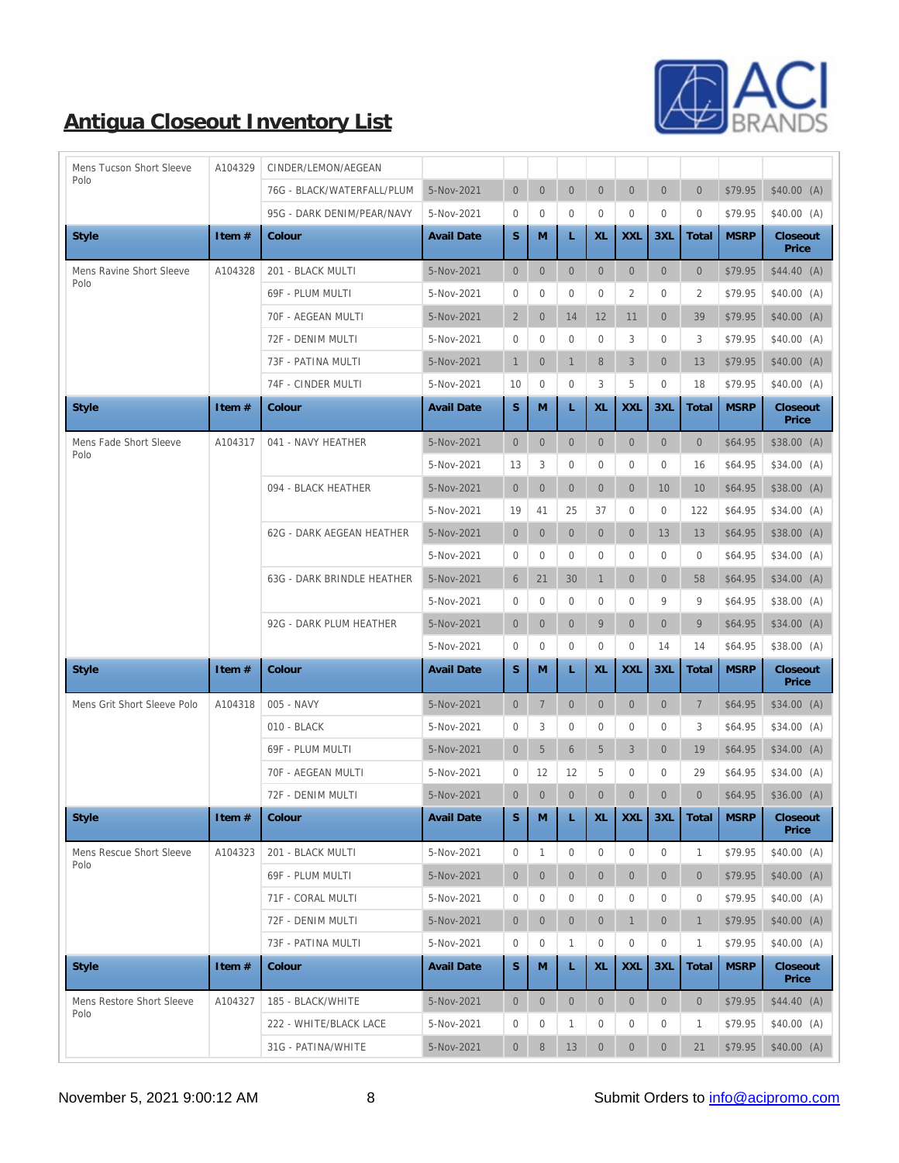

| Mens Tucson Short Sleeve    | A104329 | CINDER/LEMON/AEGEAN               |                   |                  |                  |                 |                  |                  |                  |                  |             |                   |
|-----------------------------|---------|-----------------------------------|-------------------|------------------|------------------|-----------------|------------------|------------------|------------------|------------------|-------------|-------------------|
| Polo                        |         | 76G - BLACK/WATERFALL/PLUM        | 5-Nov-2021        | $\mathbf{0}$     | $\boldsymbol{0}$ | $\mathbf{0}$    | $\overline{0}$   | $\overline{0}$   | $\mathbf{0}$     | $\mathbf{0}$     | \$79.95     | \$40.00(A)        |
|                             |         | 95G - DARK DENIM/PEAR/NAVY        | 5-Nov-2021        | $\bf{0}$         | $\bf{0}$         | $\mathbf{0}$    | $\mathbf{0}$     | $\overline{0}$   | $\mathbf{0}$     | $\mathbf{0}$     | \$79.95     | \$40.00(A)        |
| Style                       | Item #  | Colour                            | <b>Avail Date</b> | $\mathbf S$      | M                | L               | XL               | <b>XXL</b>       | 3XL              | Total            | <b>MSRP</b> | Closeout<br>Price |
| Mens Ravine Short Sleeve    | A104328 | 201 - BLACK MULTI                 | 5-Nov-2021        | $\overline{0}$   | $\mathbf{0}$     | $\mathbf{0}$    | $\mathbf{0}$     | $\mathbf{0}$     | $\mathbf{0}$     | $\mathbf{0}$     | \$79.95     | $$44.40$ (A)      |
| Polo                        |         | 69F - PLUM MULTI                  | 5-Nov-2021        | $\bf{0}$         | $\bf{0}$         | $\mathbf{0}$    | $\bf{0}$         | 2                | $\mathbf{0}$     | $\boldsymbol{2}$ | \$79.95     | $$40.00$ (A)      |
|                             |         | 70F - AEGEAN MULTI                | 5-Nov-2021        | $\mathbf{2}$     | $\mathbf{0}$     | 14              | 12               | 11               | $\overline{0}$   | 39               | \$79.95     | \$40.00(A)        |
|                             |         | 72F - DENIM MULTI                 | 5-Nov-2021        | $\bf{0}$         | $\boldsymbol{0}$ | $\mathbf{0}$    | $\bf{0}$         | 3                | $\mathbf{0}$     | 3                | \$79.95     | $$40.00$ (A)      |
|                             |         | 73F - PATINA MULTI                | 5-Nov-2021        | $\mathbf{1}$     | $\mathbf{0}$     | $\mathbf{1}$    | 8                | 3                | $\overline{0}$   | 13               | \$79.95     | \$40.00(A)        |
|                             |         | 74F - CINDER MULTI                | 5-Nov-2021        | 10               | $\mathbf{0}$     | $\mathbf{0}$    | 3                | 5                | $\mathbf{0}$     | 18               | \$79.95     | \$40.00(A)        |
| <b>Style</b>                | Item #  | Colour                            | <b>Avail Date</b> | $\mathbf S$      | M                | L               | XL               | <b>XXL</b>       | 3XL              | Total            | <b>MSRP</b> | Closeout<br>Price |
| Mens Fade Short Sleeve      | A104317 | 041 - NAVY HEATHER                | 5-Nov-2021        | $\boldsymbol{0}$ | $\mathbf{0}$     | $\mathbf{0}$    | $\boldsymbol{0}$ | $\overline{0}$   | $\mathbf{0}$     | $\overline{0}$   | \$64.95     | \$38.00(A)        |
| Polo                        |         |                                   | 5-Nov-2021        | 13               | 3                | $\mathbf{0}$    | $\bf{0}$         | $\bf{0}$         | $\bf{0}$         | 16               | \$64.95     | $$34.00$ (A)      |
|                             |         | 094 - BLACK HEATHER               | 5-Nov-2021        | $\overline{0}$   | $\mathbf{0}$     | $\mathbf{0}$    | $\overline{0}$   | $\boldsymbol{0}$ | 10               | 10               | \$64.95     | \$38.00(A)        |
|                             |         |                                   | 5-Nov-2021        | 19               | 41               | 25              | 37               | $\bf{0}$         | $\mathbf{0}$     | 122              | \$64.95     | $$34.00$ (A)      |
|                             |         | <b>62G - DARK AEGEAN HEATHER</b>  | 5-Nov-2021        | $\overline{0}$   | $\boldsymbol{0}$ | $\mathbf{0}$    | $\mathbf{0}$     | $\mathbf{0}$     | 13               | 13               | \$64.95     | \$38.00(A)        |
|                             |         |                                   | 5-Nov-2021        | $\boldsymbol{0}$ | $\bf{0}$         | $\mathbf{0}$    | $\bf{0}$         | $\overline{0}$   | $\mathbf{0}$     | $\mathbf{0}$     | \$64.95     | \$34.00(A)        |
|                             |         | <b>63G - DARK BRINDLE HEATHER</b> | 5-Nov-2021        | 6                | 21               | 30              | $\mathbf{1}$     | $\boldsymbol{0}$ | $\overline{0}$   | 58               | \$64.95     | $$34.00$ (A)      |
|                             |         |                                   | 5-Nov-2021        | $\bf{0}$         | $\bf{0}$         | $\overline{0}$  | $\bf{0}$         | $\bf{0}$         | $9\,$            | 9                | \$64.95     | \$38.00(A)        |
|                             |         | 92G - DARK PLUM HEATHER           | 5-Nov-2021        | $\overline{0}$   | $\mathbf{0}$     | $\mathbf{0}$    | 9                | $\mathbf{0}$     | $\mathbf{0}$     | 9                | \$64.95     | \$34.00(A)        |
|                             |         |                                   | 5-Nov-2021        | $\bf{0}$         | $\bf{0}$         | $\mathbf{0}$    | $\bf{0}$         | $\bf{0}$         | 14               | 14               | \$64.95     | \$38.00(A)        |
| <b>Style</b>                | Item #  | Colour                            | <b>Avail Date</b> | S.               | M                | L               | XL               | <b>XXL</b>       | 3XL              | Total            | <b>MSRP</b> | Closeout<br>Price |
| Mens Grit Short Sleeve Polo | A104318 | 005 - NAVY                        | 5-Nov-2021        | $\mathbf{0}$     | $\tau$           | $\mathbf{0}$    | $\mathbf{0}$     | $\mathbf{0}$     | $\mathbf{0}$     | $\tau$           | \$64.95     | $$34.00$ (A)      |
|                             |         | 010 - BLACK                       | 5-Nov-2021        | $\boldsymbol{0}$ | 3                | $\mathbf{0}$    | $\bf{0}$         | 0                | $\mathbf{0}$     | 3                | \$64.95     | $$34.00$ (A)      |
|                             |         | 69F - PLUM MULTI                  | 5-Nov-2021        | $\overline{0}$   | $\sqrt{5}$       | $6\phantom{1}6$ | $\sqrt{5}$       | 3                | $\overline{0}$   | 19               | \$64.95     | \$34.00(A)        |
|                             |         | 70F - AEGEAN MULTI                | 5-Nov-2021        | $\bf{0}$         | 12               | 12              | 5                | 0                | $\bf{0}$         | 29               | \$64.95     | $$34.00$ (A)      |
|                             |         | 72F - DENIM MULTI                 | 5-Nov-2021        | $\mathbf{0}$     | $\mathbf{0}$     | $\mathbf{0}$    | $\boldsymbol{0}$ | $\mathbf{0}$     | $\mathbf{0}$     | $\mathbf{0}$     | \$64.95     | \$36.00(A)        |
| Style                       | Item #  | Colour                            | <b>Avail Date</b> | S                | M                | L               | XL               | <b>XXL</b>       | 3XL              | Total            | <b>MSRP</b> | Closeout<br>Price |
| Mens Rescue Short Sleeve    | A104323 | 201 - BLACK MULTI                 | 5-Nov-2021        | $\boldsymbol{0}$ | $\mathbf{1}$     | $\mathbf{0}$    | $\mathbf{0}$     | $\mathbf{0}$     | $\mathbf{0}$     | $\mathbf{1}$     | \$79.95     | $$40.00$ (A)      |
| Polo                        |         | 69F - PLUM MULTI                  | 5-Nov-2021        | $\mathbf{0}$     | $\boldsymbol{0}$ | $\overline{0}$  | $\mathbf{0}$     | $\mathbf{0}$     | $\mathbf{0}$     | $\mathbf{0}$     | \$79.95     | \$40.00(A)        |
|                             |         | 71F - CORAL MULTI                 | 5-Nov-2021        | $\boldsymbol{0}$ | $\bf{0}$         | $\mathbf{0}$    | $\bf{0}$         | $\bf{0}$         | $\mathbf{0}$     | $\boldsymbol{0}$ | \$79.95     | \$40.00(A)        |
|                             |         | 72F - DENIM MULTI                 | 5-Nov-2021        | $\mathbf{0}$     | $\boldsymbol{0}$ | $\overline{0}$  | $\mathbf{0}$     | $\mathbf{1}$     | $\boldsymbol{0}$ | $\mathbf{1}$     | \$79.95     | \$40.00(A)        |
|                             |         | 73F - PATINA MULTI                | 5-Nov-2021        | $\boldsymbol{0}$ | $\bf{0}$         | 1               | $\bf{0}$         | 0                | $\mathbf{0}$     | 1                | \$79.95     | \$40.00(A)        |
| <b>Style</b>                | Item #  | Colour                            | <b>Avail Date</b> | S                | M                | L               | XL               | <b>XXL</b>       | 3XL              | Total            | <b>MSRP</b> | Closeout<br>Price |
| Mens Restore Short Sleeve   | A104327 | 185 - BLACK/WHITE                 | 5-Nov-2021        | $\boldsymbol{0}$ | $\mathbf{0}$     | $\mathbf{0}$    | $\mathbf{0}$     | $\mathbf{0}$     | $\mathbf{0}$     | $\mathbf{0}$     | \$79.95     | \$44.40(A)        |
| Polo                        |         | 222 - WHITE/BLACK LACE            | 5-Nov-2021        | $\boldsymbol{0}$ | $\bf{0}$         | 1               | $\boldsymbol{0}$ | 0                | $\boldsymbol{0}$ | $\mathbf{1}$     | \$79.95     | \$40.00(A)        |
|                             |         | 31G - PATINA/WHITE                | 5-Nov-2021        | $\mathbf{0}$     | $\, 8$           | 13              | $\mathbf{0}$     | $\boldsymbol{0}$ | $\boldsymbol{0}$ | 21               | \$79.95     | \$40.00(A)        |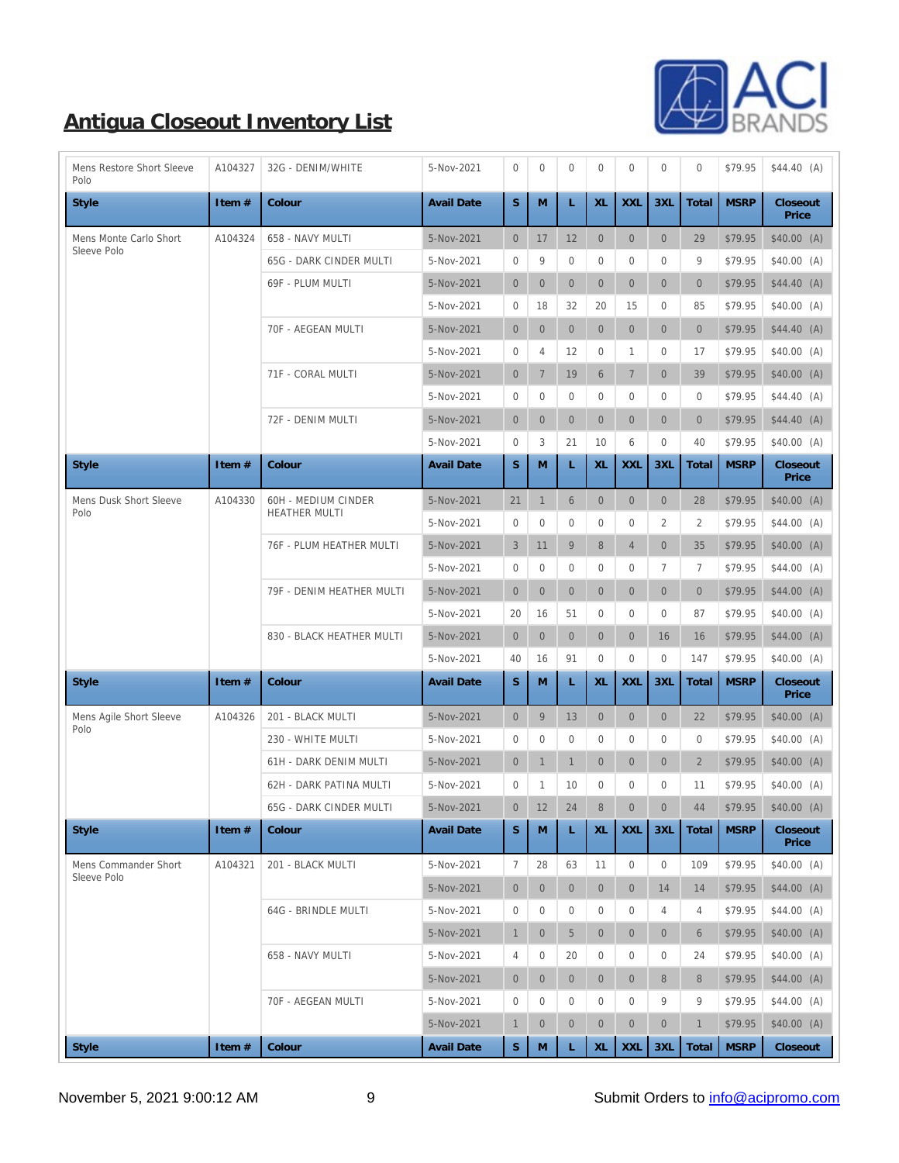

| Mens Restore Short Sleeve<br>Polo   | A104327  | 32G - DENIM/WHITE                                  | 5-Nov-2021        | $\boldsymbol{0}$ | $\bf{0}$         | $\mathbf{0}$     | $\boldsymbol{0}$ | $\mathbf{0}$     | $\mathbf{0}$     | $\mathbf{0}$     | \$79.95     | \$44.40 (A)       |
|-------------------------------------|----------|----------------------------------------------------|-------------------|------------------|------------------|------------------|------------------|------------------|------------------|------------------|-------------|-------------------|
| <b>Style</b>                        | Item $#$ | Colour                                             | <b>Avail Date</b> | S                | M                | L                | XL               | <b>XXL</b>       | 3XL              | Total            | <b>MSRP</b> | Closeout<br>Price |
| Mens Monte Carlo Short              | A104324  | 658 - NAVY MULTI                                   | 5-Nov-2021        | $\mathbf{0}$     | 17               | 12               | $\mathbf{0}$     | $\mathbf{0}$     | $\mathbf{0}$     | 29               | \$79.95     | \$40.00(A)        |
| Sleeve Polo                         |          | 65G - DARK CINDER MULTI                            | 5-Nov-2021        | $\boldsymbol{0}$ | 9                | $\mathbf{0}$     | $\boldsymbol{0}$ | $\bf{0}$         | $\boldsymbol{0}$ | 9                | \$79.95     | \$40.00(A)        |
|                                     |          | 69F - PLUM MULTI                                   | 5-Nov-2021        | $\overline{0}$   | $\mathbf{0}$     | $\mathbf{0}$     | $\overline{0}$   | $\overline{0}$   | $\mathbf{0}$     | $\mathbf{0}$     | \$79.95     | \$44.40 (A)       |
|                                     |          |                                                    | 5-Nov-2021        | $\bf{0}$         | 18               | 32               | 20               | 15               | $\bf{0}$         | 85               | \$79.95     | \$40.00(A)        |
|                                     |          | 70F - AEGEAN MULTI                                 | 5-Nov-2021        | $\overline{0}$   | $\mathbf{0}$     | $\mathbf{0}$     | $\overline{0}$   | $\overline{0}$   | $\overline{0}$   | $\mathbf{0}$     | \$79.95     | \$44.40(A)        |
|                                     |          |                                                    | 5-Nov-2021        | $\boldsymbol{0}$ | $\overline{4}$   | 12               | $\mathbf{0}$     | $\mathbf{1}$     | $\bf{0}$         | 17               | \$79.95     | \$40.00(A)        |
|                                     |          | 71F - CORAL MULTI                                  | 5-Nov-2021        | $\overline{0}$   | $\,7$            | 19               | $6\phantom{.}$   | $\tau$           | $\overline{0}$   | 39               | \$79.95     | \$40.00(A)        |
|                                     |          |                                                    | 5-Nov-2021        | $\boldsymbol{0}$ | $\bf{0}$         | $\mathbf{0}$     | $\mathbf{0}$     | $\bf{0}$         | $\bf{0}$         | $\mathbf{0}$     | \$79.95     | \$44.40 (A)       |
|                                     |          | 72F - DENIM MULTI                                  | 5-Nov-2021        | $\overline{0}$   | $\boldsymbol{0}$ | $\boldsymbol{0}$ | $\overline{0}$   | $\overline{0}$   | $\boldsymbol{0}$ | $\mathbf{0}$     | \$79.95     | $$44.40$ (A)      |
|                                     |          |                                                    | 5-Nov-2021        | $\bf{0}$         | 3                | 21               | 10               | 6                | $\mathbf{0}$     | 40               | \$79.95     | \$40.00(A)        |
| <b>Style</b>                        | Item #   | Colour                                             | <b>Avail Date</b> | S.               | M                | L                | XL               | <b>XXL</b>       | 3XL              | Total            | <b>MSRP</b> | Closeout<br>Price |
| Mens Dusk Short Sleeve<br>Polo      | A104330  | <b>60H - MEDIUM CINDER</b><br><b>HEATHER MULTI</b> | 5-Nov-2021        | 21               | $\mathbf{1}$     | $6\phantom{1}6$  | $\overline{0}$   | $\overline{0}$   | $\boldsymbol{0}$ | 28               | \$79.95     | \$40.00(A)        |
|                                     |          |                                                    | 5-Nov-2021        | $\bf{0}$         | $\bf{0}$         | $\mathbf{0}$     | $\bf{0}$         | $\bf{0}$         | 2                | $\boldsymbol{2}$ | \$79.95     | \$44.00 (A)       |
|                                     |          | 76F - PLUM HEATHER MULTI                           | 5-Nov-2021        | 3                | 11               | 9                | $\bf 8$          | $\overline{4}$   | $\overline{0}$   | 35               | \$79.95     | \$40.00(A)        |
|                                     |          |                                                    | 5-Nov-2021        | $\bf{0}$         | $\bf{0}$         | $\mathbf{0}$     | $\bf{0}$         | $\bf{0}$         | $\tau$           | 7                | \$79.95     | $$44.00$ (A)      |
|                                     |          | 79F - DENIM HEATHER MULTI                          | 5-Nov-2021        | $\overline{0}$   | $\mathbf{0}$     | $\mathbf{0}$     | $\overline{0}$   | $\mathbf{0}$     | $\overline{0}$   | $\mathbf{0}$     | \$79.95     | $$44.00$ (A)      |
|                                     |          |                                                    | 5-Nov-2021        | 20               | 16               | 51               | $\bf{0}$         | $\bf{0}$         | $\mathbf{0}$     | 87               | \$79.95     | \$40.00(A)        |
|                                     |          | 830 - BLACK HEATHER MULTI                          | 5-Nov-2021        | $\mathbf{0}$     | $\mathbf{0}$     | $\mathbf{0}$     | $\mathbf{0}$     | $\mathbf{0}$     | 16               | 16               | \$79.95     | \$44.00 (A)       |
|                                     |          |                                                    | 5-Nov-2021        | 40               | 16               | 91               | $\bf{0}$         | $\mathbf{0}$     | $\bf{0}$         | 147              | \$79.95     | \$40.00(A)        |
| <b>Style</b>                        | Item #   | Colour                                             | <b>Avail Date</b> | S                | M                | L                | XL               | <b>XXL</b>       | 3XL              | Total            | <b>MSRP</b> | Closeout<br>Price |
| Mens Agile Short Sleeve             | A104326  | 201 - BLACK MULTI                                  | 5-Nov-2021        | $\mathbf{0}$     | $9\,$            | 13               | $\mathbf{0}$     | $\mathbf{0}$     | $\boldsymbol{0}$ | 22               | \$79.95     | \$40.00(A)        |
| Polo                                |          | 230 - WHITE MULTI                                  | 5-Nov-2021        | $\mathbf{0}$     | $\bf{0}$         | $\mathbf{0}$     | $\mathbf{0}$     | $\mathbf{0}$     | $\mathbf{0}$     | $\overline{0}$   | \$79.95     | \$40.00(A)        |
|                                     |          | 61H - DARK DENIM MULTI                             | 5-Nov-2021        | $\overline{0}$   | $\mathbf{1}$     | $\mathbf{1}$     | $\mathbf{0}$     | $\overline{0}$   | $\overline{0}$   | $\sqrt{2}$       | \$79.95     | \$40.00(A)        |
|                                     |          | 62H - DARK PATINA MULTI                            | 5-Nov-2021        | $\bf{0}$         | $\mathbf{1}$     | 10               | $\boldsymbol{0}$ | $\mathbf{0}$     | $\bf{0}$         | 11               | \$79.95     | \$40.00(A)        |
|                                     |          | 65G - DARK CINDER MULTI                            | 5-Nov-2021        | $\overline{0}$   | $12\,$           | $\rm 24$         | $\,$ 8 $\,$      | $\mathbf{0}$     | $\mathbf{0}$     | 44               | \$79.95     | $$40.00$ (A)      |
| <b>Style</b>                        | Item #   | Colour                                             | <b>Avail Date</b> | S.               | M                | L                | XL               | <b>XXL</b>       | 3XL              | Total            | <b>MSRP</b> | Closeout<br>Price |
| Mens Commander Short<br>Sleeve Polo | A104321  | 201 - BLACK MULTI                                  | 5-Nov-2021        | $\boldsymbol{7}$ | 28               | 63               | 11               | $\boldsymbol{0}$ | $\mathbf{0}$     | 109              | \$79.95     | \$40.00 (A)       |
|                                     |          |                                                    | 5-Nov-2021        | $\mathbf{0}$     | $\mathbf{0}$     | $\mathbf{0}$     | $\overline{0}$   | $\overline{0}$   | 14               | 14               | \$79.95     | $$44.00$ (A)      |
|                                     |          | 64G - BRINDLE MULTI                                | 5-Nov-2021        | $\boldsymbol{0}$ | $\boldsymbol{0}$ | $\mathbf{0}$     | $\boldsymbol{0}$ | $\bf{0}$         | 4                | 4                | \$79.95     | \$44.00(A)        |
|                                     |          |                                                    | 5-Nov-2021        | $\mathbf{1}$     | $\mathbf{0}$     | $5\,$            | $\mathbf{0}$     | $\mathbf{0}$     | $\mathbf{0}$     | $\boldsymbol{6}$ | \$79.95     | \$40.00(A)        |
|                                     |          | 658 - NAVY MULTI                                   | 5-Nov-2021        | 4                | $\boldsymbol{0}$ | 20               | 0                | 0                | $\bf{0}$         | 24               | \$79.95     | \$40.00(A)        |
|                                     |          |                                                    | 5-Nov-2021        | $\mathbf{0}$     | $\mathbf{0}$     | $\mathbf{0}$     | $\mathbf{0}$     | $\mathbf{0}$     | 8                | 8                | \$79.95     | $$44.00$ (A)      |
|                                     |          | 70F - AEGEAN MULTI                                 | 5-Nov-2021        | $\boldsymbol{0}$ | $\boldsymbol{0}$ | $\mathbf{0}$     | $\boldsymbol{0}$ | 0                | 9                | 9                | \$79.95     | \$44.00 (A)       |
|                                     |          |                                                    | 5-Nov-2021        | $\mathbf{1}$     | $\boldsymbol{0}$ | $\boldsymbol{0}$ | $\mathbf{0}$     | $\mathbf{0}$     | $\mathbf{0}$     | $\mathbf{1}$     | \$79.95     | \$40.00(A)        |
| <b>Style</b>                        | Item #   | Colour                                             | <b>Avail Date</b> | ${\bf S}$        | M                | L                | XL               | <b>XXL</b>       | 3XL              | Total            | <b>MSRP</b> | Closeout          |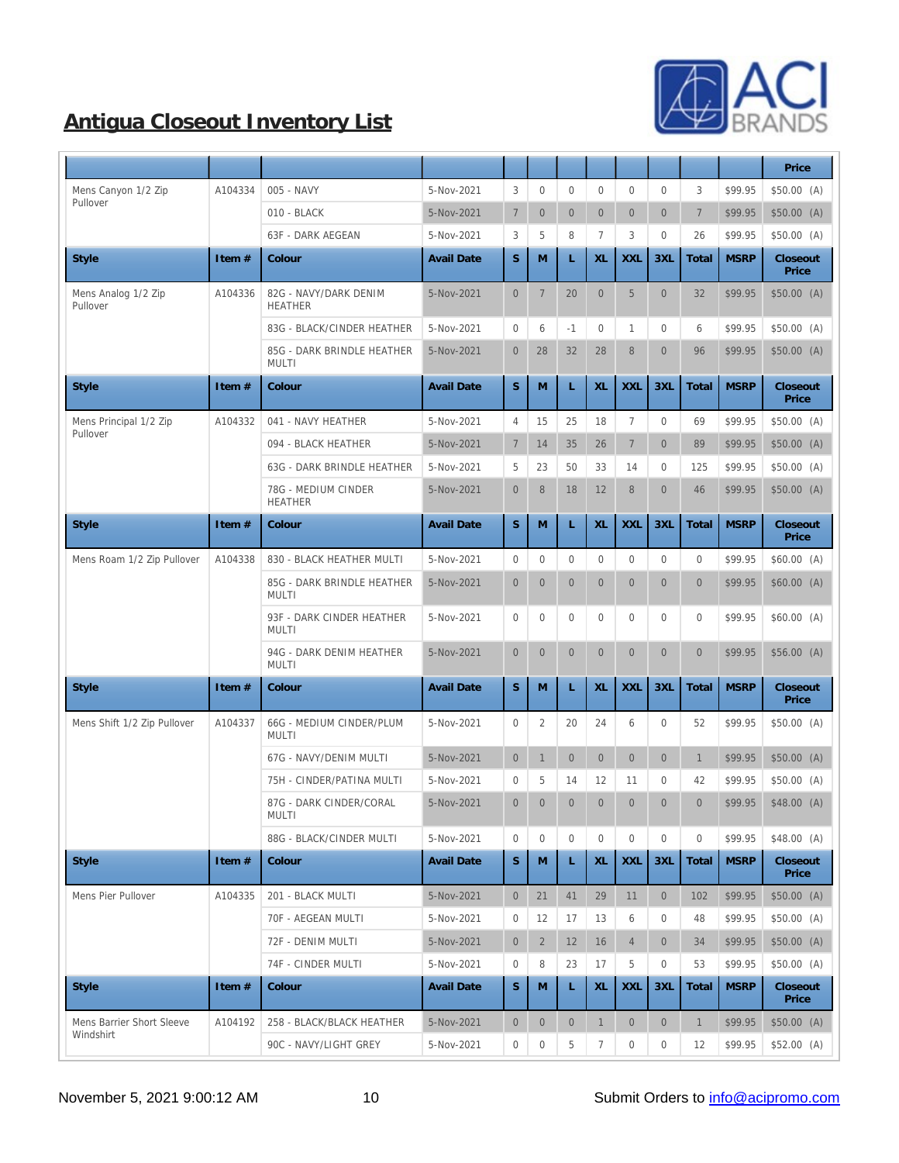

|                                        |         |                                            |                   |                  |                  |                  |                  |                  |                  |                  |             | Price             |
|----------------------------------------|---------|--------------------------------------------|-------------------|------------------|------------------|------------------|------------------|------------------|------------------|------------------|-------------|-------------------|
| Mens Canyon 1/2 Zip                    | A104334 | 005 - NAVY                                 | 5-Nov-2021        | 3                | $\bf{0}$         | $\boldsymbol{0}$ | $\boldsymbol{0}$ | $\overline{0}$   | $\mathbf{0}$     | 3                | \$99.95     | \$50.00 (A)       |
| Pullover                               |         | 010 - BLACK                                | 5-Nov-2021        | $\tau$           | $\mathbf{0}$     | $\mathbf{0}$     | $\boldsymbol{0}$ | $\overline{0}$   | $\mathbf{0}$     | $\overline{7}$   | \$99.95     | \$50.00 (A)       |
|                                        |         | <b>63F - DARK AEGEAN</b>                   | 5-Nov-2021        | 3                | 5                | 8                | $\tau$           | 3                | $\mathbf{0}$     | 26               | \$99.95     | \$50.00(A)        |
| <b>Style</b>                           | Item#   | Colour                                     | <b>Avail Date</b> | S                | $\mathbf M$      | L                | $\mbox{XL}$      | <b>XXL</b>       | 3XL              | Total            | <b>MSRP</b> | Closeout<br>Price |
| Mens Analog 1/2 Zip<br>Pullover        | A104336 | 82G - NAVY/DARK DENIM<br><b>HEATHER</b>    | 5-Nov-2021        | $\boldsymbol{0}$ | $\tau$           | 20               | $\overline{0}$   | $\overline{5}$   | $\mathbf{0}$     | 32               | \$99.95     | \$50.00(A)        |
|                                        |         | 83G - BLACK/CINDER HEATHER                 | 5-Nov-2021        | $\boldsymbol{0}$ | 6                | $-1$             | 0                | $\mathbf{1}$     | $\bf{0}$         | 6                | \$99.95     | \$50.00(A)        |
|                                        |         | 85G - DARK BRINDLE HEATHER<br><b>MULTI</b> | 5-Nov-2021        | $\boldsymbol{0}$ | 28               | 32               | 28               | 8                | $\mathbf{0}$     | 96               | \$99.95     | \$50.00(A)        |
| <b>Style</b>                           | Item#   | Colour                                     | <b>Avail Date</b> | $\mathbf S$      | M                | L                | XL               | <b>XXL</b>       | 3XL              | Total            | <b>MSRP</b> | Closeout<br>Price |
| Mens Principal 1/2 Zip                 | A104332 | 041 - NAVY HEATHER                         | 5-Nov-2021        | $\overline{4}$   | 15               | 25               | 18               | $\boldsymbol{7}$ | $\boldsymbol{0}$ | 69               | \$99.95     | \$50.00(A)        |
| Pullover                               |         | 094 - BLACK HEATHER                        | 5-Nov-2021        | $\boldsymbol{7}$ | 14               | 35               | 26               | $7\phantom{.}$   | $\mathbf{0}$     | 89               | \$99.95     | \$50.00(A)        |
|                                        |         | 63G - DARK BRINDLE HEATHER                 | 5-Nov-2021        | $\overline{5}$   | 23               | 50               | 33               | 14               | $\bf{0}$         | 125              | \$99.95     | \$50.00(A)        |
|                                        |         | 78G - MEDIUM CINDER<br><b>HEATHER</b>      | 5-Nov-2021        | $\boldsymbol{0}$ | $\,$ 8 $\,$      | 18               | 12               | 8                | $\mathbf{0}$     | 46               | \$99.95     | \$50.00(A)        |
| <b>Style</b>                           | Item#   | Colour                                     | <b>Avail Date</b> | S                | M                | L                | XL               | <b>XXL</b>       | 3XL              | Total            | <b>MSRP</b> | Closeout<br>Price |
| Mens Roam 1/2 Zip Pullover             | A104338 | 830 - BLACK HEATHER MULTI                  | 5-Nov-2021        | $\boldsymbol{0}$ | $\mathbf{0}$     | $\mathbf{0}$     | $\boldsymbol{0}$ | $\overline{0}$   | $\boldsymbol{0}$ | $\boldsymbol{0}$ | \$99.95     | \$60.00(A)        |
|                                        |         | 85G - DARK BRINDLE HEATHER<br><b>MULTI</b> | 5-Nov-2021        | $\mathbf{0}$     | $\mathbf{0}$     | $\mathbf{0}$     | $\overline{0}$   | $\overline{0}$   | $\mathbf{0}$     | $\mathbf{0}$     | \$99.95     | \$60.00(A)        |
|                                        |         | 93F - DARK CINDER HEATHER<br><b>MULTI</b>  | 5-Nov-2021        | $\mathbf{0}$     | $\bf{0}$         | $\bf{0}$         | $\boldsymbol{0}$ | $\overline{0}$   | $\boldsymbol{0}$ | $\boldsymbol{0}$ | \$99.95     | \$60.00(A)        |
|                                        |         | 94G - DARK DENIM HEATHER<br><b>MULTI</b>   | 5-Nov-2021        | $\boldsymbol{0}$ | $\mathbf{0}$     | $\mathbf{0}$     | $\overline{0}$   | $\overline{0}$   | $\mathbf{0}$     | $\boldsymbol{0}$ | \$99.95     | \$56.00(A)        |
| <b>Style</b>                           | Item#   | Colour                                     | <b>Avail Date</b> | S                | M                | L                | XL               | <b>XXL</b>       | 3XL              | Total            | <b>MSRP</b> | Closeout<br>Price |
| Mens Shift 1/2 Zip Pullover            | A104337 | 66G - MEDIUM CINDER/PLUM<br><b>MULTI</b>   | 5-Nov-2021        | $\boldsymbol{0}$ | $\boldsymbol{2}$ | 20               | 24               | 6                | $\boldsymbol{0}$ | 52               | \$99.95     | \$50.00 (A)       |
|                                        |         | 67G - NAVY/DENIM MULTI                     | 5-Nov-2021        | $\mathbf{0}$     | $\mathbf{1}$     | $\mathbf{0}$     | $\overline{0}$   | $\overline{0}$   | $\mathbf{0}$     | $\mathbf{1}$     | \$99.95     | \$50.00(A)        |
|                                        |         | 75H - CINDER/PATINA MULTI                  | 5-Nov-2021        | $\boldsymbol{0}$ | 5                | 14               | 12               | 11               | $\bf{0}$         | 42               | \$99.95     | \$50.00(A)        |
|                                        |         | 87G - DARK CINDER/CORAL<br>MULTI           | 5-Nov-2021        | $\overline{0}$   | $\overline{0}$   | $\boldsymbol{0}$ | $\overline{0}$   | $\mathbf{0}$     | $\mathbf{0}$     | $\overline{0}$   | \$99.95     | \$48.00 (A)       |
|                                        |         | 88G - BLACK/CINDER MULTI                   | 5-Nov-2021        | $\mathbf{0}$     | $\bf{0}$         | $\boldsymbol{0}$ | $\bf{0}$         | $\boldsymbol{0}$ | $\boldsymbol{0}$ | $\boldsymbol{0}$ | \$99.95     | \$48.00(A)        |
| <b>Style</b>                           | Item#   | Colour                                     | <b>Avail Date</b> | S.               | M                | L                | XL               | <b>XXL</b>       | 3XL              | Total            | <b>MSRP</b> | Closeout<br>Price |
| Mens Pier Pullover                     | A104335 | 201 - BLACK MULTI                          | 5-Nov-2021        | $\mathbf{0}$     | 21               | 41               | 29               | 11               | $\overline{0}$   | 102              | \$99.95     | \$50.00(A)        |
|                                        |         | 70F - AEGEAN MULTI                         | 5-Nov-2021        | $\bf{0}$         | 12               | 17               | 13               | 6                | $\bf{0}$         | 48               | \$99.95     | \$50.00(A)        |
|                                        |         | 72F - DENIM MULTI                          | 5-Nov-2021        | $\mathbf{0}$     | $\boldsymbol{2}$ | 12               | 16               | $\overline{4}$   | $\mathbf{0}$     | 34               | \$99.95     | \$50.00(A)        |
|                                        |         | 74F - CINDER MULTI                         | 5-Nov-2021        | $\boldsymbol{0}$ | 8                | 23               | 17               | 5                | $\bf{0}$         | 53               | \$99.95     | \$50.00(A)        |
| <b>Style</b>                           | Item#   | Colour                                     | <b>Avail Date</b> | S.               | M                | L                | XL               | <b>XXL</b>       | 3XL              | Total            | <b>MSRP</b> | Closeout<br>Price |
| Mens Barrier Short Sleeve<br>Windshirt | A104192 | 258 - BLACK/BLACK HEATHER                  | 5-Nov-2021        | $\mathbf{0}$     | $\boldsymbol{0}$ | $\mathbf{0}$     | $\mathbf{1}$     | $\mathbf{0}$     | $\mathbf{0}$     | $\mathbf{1}$     | \$99.95     | \$50.00(A)        |
|                                        |         | 90C - NAVY/LIGHT GREY                      | 5-Nov-2021        | $\bf{0}$         | $\boldsymbol{0}$ | $\overline{5}$   | $\tau$           | $\overline{0}$   | $\boldsymbol{0}$ | 12               | \$99.95     | \$52.00(A)        |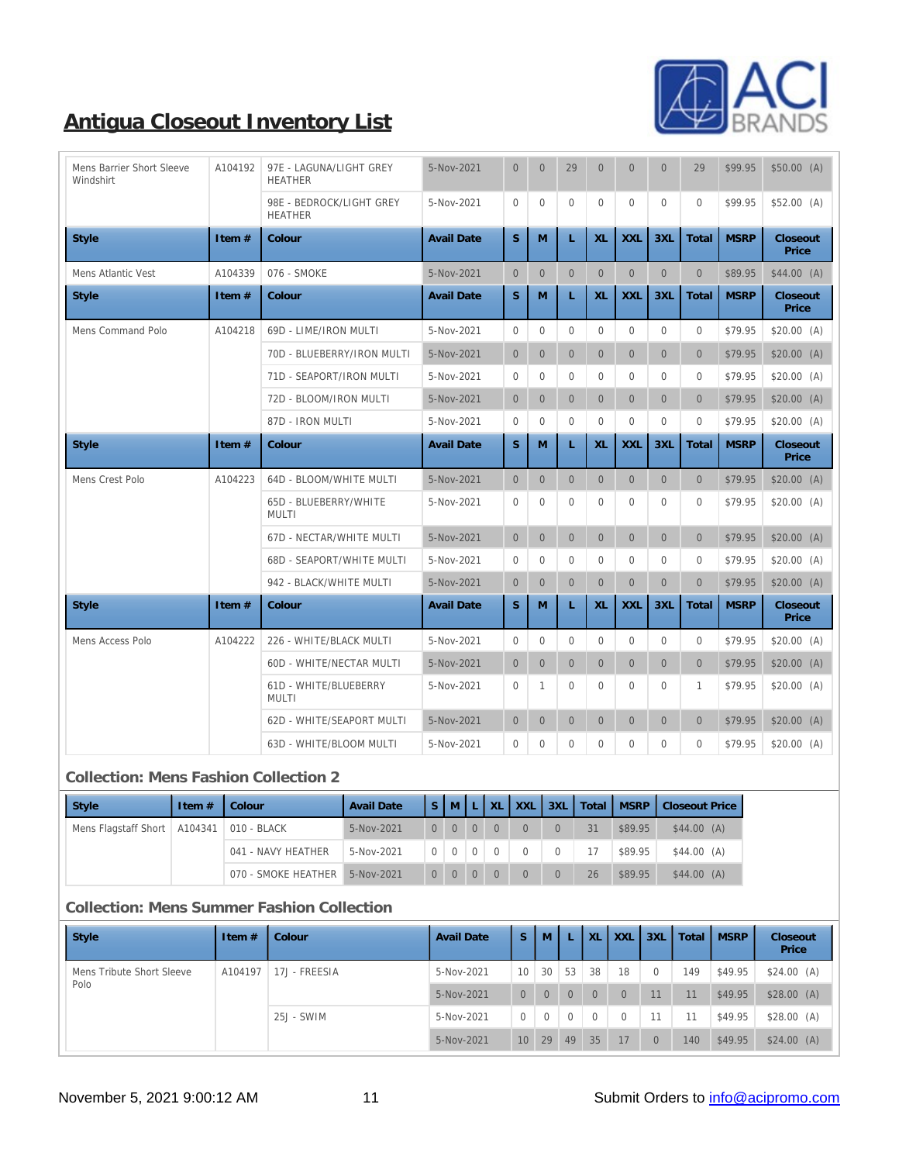

| Mens Barrier Short Sleeve<br>Windshirt | A104192 | 97E - LAGUNA/LIGHT GREY<br><b>HEATHER</b>  | 5-Nov-2021        | $\mathbf{0}$     | $\mathbf{0}$     | 29             | $\mathbf{0}$     | $\overline{0}$ | $\mathbf{0}$     | 29             | \$99.95     | \$50.00(A)        |
|----------------------------------------|---------|--------------------------------------------|-------------------|------------------|------------------|----------------|------------------|----------------|------------------|----------------|-------------|-------------------|
|                                        |         | 98E - BEDROCK/LIGHT GREY<br><b>HEATHER</b> | 5-Nov-2021        | $\mathbf{0}$     | $\mathbf{0}$     | $\mathbf{0}$   | $\mathbf{0}$     | $\mathbf{0}$   | $\mathbf{0}$     | $\mathbf{0}$   | \$99.95     | \$52.00(A)        |
| Style                                  | Item #  | Colour                                     | <b>Avail Date</b> | S                | M                | L              | XL               | <b>XXL</b>     | 3XL              | Total          | <b>MSRP</b> | Closeout<br>Price |
| Mens Atlantic Vest                     | A104339 | 076 - SMOKE                                | 5-Nov-2021        | $\mathbf{0}$     | $\mathbf{0}$     | $\mathbf{0}$   | $\mathbf{0}$     | $\mathbf{0}$   | $\mathbf{0}$     | $\mathbf{0}$   | \$89.95     | $$44.00$ (A)      |
| <b>Style</b>                           | Item #  | Colour                                     | <b>Avail Date</b> | S                | M                | L              | XL               | <b>XXL</b>     | 3XL              | Total          | <b>MSRP</b> | Closeout<br>Price |
| Mens Command Polo                      | A104218 | 69D - LIME/IRON MULTI                      | 5-Nov-2021        | $\boldsymbol{0}$ | $\mathbf{0}$     | $\mathbf{0}$   | $\overline{0}$   | $\overline{0}$ | $\mathbf{0}$     | $\mathbf{0}$   | \$79.95     | \$20.00(A)        |
|                                        |         | 70D - BLUEBERRY/IRON MULTI                 | 5-Nov-2021        | $\mathbf{0}$     | $\boldsymbol{0}$ | $\mathbf{0}$   | $\overline{0}$   | $\overline{0}$ | $\mathbf{0}$     | $\overline{0}$ | \$79.95     | \$20.00(A)        |
|                                        |         | 71D - SEAPORT/IRON MULTI                   | 5-Nov-2021        | $\bf{0}$         | $\bf{0}$         | $\mathbf{0}$   | $\mathbf{0}$     | $\overline{0}$ | $\mathbf{0}$     | $\mathbf{0}$   | \$79.95     | \$20.00(A)        |
|                                        |         | 72D - BLOOM/IRON MULTI                     | 5-Nov-2021        | $\overline{0}$   | $\overline{0}$   | $\overline{0}$ | $\overline{0}$   | $\overline{0}$ | $\overline{0}$   | $\overline{0}$ | \$79.95     | \$20.00(A)        |
|                                        |         | 87D - IRON MULTI                           | 5-Nov-2021        | $\bf{0}$         | $\mathbf{0}$     | $\Omega$       | $\mathbf{0}$     | $\mathbf{0}$   | $\mathbf{0}$     | $\mathbf{0}$   | \$79.95     | \$20.00(A)        |
| <b>Style</b>                           | Item #  | Colour                                     | <b>Avail Date</b> | S                | M                | L              | XL               | <b>XXL</b>     | 3XL              | Total          | <b>MSRP</b> | Closeout<br>Price |
|                                        |         |                                            |                   |                  |                  |                |                  |                |                  |                |             |                   |
| Mens Crest Polo                        | A104223 | 64D - BLOOM/WHITE MULTI                    | 5-Nov-2021        | $\overline{0}$   | $\mathbf{0}$     | $\mathbf{0}$   | $\mathbf{0}$     | $\mathbf{0}$   | $\mathbf{0}$     | $\mathbf{0}$   | \$79.95     | \$20.00(A)        |
|                                        |         | 65D - BLUEBERRY/WHITE<br><b>MULTI</b>      | 5-Nov-2021        | $\mathbf{0}$     | $\mathbf{0}$     | $\mathbf{0}$   | $\mathbf{0}$     | $\mathbf{0}$   | $\mathbf{0}$     | $\mathbf{0}$   | \$79.95     | \$20.00(A)        |
|                                        |         | <b>67D - NECTAR/WHITE MULTI</b>            | 5-Nov-2021        | $\overline{0}$   | $\overline{0}$   | $\overline{0}$ | $\overline{0}$   | $\overline{0}$ | $\mathbf{0}$     | $\mathbf{0}$   | \$79.95     | \$20.00(A)        |
|                                        |         | 68D - SEAPORT/WHITE MULTI                  | 5-Nov-2021        | $\mathbf{0}$     | $\mathbf{0}$     | $\Omega$       | $\Omega$         | $\Omega$       | $\mathbf{0}$     | $\mathbf{0}$   | \$79.95     | \$20.00(A)        |
|                                        |         | 942 - BLACK/WHITE MULTI                    | 5-Nov-2021        | $\overline{0}$   | $\boldsymbol{0}$ | $\mathbf{0}$   | $\boldsymbol{0}$ | $\overline{0}$ | $\mathbf{0}$     | $\overline{0}$ | \$79.95     | \$20.00(A)        |
| <b>Style</b>                           | Item #  | Colour                                     | <b>Avail Date</b> | S                | M                | L              | XL               | <b>XXL</b>     | 3XL              | Total          | <b>MSRP</b> | Closeout<br>Price |
| Mens Access Polo                       | A104222 | 226 - WHITE/BLACK MULTI                    | 5-Nov-2021        | $\bf{0}$         | $\mathbf{0}$     | $\mathbf{0}$   | $\mathbf{0}$     | $\mathbf{0}$   | $\mathbf{0}$     | $\mathbf{0}$   | \$79.95     | \$20.00(A)        |
|                                        |         | <b>60D - WHITE/NECTAR MULTI</b>            | 5-Nov-2021        | $\mathbf{0}$     | $\mathbf{0}$     | $\overline{0}$ | $\overline{0}$   | $\overline{0}$ | $\mathbf{0}$     | $\overline{0}$ | \$79.95     | \$20.00(A)        |
|                                        |         | 61D - WHITE/BLUEBERRY<br>MULTI             | 5-Nov-2021        | $\bf{0}$         | 1                | $\mathbf{0}$   | $\mathbf{0}$     | $\overline{0}$ | $\boldsymbol{0}$ | 1              | \$79.95     | \$20.00(A)        |
|                                        |         | 62D - WHITE/SEAPORT MULTI                  | 5-Nov-2021        | $\overline{0}$   | $\boldsymbol{0}$ | $\overline{0}$ | $\overline{0}$   | $\overline{0}$ | $\mathbf{0}$     | $\overline{0}$ | \$79.95     | \$20.00(A)        |

#### **Collection: Mens Fashion Collection 2**

| <b>Style</b>                                 | Item $#$ | Colour              | <b>Avail Date</b> |          |                     | $S$ MLTXL      | <b>XXL</b> | 3XL      |    | Total MSRP | <b>Closeout Price</b> |
|----------------------------------------------|----------|---------------------|-------------------|----------|---------------------|----------------|------------|----------|----|------------|-----------------------|
| Mens Flagstaff Short   A104341   010 - BLACK |          |                     | 5-Nov-2021        | $\Omega$ | $0 \quad 0$         | $\Omega$       | $\Omega$   | $\Omega$ | 31 | \$89.95    | $S44.00$ (A)          |
|                                              |          | 041 - NAVY HEATHER  | 5-Nov-2021        |          | $0 \quad 0 \quad 0$ | $\overline{0}$ | $\Omega$   | $\Omega$ |    | \$89.95    | $S44.00$ (A)          |
|                                              |          | 070 - SMOKE HEATHER | $5-Nov-2021$      | $\Omega$ | $0 \quad 0$         | $\Omega$       | $\Omega$   | $\Omega$ | 26 | \$89.95    | $$44.00$ (A)          |

### **Collection: Mens Summer Fashion Collection**

| Style                     | Item $#$ | Colour        | <b>Avail Date</b> | 'S              | M              |                | <b>XL</b> | <b>XXL</b>     | 3XL      | Total | <b>MSRP</b> | Closeout<br>Price |
|---------------------------|----------|---------------|-------------------|-----------------|----------------|----------------|-----------|----------------|----------|-------|-------------|-------------------|
| Mens Tribute Short Sleeve | A104197  | 17J - FREESIA | 5-Nov-2021        | 10              | 30             | 53             | 38        | 18             | $\Omega$ | 149   | \$49.95     | \$24.00(A)        |
| Polo                      |          |               | 5-Nov-2021        | $\overline{0}$  | $\overline{0}$ | $\Omega$       | $\Omega$  | $\overline{0}$ | 11       | 11    | \$49.95     | \$28.00(A)        |
|                           |          | 25J - SWIM    | 5-Nov-2021        | $\mathbf{0}$    | $\mathbf{0}$   | $\overline{0}$ | $\Omega$  | $\mathbf{0}$   | 11       | 11    | \$49.95     | \$28.00(A)        |
|                           |          |               | $5-Nov-2021$      | 10 <sup>1</sup> | 29             | 49             | 35        | 17             | $\Omega$ | 140   | \$49.95     | $$24.00$ (A)      |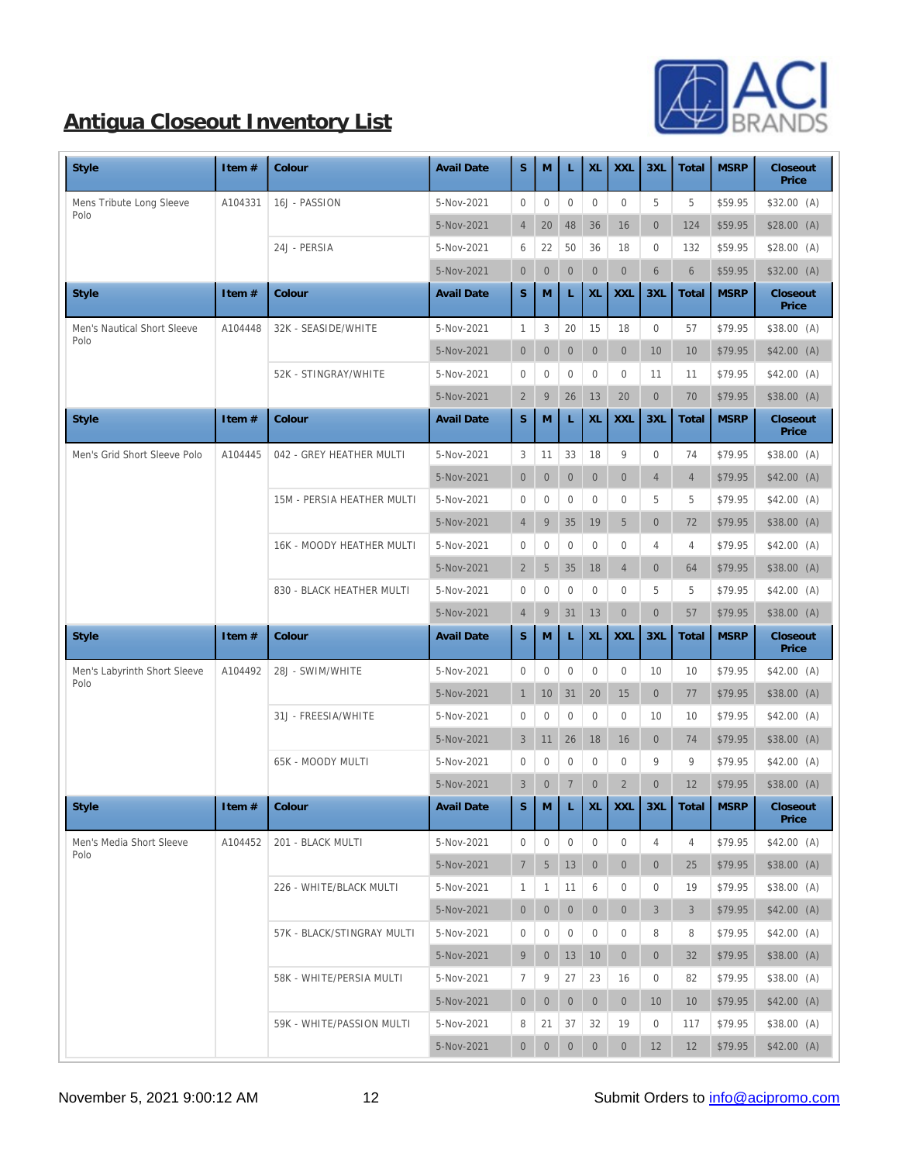

| <b>Style</b>                 | Item #  | Colour                           | <b>Avail Date</b> | S                  | M                | L                | XL               | <b>XXL</b>       | 3XL             | Total          | <b>MSRP</b> | Closeout<br>Price |
|------------------------------|---------|----------------------------------|-------------------|--------------------|------------------|------------------|------------------|------------------|-----------------|----------------|-------------|-------------------|
| Mens Tribute Long Sleeve     | A104331 | 16J - PASSION                    | 5-Nov-2021        | $\mathbf{0}$       | $\boldsymbol{0}$ | $\mathbf{0}$     | $\boldsymbol{0}$ | $\mathbf{0}$     | 5               | $\mathbf 5$    | \$59.95     | \$32.00 (A)       |
| Polo                         |         |                                  | 5-Nov-2021        | $\overline{4}$     | 20               | 48               | 36               | 16               | $\mathbf{0}$    | 124            | \$59.95     | \$28.00(A)        |
|                              |         | 24J - PERSIA                     | 5-Nov-2021        | 6                  | 22               | 50               | 36               | 18               | $\mathbf{0}$    | 132            | \$59.95     | \$28.00(A)        |
|                              |         |                                  | 5-Nov-2021        | $\boldsymbol{0}$   | $\overline{0}$   | $\boldsymbol{0}$ | $\mathbf{0}$     | $\mathbf{0}$     | $6\phantom{1}6$ | $6\phantom{1}$ | \$59.95     | \$32.00(A)        |
| <b>Style</b>                 | Item#   | Colour                           | <b>Avail Date</b> | $\mathbf S$        | M                | L                | XL               | <b>XXL</b>       | 3XL             | Total          | <b>MSRP</b> | Closeout<br>Price |
| Men's Nautical Short Sleeve  | A104448 | 32K - SEASIDE/WHITE              | 5-Nov-2021        | $\mathbf{1}$       | $\,3$            | 20               | 15               | 18               | $\bf{0}$        | 57             | \$79.95     | \$38.00(A)        |
| Polo                         |         |                                  | 5-Nov-2021        | $\mathbf{0}$       | $\mathbf{0}$     | $\boldsymbol{0}$ | $\mathbf{0}$     | $\mathbf{0}$     | 10              | 10             | \$79.95     | $$42.00$ (A)      |
|                              |         | 52K - STINGRAY/WHITE             | 5-Nov-2021        | $\mathbf{0}$       | $\boldsymbol{0}$ | $\bf{0}$         | $\bf{0}$         | $\mathbf{0}$     | 11              | 11             | \$79.95     | $$42.00$ (A)      |
|                              |         |                                  | 5-Nov-2021        | $\boldsymbol{2}$   | 9                | 26               | 13               | 20               | $\mathbf{0}$    | 70             | \$79.95     | \$38.00(A)        |
| <b>Style</b>                 | Item#   | Colour                           | <b>Avail Date</b> | S                  | M                | L                | XL               | <b>XXL</b>       | 3XL             | Total          | <b>MSRP</b> | Closeout<br>Price |
| Men's Grid Short Sleeve Polo | A104445 | 042 - GREY HEATHER MULTI         | 5-Nov-2021        | $\sqrt{3}$         | 11               | 33               | 18               | $9\,$            | $\mathbf{0}$    | 74             | \$79.95     | \$38.00 (A)       |
|                              |         |                                  | 5-Nov-2021        | $\mathbf{0}$       | $\overline{0}$   | $\boldsymbol{0}$ | $\mathbf{0}$     | $\mathbf{0}$     | $\overline{4}$  | $\overline{4}$ | \$79.95     | \$42.00 (A)       |
|                              |         | 15M - PERSIA HEATHER MULTI       | 5-Nov-2021        | $\mathbf{0}$       | $\boldsymbol{0}$ | $\mathbf{0}$     | $\bf{0}$         | $\boldsymbol{0}$ | 5               | 5              | \$79.95     | \$42.00(A)        |
|                              |         |                                  | 5-Nov-2021        | $\overline{4}$     | $\boldsymbol{9}$ | 35               | 19               | $\overline{5}$   | $\overline{0}$  | 72             | \$79.95     | \$38.00 (A)       |
|                              |         | <b>16K - MOODY HEATHER MULTI</b> | 5-Nov-2021        | $\boldsymbol{0}$   | $\boldsymbol{0}$ | $\mathbf{0}$     | $\bf{0}$         | $\boldsymbol{0}$ | 4               | 4              | \$79.95     | $$42.00$ (A)      |
|                              |         |                                  | 5-Nov-2021        | $\boldsymbol{2}$   | $5\,$            | 35               | 18               | $\overline{4}$   | $\mathbf{0}$    | 64             | \$79.95     | \$38.00(A)        |
|                              |         | 830 - BLACK HEATHER MULTI        | 5-Nov-2021        | $\mathbf{0}$       | $\boldsymbol{0}$ | $\mathbf{0}$     | $\mathbf{0}$     | $\boldsymbol{0}$ | 5               | 5              | \$79.95     | \$42.00(A)        |
|                              |         |                                  | 5-Nov-2021        | $\overline{4}$     | $\boldsymbol{9}$ | 31               | 13               | $\boldsymbol{0}$ | $\mathbf{0}$    | 57             | \$79.95     | \$38.00(A)        |
| <b>Style</b>                 | Item#   | Colour                           | <b>Avail Date</b> | S                  | M                | L                | XL               | <b>XXL</b>       | 3XL             | Total          | <b>MSRP</b> | Closeout<br>Price |
| Men's Labyrinth Short Sleeve | A104492 | 28J - SWIM/WHITE                 | 5-Nov-2021        | $\mathbf{0}$       | $\mathbf{0}$     | $\boldsymbol{0}$ | $\boldsymbol{0}$ | $\mathbf{0}$     | 10              | 10             | \$79.95     | \$42.00 (A)       |
| Polo                         |         |                                  | 5-Nov-2021        | $\mathbf{1}$       | 10               | 31               | 20               | 15               | $\mathbf{0}$    | 77             | \$79.95     | \$38.00(A)        |
|                              |         | 31J - FREESIA/WHITE              | 5-Nov-2021        | $\mathbf{0}$       | $\boldsymbol{0}$ | $\mathbf{0}$     | $\mathbf{0}$     | $\boldsymbol{0}$ | 10              | 10             | \$79.95     | $$42.00$ (A)      |
|                              |         |                                  | 5-Nov-2021        | 3                  | 11               | 26               | 18               | 16               | $\mathbf{0}$    | 74             | \$79.95     | \$38.00(A)        |
|                              |         | 65K - MOODY MULTI                | 5-Nov-2021        | $\boldsymbol{0}$   | $\bf{0}$         | $\bf{0}$         | $\bf{0}$         | $\boldsymbol{0}$ | 9               | 9              | \$79.95     | $$42.00$ (A)      |
|                              |         |                                  | 5-Nov-2021        | 3                  | $\mathbf{0}$     | $\overline{7}$   | $\boldsymbol{0}$ | $\sqrt{2}$       | $\overline{0}$  | 12             | \$79.95     | \$38.00(A)        |
| Style                        | Item #  | Colour                           | <b>Avail Date</b> | $\bar{\mathbf{S}}$ |                  |                  |                  |                  | $M$ L XL XL 3XL | Total          | MSRP        | Closeout<br>Price |
| Men's Media Short Sleeve     | A104452 | 201 - BLACK MULTI                | 5-Nov-2021        | $\mathbf{0}$       | $\boldsymbol{0}$ | $\mathbf{0}$     | $\bf{0}$         | $\boldsymbol{0}$ | 4               | 4              | \$79.95     | \$42.00 (A)       |
| Polo                         |         |                                  | 5-Nov-2021        | $\tau$             | $5\phantom{.0}$  | 13               | $\bf{0}$         | $\mathbf{0}$     | $\mathbf{0}$    | 25             | \$79.95     | \$38.00(A)        |
|                              |         | 226 - WHITE/BLACK MULTI          | 5-Nov-2021        | $\mathbf{1}$       | $\mathbf{1}$     | 11               | $6\phantom{1}6$  | $\mathbf{0}$     | $\bf{0}$        | 19             | \$79.95     | \$38.00 (A)       |
|                              |         |                                  | 5-Nov-2021        | $\mathbf{0}$       | $\overline{0}$   | $\mathbf{0}$     | $\bf{0}$         | $\overline{0}$   | 3               | 3              | \$79.95     | \$42.00 (A)       |
|                              |         | 57K - BLACK/STINGRAY MULTI       | 5-Nov-2021        | $\bf{0}$           | $\bf{0}$         | $\mathbf{0}$     | $\boldsymbol{0}$ | $\boldsymbol{0}$ | 8               | 8              | \$79.95     | \$42.00 (A)       |
|                              |         |                                  | 5-Nov-2021        | 9                  | $\overline{0}$   | 13               | 10               | $\mathbf{0}$     | $\mathbf{0}$    | 32             | \$79.95     | \$38.00(A)        |
|                              |         | 58K - WHITE/PERSIA MULTI         | 5-Nov-2021        | $\tau$             | $9\,$            | 27               | 23               | 16               | $\bf{0}$        | 82             | \$79.95     | \$38.00 (A)       |
|                              |         |                                  | 5-Nov-2021        | $\mathbf{0}$       | $\overline{0}$   | $\overline{0}$   | $\mathbf{0}$     | $\overline{0}$   | 10              | 10             | \$79.95     | $$42.00$ (A)      |
|                              |         | 59K - WHITE/PASSION MULTI        | 5-Nov-2021        | 8                  | 21               | 37               | 32               | 19               | $\bf{0}$        | 117            | \$79.95     | \$38.00 (A)       |
|                              |         |                                  | 5-Nov-2021        | $\overline{0}$     | $\overline{0}$   | $\boldsymbol{0}$ | $\boldsymbol{0}$ | $\overline{0}$   | 12              | 12             | \$79.95     | $$42.00$ (A)      |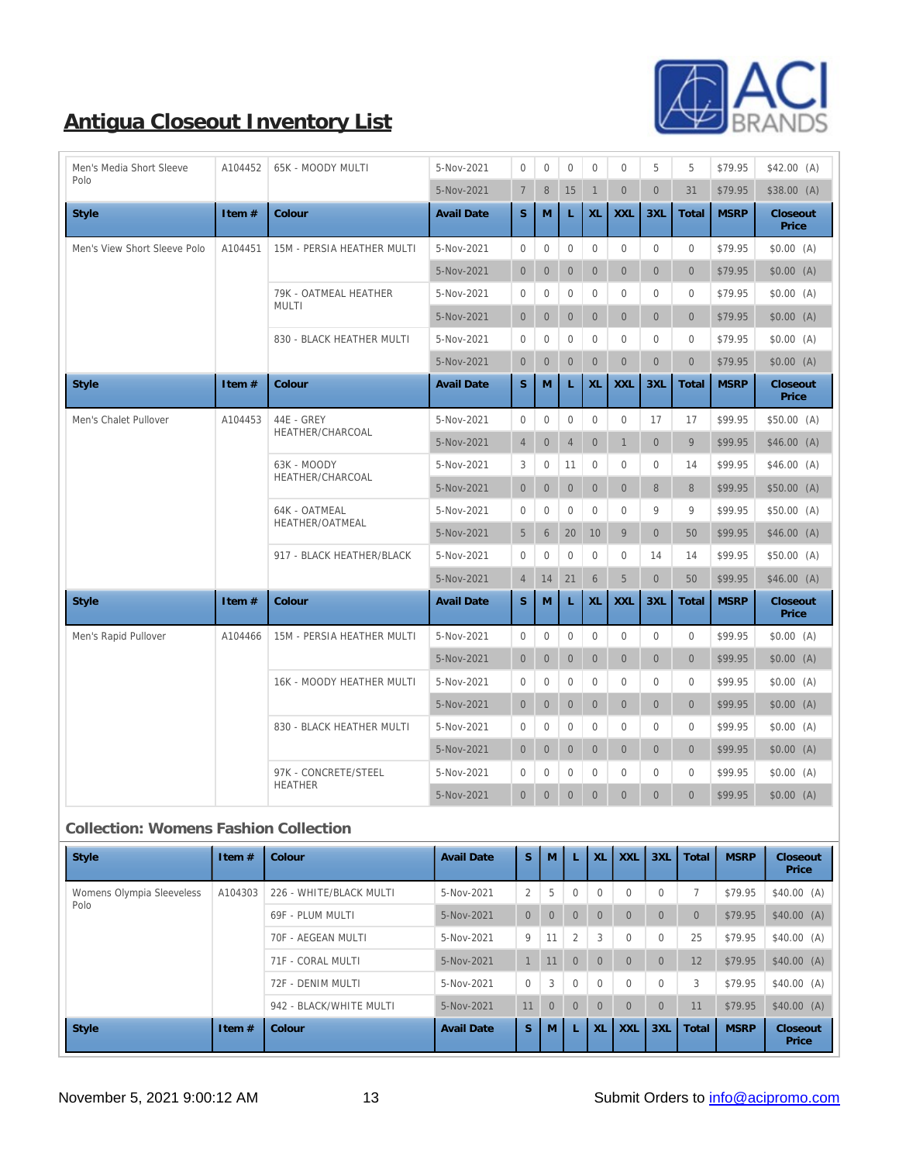

| Men's Media Short Sleeve     | A104452 | 65K - MOODY MULTI                 | 5-Nov-2021        | $\mathbf{0}$     | $\overline{0}$   | $\mathbf{0}$     | $\mathbf{0}$     | $\overline{0}$   | 5                | 5              | \$79.95     | $$42.00$ (A)      |
|------------------------------|---------|-----------------------------------|-------------------|------------------|------------------|------------------|------------------|------------------|------------------|----------------|-------------|-------------------|
| Polo                         |         |                                   | 5-Nov-2021        | $\boldsymbol{7}$ | $\,8\,$          | 15               | $\mathbf{1}$     | $\mathbf{0}$     | $\overline{0}$   | 31             | \$79.95     | \$38.00(A)        |
| <b>Style</b>                 | Item #  | Colour                            | <b>Avail Date</b> | S                | M                | L                | XL               | <b>XXL</b>       | 3XL              | Total          | <b>MSRP</b> | Closeout<br>Price |
| Men's View Short Sleeve Polo | A104451 | <b>15M - PERSIA HEATHER MULTI</b> | 5-Nov-2021        | $\boldsymbol{0}$ | $\overline{0}$   | $\mathbf{0}$     | $\mathbf{0}$     | $\overline{0}$   | $\mathbf{0}$     | $\mathbf{0}$   | \$79.95     | \$0.00(A)         |
|                              |         |                                   | 5-Nov-2021        | $\mathbf{0}$     | $\mathbf{0}$     | $\mathbf{0}$     | $\overline{0}$   | $\overline{0}$   | $\overline{0}$   | $\overline{0}$ | \$79.95     | \$0.00(A)         |
|                              |         | 79K - OATMEAL HEATHER             | 5-Nov-2021        | $\boldsymbol{0}$ | $\mathbf{0}$     | $\mathbf{0}$     | $\mathbf{0}$     | $\overline{0}$   | $\mathbf{0}$     | $\mathbf{0}$   | \$79.95     | \$0.00(A)         |
|                              |         | <b>MULTI</b>                      | 5-Nov-2021        | $\boldsymbol{0}$ | $\mathbf{0}$     | $\overline{0}$   | $\mathbf{0}$     | $\overline{0}$   | $\mathbf{0}$     | $\overline{0}$ | \$79.95     | \$0.00(A)         |
|                              |         | 830 - BLACK HEATHER MULTI         | 5-Nov-2021        | $\boldsymbol{0}$ | $\overline{0}$   | $\mathbf{0}$     | $\mathbf{0}$     | $\mathbf{0}$     | $\Omega$         | $\mathbf{0}$   | \$79.95     | \$0.00(A)         |
|                              |         |                                   | 5-Nov-2021        | $\mathbf{0}$     | $\mathbf{0}$     | $\mathbf{0}$     | $\boldsymbol{0}$ | $\mathbf{0}$     | $\overline{0}$   | $\overline{0}$ | \$79.95     | \$0.00(A)         |
| <b>Style</b>                 | Item #  | Colour                            | <b>Avail Date</b> | S                | $\mathbf{M}$     | L                | XL               | <b>XXL</b>       | 3XL              | Total          | <b>MSRP</b> | Closeout<br>Price |
| Men's Chalet Pullover        | A104453 | 44E - GREY                        | 5-Nov-2021        | $\boldsymbol{0}$ | $\mathbf{0}$     | $\mathbf{0}$     | $\mathbf{0}$     | $\boldsymbol{0}$ | 17               | 17             | \$99.95     | \$50.00(A)        |
|                              |         | HEATHER/CHARCOAL                  | 5-Nov-2021        | $\overline{4}$   | $\boldsymbol{0}$ | $\overline{4}$   | $\boldsymbol{0}$ | $\mathbf{1}$     | $\overline{0}$   | 9              | \$99.95     | \$46.00(A)        |
|                              |         | 63K - MOODY                       | 5-Nov-2021        | 3                | $\boldsymbol{0}$ | 11               | $\boldsymbol{0}$ | $\boldsymbol{0}$ | $\mathbf{0}$     | 14             | \$99.95     | \$46.00 (A)       |
|                              |         | HEATHER/CHARCOAL                  | 5-Nov-2021        | $\mathbf{0}$     | $\mathbf{0}$     | $\mathbf{0}$     | $\boldsymbol{0}$ | $\mathbf{0}$     | 8                | 8              | \$99.95     | \$50.00(A)        |
|                              |         | 64K - OATMEAL                     | 5-Nov-2021        | $\boldsymbol{0}$ | $\overline{0}$   | $\mathbf{0}$     | $\mathbf{0}$     | $\overline{0}$   | 9                | 9              | \$99.95     | \$50.00(A)        |
|                              |         | HEATHER/OATMEAL                   | 5-Nov-2021        | $\mathbf 5$      | $6\phantom{1}$   | 20               | 10               | 9                | $\overline{0}$   | 50             | \$99.95     | \$46.00(A)        |
|                              |         | 917 - BLACK HEATHER/BLACK         | 5-Nov-2021        | $\boldsymbol{0}$ | $\bf{0}$         | $\mathbf{0}$     | $\boldsymbol{0}$ | $\mathbf{0}$     | 14               | 14             | \$99.95     | \$50.00(A)        |
|                              |         |                                   | 5-Nov-2021        | $\overline{4}$   | 14               | 21               | $\boldsymbol{6}$ | $5\,$            | $\overline{0}$   | 50             | \$99.95     | \$46.00(A)        |
| <b>Style</b>                 | Item#   | Colour                            | <b>Avail Date</b> | S                | $\mathbf{M}$     | L                | XL               | <b>XXL</b>       | 3XL              | Total          | <b>MSRP</b> | Closeout<br>Price |
| Men's Rapid Pullover         | A104466 | 15M - PERSIA HEATHER MULTI        | 5-Nov-2021        | $\boldsymbol{0}$ | $\boldsymbol{0}$ | $\mathbf{0}$     | $\boldsymbol{0}$ | $\boldsymbol{0}$ | $\mathbf{0}$     | $\mathbf{0}$   | \$99.95     | \$0.00(A)         |
|                              |         |                                   | 5-Nov-2021        | $\mathbf{0}$     | $\mathbf{0}$     | $\mathbf{0}$     | $\boldsymbol{0}$ | $\mathbf{0}$     | $\mathbf{0}$     | $\overline{0}$ | \$99.95     | \$0.00(A)         |
|                              |         | 16K - MOODY HEATHER MULTI         | 5-Nov-2021        | $\boldsymbol{0}$ | $\mathbf{0}$     | $\mathbf{0}$     | $\bf{0}$         | $\overline{0}$   | $\mathbf{0}$     | $\mathbf{0}$   | \$99.95     | \$0.00(A)         |
|                              |         |                                   | 5-Nov-2021        | $\bf{0}$         | $\mathbf{0}$     | $\mathbf{0}$     | $\boldsymbol{0}$ | $\mathbf{0}$     | $\mathbf{0}$     | $\overline{0}$ | \$99.95     | \$0.00(A)         |
|                              |         | 830 - BLACK HEATHER MULTI         | 5-Nov-2021        | $\boldsymbol{0}$ | $\bf{0}$         | $\mathbf{0}$     | $\boldsymbol{0}$ | $\boldsymbol{0}$ | $\mathbf{0}$     | $\mathbf{0}$   | \$99.95     | \$0.00(A)         |
|                              |         |                                   | 5-Nov-2021        | $\boldsymbol{0}$ | $\mathbf{0}$     | $\boldsymbol{0}$ | $\boldsymbol{0}$ | $\mathbf{0}$     | $\mathbf{0}$     | $\overline{0}$ | \$99.95     | \$0.00(A)         |
|                              |         | 97K - CONCRETE/STEEL              | 5-Nov-2021        | $\boldsymbol{0}$ | $\boldsymbol{0}$ | $\mathbf{0}$     | $\mathbf{0}$     | $\bf{0}$         | $\boldsymbol{0}$ | $\mathbf{0}$   | \$99.95     | \$0.00(A)         |
|                              |         | <b>HEATHER</b>                    | 5-Nov-2021        | $\overline{0}$   | $\boldsymbol{0}$ | $\boldsymbol{0}$ | $\mathbf{0}$     | $\overline{0}$   | $\boldsymbol{0}$ | $\overline{0}$ | \$99.95     | \$0.00(A)         |

### **Collection: Womens Fashion Collection**

| Style                     | Item $#$ | Colour                  | <b>Avail Date</b> | S.             | M              | L              | <b>XL</b> | <b>XXL</b>     | 3XL            | Total          | <b>MSRP</b> | Closeout<br>Price |
|---------------------------|----------|-------------------------|-------------------|----------------|----------------|----------------|-----------|----------------|----------------|----------------|-------------|-------------------|
| Womens Olympia Sleeveless | A104303  | 226 - WHITE/BLACK MULTI | $5-Nov-2021$      | $\mathbf{2}$   | 5              | $\mathbf{0}$   | $\Omega$  | $\Omega$       | $\Omega$       | $\mathcal{I}$  | \$79.95     | \$40.00(A)        |
| Polo                      |          | 69F - PLUM MULTI        | 5-Nov-2021        | $\overline{0}$ | $\overline{0}$ | $\Omega$       | $\Omega$  | $\overline{0}$ | $\overline{0}$ | $\overline{0}$ | \$79.95     | \$40.00(A)        |
|                           |          | 70F - AEGEAN MULTI      | 5-Nov-2021        | 9              | 11             | $\overline{2}$ | 3         | $\overline{0}$ | $\Omega$       | 25             | \$79.95     | \$40.00(A)        |
|                           |          | 71F - CORAL MULTI       | 5-Nov-2021        | 1              | 11             | $\Omega$       | $\theta$  | $\overline{0}$ | $\overline{0}$ | 12             | \$79.95     | \$40.00(A)        |
|                           |          | 72F - DENIM MULTI       | $5-Nov-2021$      | $\overline{0}$ | 3              | $\overline{0}$ | $\Omega$  | $\Omega$       | $\Omega$       | 3              | \$79.95     | \$40.00(A)        |
|                           |          | 942 - BLACK/WHITE MULTI | $5-Nov-2021$      | 11             | $\Omega$       | $\Omega$       | $\theta$  | $\Omega$       | $\Omega$       | 11             | \$79.95     | \$40.00(A)        |
| Style                     | Item $#$ | Colour                  | <b>Avail Date</b> | <sub>S</sub>   | M              | L              | <b>XL</b> | <b>XXL</b>     | 3XL            | Total          | <b>MSRP</b> | Closeout<br>Price |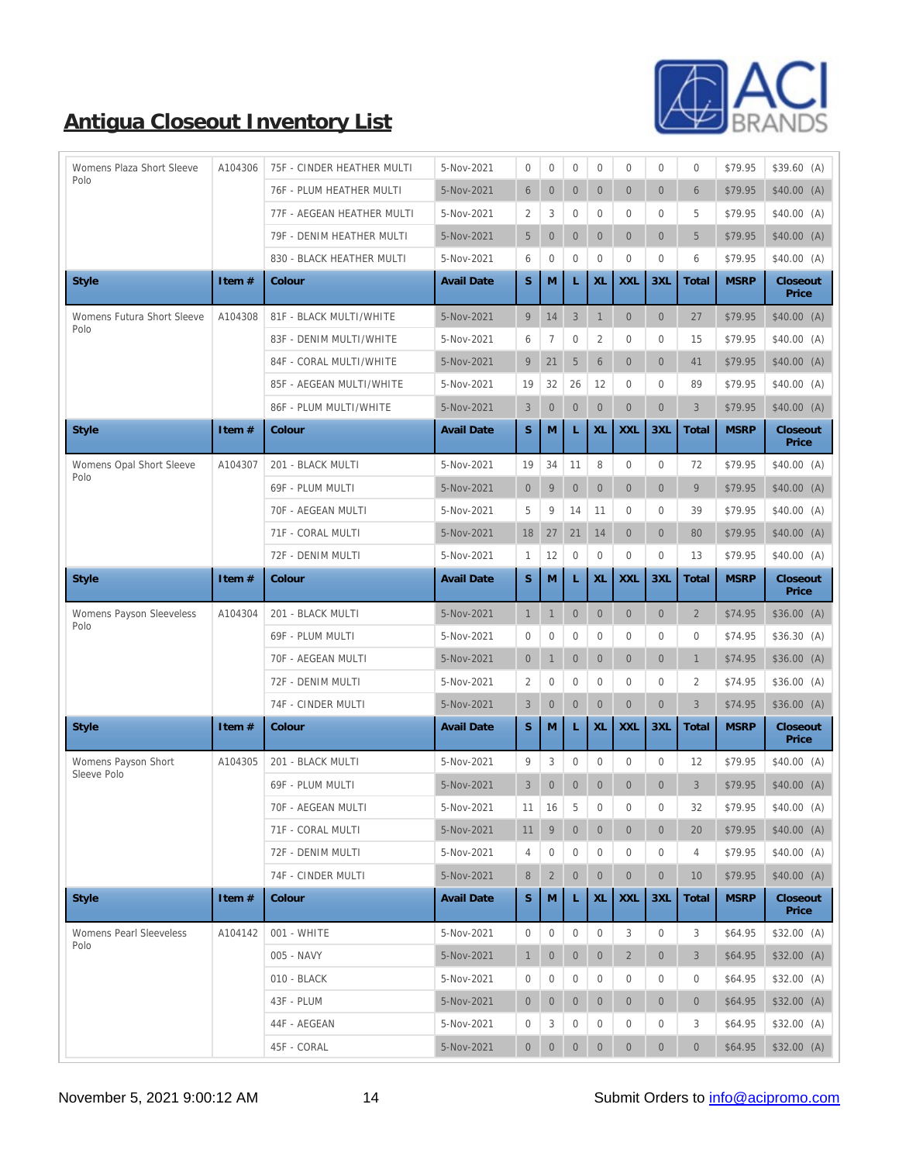

| Womens Plaza Short Sleeve        | A104306  | 75F - CINDER HEATHER MULTI | 5-Nov-2021        | $\bf{0}$         | $\bf{0}$         | $\bf{0}$         | $\bf{0}$         | $\boldsymbol{0}$ | $\boldsymbol{0}$ | $\bf{0}$         | \$79.95     | $$39.60$ (A)      |
|----------------------------------|----------|----------------------------|-------------------|------------------|------------------|------------------|------------------|------------------|------------------|------------------|-------------|-------------------|
| Polo                             |          | 76F - PLUM HEATHER MULTI   | 5-Nov-2021        | $\,6\,$          | $\mathbf{0}$     | $\mathbf{0}$     | $\mathbf{0}$     | $\overline{0}$   | $\overline{0}$   | 6                | \$79.95     | \$40.00(A)        |
|                                  |          | 77F - AEGEAN HEATHER MULTI | 5-Nov-2021        | $\boldsymbol{2}$ | 3                | $\mathbf{0}$     | $\bf{0}$         | $\overline{0}$   | $\overline{0}$   | 5                | \$79.95     | \$40.00(A)        |
|                                  |          | 79F - DENIM HEATHER MULTI  | 5-Nov-2021        | $5\phantom{.0}$  | $\boldsymbol{0}$ | $\mathbf{0}$     | $\mathbf{0}$     | $\mathbf{0}$     | $\overline{0}$   | $\overline{5}$   | \$79.95     | \$40.00(A)        |
|                                  |          | 830 - BLACK HEATHER MULTI  | 5-Nov-2021        | 6                | $\mathbf{0}$     | $\mathbf{0}$     | $\boldsymbol{0}$ | $\boldsymbol{0}$ | $\boldsymbol{0}$ | $\,6\,$          | \$79.95     | \$40.00(A)        |
| <b>Style</b>                     | Item#    | Colour                     | <b>Avail Date</b> | S                | M                |                  | XL               | <b>XXL</b>       | 3XL              | Total            | <b>MSRP</b> | Closeout<br>Price |
| Womens Futura Short Sleeve       | A104308  | 81F - BLACK MULTI/WHITE    | 5-Nov-2021        | 9                | 14               | $\mathbf{3}$     | $\mathbf{1}$     | $\mathbf{0}$     | $\mathbf{0}$     | 27               | \$79.95     | \$40.00(A)        |
| Polo                             |          | 83F - DENIM MULTI/WHITE    | 5-Nov-2021        | $6\phantom{.0}$  | $\boldsymbol{7}$ | $\mathbf{0}$     | $\boldsymbol{2}$ | $\overline{0}$   | 0                | 15               | \$79.95     | \$40.00(A)        |
|                                  |          | 84F - CORAL MULTI/WHITE    | 5-Nov-2021        | 9                | 21               | $\overline{5}$   | $6\phantom{.}$   | $\mathbf{0}$     | $\overline{0}$   | 41               | \$79.95     | \$40.00(A)        |
|                                  |          | 85F - AEGEAN MULTI/WHITE   | 5-Nov-2021        | 19               | 32               | 26               | 12               | $\overline{0}$   | $\overline{0}$   | 89               | \$79.95     | \$40.00 (A)       |
|                                  |          | 86F - PLUM MULTI/WHITE     | 5-Nov-2021        | $\mathbf{3}$     | $\mathbf{0}$     | $\mathbf{0}$     | $\mathbf{0}$     | $\mathbf{0}$     | $\overline{0}$   | 3                | \$79.95     | \$40.00(A)        |
| <b>Style</b>                     | Item #   | Colour                     | <b>Avail Date</b> | $\mathbf S$      | M                | L                | XL               | <b>XXL</b>       | 3XL              | Total            | <b>MSRP</b> | Closeout<br>Price |
| Womens Opal Short Sleeve<br>Polo | A104307  | 201 - BLACK MULTI          | 5-Nov-2021        | 19               | 34               | 11               | 8                | $\boldsymbol{0}$ | $\boldsymbol{0}$ | 72               | \$79.95     | \$40.00(A)        |
|                                  |          | 69F - PLUM MULTI           | 5-Nov-2021        | $\overline{0}$   | $\boldsymbol{9}$ | $\boldsymbol{0}$ | $\mathbf{0}$     | $\overline{0}$   | $\overline{0}$   | 9                | \$79.95     | \$40.00(A)        |
|                                  |          | 70F - AEGEAN MULTI         | 5-Nov-2021        | $\overline{5}$   | $9\,$            | 14               | 11               | $\boldsymbol{0}$ | $\overline{0}$   | 39               | \$79.95     | \$40.00(A)        |
|                                  |          | 71F - CORAL MULTI          | 5-Nov-2021        | 18               | 27               | 21               | 14               | $\overline{0}$   | $\overline{0}$   | 80               | \$79.95     | \$40.00(A)        |
|                                  |          | 72F - DENIM MULTI          | 5-Nov-2021        | 1                | 12               | $\boldsymbol{0}$ | $\boldsymbol{0}$ | $\boldsymbol{0}$ | $\boldsymbol{0}$ | 13               | \$79.95     | \$40.00 (A)       |
| <b>Style</b>                     | Item #   | Colour                     | <b>Avail Date</b> | $\mathbf S$      | M                | L                | XL               | <b>XXL</b>       | 3XL              | Total            | <b>MSRP</b> | Closeout<br>Price |
| Womens Payson Sleeveless         | A104304  | 201 - BLACK MULTI          | 5-Nov-2021        | $\mathbf{1}$     | $\mathbf{1}$     | $\boldsymbol{0}$ | $\mathbf{0}$     | $\overline{0}$   | $\overline{0}$   | $\sqrt{2}$       | \$74.95     | \$36.00(A)        |
| Polo                             |          | 69F - PLUM MULTI           | 5-Nov-2021        | $\boldsymbol{0}$ | $\mathbf{0}$     | $\mathbf{0}$     | $\mathbf{0}$     | $\overline{0}$   | $\overline{0}$   | $\mathbf{0}$     | \$74.95     | \$36.30(A)        |
|                                  |          | 70F - AEGEAN MULTI         | 5-Nov-2021        | $\overline{0}$   | $\mathbf{1}$     | $\mathbf{0}$     | $\mathbf{0}$     | $\overline{0}$   | $\overline{0}$   | $\mathbf{1}$     | \$74.95     | \$36.00(A)        |
|                                  |          | 72F - DENIM MULTI          | 5-Nov-2021        | 2                | $\mathbf{0}$     | $\mathbf{0}$     | $\bf{0}$         | $\bf{0}$         | 0                | $\boldsymbol{2}$ | \$74.95     | \$36.00(A)        |
|                                  |          | 74F - CINDER MULTI         |                   |                  | $\boldsymbol{0}$ | $\boldsymbol{0}$ | $\boldsymbol{0}$ | $\overline{0}$   | $\mathbf{0}$     |                  |             |                   |
| <b>Style</b>                     |          |                            | 5-Nov-2021        | $\mathbf{3}$     |                  |                  |                  |                  |                  | $\mathbf{3}$     | \$74.95     | \$36.00(A)        |
|                                  | Item #   | Colour                     | <b>Avail Date</b> | S                | M                | L                | XL               | <b>XXL</b>       | 3XL              | Total            | <b>MSRP</b> | Closeout<br>Price |
| Womens Payson Short              | A104305  | 201 - BLACK MULTI          | 5-Nov-2021        | 9                | 3                | $\boldsymbol{0}$ | $\mathbf{0}$     | $\overline{0}$   | $\overline{0}$   | 12               | \$79.95     | \$40.00(A)        |
| Sleeve Polo                      |          | 69F - PLUM MULTI           | 5-Nov-2021        | 3                | $\overline{0}$   | $\mathbf{0}$     | $\mathbf{0}$     | $\overline{0}$   | $\overline{0}$   | 3                | \$79.95     | \$40.00(A)        |
|                                  |          | 70F - AEGEAN MULTI         | 5-Nov-2021        | 11               | 16               | $\,$ 5 $\,$      | $\boldsymbol{0}$ | $\mathbf{0}$     | $\overline{0}$   | $32\,$           | \$79.95     | \$40.00 (A)       |
|                                  |          | 71F - CORAL MULTI          | 5-Nov-2021        | 11               | 9                | $\boldsymbol{0}$ | $\mathbf{0}$     | $\overline{0}$   | $\mathbf{0}$     | 20               | \$79.95     | \$40.00(A)        |
|                                  |          | 72F - DENIM MULTI          | 5-Nov-2021        | $\overline{4}$   | $\boldsymbol{0}$ | $\boldsymbol{0}$ | $\boldsymbol{0}$ | $\bf{0}$         | $\bf{0}$         | 4                | \$79.95     | \$40.00(A)        |
|                                  |          | 74F - CINDER MULTI         | 5-Nov-2021        | 8                | $\boldsymbol{2}$ | $\boldsymbol{0}$ | $\boldsymbol{0}$ | $\boldsymbol{0}$ | $\boldsymbol{0}$ | 10               | \$79.95     | \$40.00(A)        |
| <b>Style</b>                     | Item $#$ | Colour                     | <b>Avail Date</b> | $\mathbf S$      | M                | L                | XL               | <b>XXL</b>       | 3XL              | Total            | <b>MSRP</b> | Closeout<br>Price |
| <b>Womens Pearl Sleeveless</b>   | A104142  | 001 - WHITE                | 5-Nov-2021        | $\boldsymbol{0}$ | $\boldsymbol{0}$ | $\boldsymbol{0}$ | $\mathbf{0}$     | 3                | $\mathbf{0}$     | 3                | \$64.95     | \$32.00 (A)       |
| Polo                             |          | 005 - NAVY                 | 5-Nov-2021        | $\mathbf{1}$     | $\mathbf{0}$     | $\mathbf{0}$     | $\overline{0}$   | $\mathbf{2}$     | $\overline{0}$   | 3                | \$64.95     | $$32.00$ (A)      |
|                                  |          | 010 - BLACK                | 5-Nov-2021        | $\bf{0}$         | $\mathbf{0}$     | $\boldsymbol{0}$ | $\boldsymbol{0}$ | $\bf{0}$         | $\bf{0}$         | $\mathbf{0}$     | \$64.95     | $$32.00$ (A)      |
|                                  |          | 43F - PLUM                 | 5-Nov-2021        | $\overline{0}$   | $\mathbf{0}$     | $\mathbf{0}$     | $\overline{0}$   | $\overline{0}$   | $\overline{0}$   | $\mathbf{0}$     | \$64.95     | \$32.00(A)        |
|                                  |          | 44F - AEGEAN               | 5-Nov-2021        | 0                | 3                | $\bf{0}$         | $\boldsymbol{0}$ | 0                | 0                | 3                | \$64.95     | \$32.00(A)        |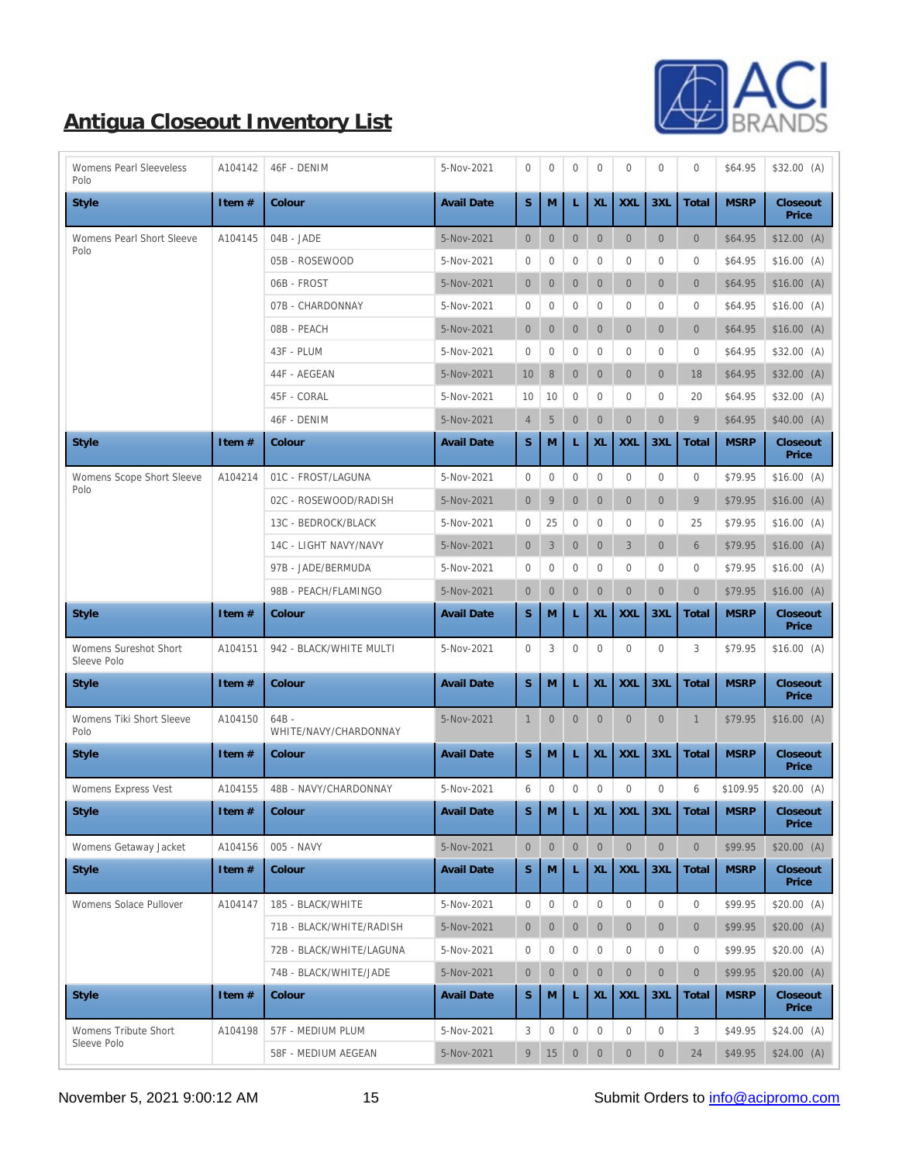

| <b>Womens Pearl Sleeveless</b><br>Polo      | A104142          | 46F - DENIM                      | 5-Nov-2021        | $\mathbf{0}$     | $\boldsymbol{0}$ | $\boldsymbol{0}$ | $\mathbf{0}$     | $\mathbf{0}$     | $\mathbf{0}$     | $\mathbf{0}$     | \$64.95                                                                            | \$32.00(A)        |
|---------------------------------------------|------------------|----------------------------------|-------------------|------------------|------------------|------------------|------------------|------------------|------------------|------------------|------------------------------------------------------------------------------------|-------------------|
| <b>Style</b>                                | Item#            | Colour                           | <b>Avail Date</b> | S                | M                | L                | XL               | <b>XXL</b>       | 3XL              | Total            | <b>MSRP</b>                                                                        | Closeout<br>Price |
| <b>Womens Pearl Short Sleeve</b>            | A104145          | 04B - JADE                       | 5-Nov-2021        | $\boldsymbol{0}$ | $\boldsymbol{0}$ | $\boldsymbol{0}$ | $\mathbf{0}$     | $\mathbf{0}$     | $\boldsymbol{0}$ | $\mathbf{0}$     | \$64.95                                                                            | $$12.00$ (A)      |
| Polo                                        |                  | 05B - ROSEWOOD                   | 5-Nov-2021        | $\bf{0}$         | $\boldsymbol{0}$ | $\boldsymbol{0}$ | $\boldsymbol{0}$ | $\mathbf{0}$     | $\bf{0}$         | $\bf{0}$         | \$64.95                                                                            | \$16.00(A)        |
|                                             |                  | 06B - FROST                      | 5-Nov-2021        | $\boldsymbol{0}$ | $\mathbf{0}$     | $\mathbf{0}$     | $\overline{0}$   | $\overline{0}$   | $\mathbf{0}$     | $\mathbf{0}$     | \$64.95                                                                            | \$16.00(A)        |
|                                             |                  | 07B - CHARDONNAY                 | 5-Nov-2021        | $\boldsymbol{0}$ | $\boldsymbol{0}$ | $\boldsymbol{0}$ | $\mathbf{0}$     | $\overline{0}$   | $\mathbf{0}$     | $\mathbf{0}$     | \$64.95                                                                            | \$16.00(A)        |
|                                             |                  | 08B - PEACH                      | 5-Nov-2021        | $\overline{0}$   | $\boldsymbol{0}$ | $\boldsymbol{0}$ | $\boldsymbol{0}$ | $\overline{0}$   | $\boldsymbol{0}$ | $\mathbf{0}$     | \$64.95                                                                            | \$16.00(A)        |
|                                             |                  | 43F - PLUM                       | 5-Nov-2021        | $\bf{0}$         | $\boldsymbol{0}$ | $\boldsymbol{0}$ | $\boldsymbol{0}$ | $\bf{0}$         | $\bf{0}$         | $\mathbf{0}$     | \$64.95                                                                            | \$32.00(A)        |
|                                             |                  | 44F - AEGEAN                     | 5-Nov-2021        | 10               | $\, 8$           | $\mathbf{0}$     | $\boldsymbol{0}$ | $\overline{0}$   | $\mathbf{0}$     | 18               | \$64.95                                                                            | \$32.00(A)        |
|                                             |                  | 45F - CORAL                      | 5-Nov-2021        | 10               | 10               | $\boldsymbol{0}$ | $\overline{0}$   | $\mathbf{0}$     | $\mathbf{0}$     | 20               | \$64.95                                                                            | \$32.00(A)        |
|                                             |                  | 46F - DENIM                      | 5-Nov-2021        | $\overline{4}$   | $\sqrt{5}$       | $\mathbf{0}$     | $\boldsymbol{0}$ | $\overline{0}$   | $\mathbf{0}$     | 9                | \$64.95                                                                            | \$40.00(A)        |
| <b>Style</b>                                | Item#            | Colour                           | <b>Avail Date</b> | $\mathbf S$      | M                | L                | XL               | <b>XXL</b>       | 3XL              | Total            | <b>MSRP</b>                                                                        | Closeout<br>Price |
| Womens Scope Short Sleeve                   | A104214          | 01C - FROST/LAGUNA               | 5-Nov-2021        | $\mathbf{0}$     | $\boldsymbol{0}$ | $\boldsymbol{0}$ | $\boldsymbol{0}$ | $\mathbf{0}$     | $\boldsymbol{0}$ | $\bf{0}$         | \$79.95                                                                            | \$16.00(A)        |
| Polo                                        |                  | 02C - ROSEWOOD/RADISH            | 5-Nov-2021        | $\mathbf{0}$     | $\overline{9}$   | $\boldsymbol{0}$ | $\overline{0}$   | $\overline{0}$   | $\mathbf{0}$     | 9                | \$79.95                                                                            | \$16.00(A)        |
|                                             |                  | 13C - BEDROCK/BLACK              | 5-Nov-2021        | $\bf{0}$         | 25               | $\boldsymbol{0}$ | $\boldsymbol{0}$ | 0                | $\bf{0}$         | 25               | \$79.95                                                                            | \$16.00(A)        |
|                                             |                  | 14C - LIGHT NAVY/NAVY            | 5-Nov-2021        | $\overline{0}$   | 3                | $\mathbf{0}$     | $\overline{0}$   | 3                | $\mathbf{0}$     | $6\phantom{1}6$  | \$79.95                                                                            | \$16.00(A)        |
|                                             |                  | 97B - JADE/BERMUDA               | 5-Nov-2021        | $\bf{0}$         | $\boldsymbol{0}$ | $\boldsymbol{0}$ | $\boldsymbol{0}$ | $\mathbf{0}$     | $\bf{0}$         | $\mathbf{0}$     | \$79.95                                                                            | \$16.00(A)        |
|                                             |                  | 98B - PEACH/FLAMINGO             | 5-Nov-2021        | $\boldsymbol{0}$ | $\boldsymbol{0}$ | $\boldsymbol{0}$ | $\mathbf{0}$     | $\overline{0}$   | $\mathbf{0}$     | $\mathbf{0}$     | \$79.95                                                                            | \$16.00(A)        |
| <b>Style</b>                                | Item#            | Colour                           | <b>Avail Date</b> | $\mathbf S$      | M                | L                | XL               | <b>XXL</b>       | 3XL              | Total            | <b>MSRP</b>                                                                        | Closeout<br>Price |
| <b>Womens Sureshot Short</b><br>Sleeve Polo | A104151          | 942 - BLACK/WHITE MULTI          | 5-Nov-2021        | $\mathbf{0}$     | 3                | $\boldsymbol{0}$ | $\bf{0}$         | $\mathbf{0}$     | $\mathbf{0}$     | 3                | \$79.95                                                                            | \$16.00(A)        |
| <b>Style</b>                                | Item#            | Colour                           | <b>Avail Date</b> | $\mathbf S$      | M                | L                | XL               | <b>XXL</b>       | 3XL              | Total            | <b>MSRP</b>                                                                        | Closeout<br>Price |
| Womens Tiki Short Sleeve<br>Polo            | A104150          | $64B -$<br>WHITE/NAVY/CHARDONNAY | 5-Nov-2021        | $\mathbf{1}$     | $\mathbf{0}$     | $\mathbf{0}$     | $\boldsymbol{0}$ | $\mathbf{0}$     | $\mathbf{0}$     | 1                | \$79.95                                                                            | \$16.00(A)        |
| <b>Style</b>                                | Item #           | Colour                           | <b>Avail Date</b> | S                | M                | L                | XL               | <b>XXL</b>       | 3XL              | Total            | <b>MSRP</b>                                                                        | Closeout<br>Price |
| Womens Express Vest                         | A104155          | 48B - NAVY/CHARDONNAY            | 5-Nov-2021        | 6                | $\boldsymbol{0}$ | $\boldsymbol{0}$ | $\mathbf{0}$     | $\mathbf{0}$     | $\mathbf{0}$     | 6                | \$109.95                                                                           | \$20.00(A)        |
| Style                                       | Item $\#$ Colour |                                  | Avail Date        |                  |                  |                  |                  |                  |                  |                  | $\Big  S \Big  M \Big  L \Big  XL \Big  XL \Big  3XL \Big  Total \Big  MSRP \Big $ | Closeout<br>Price |
| Womens Getaway Jacket                       | A104156          | 005 - NAVY                       | 5-Nov-2021        | $\mathbf{0}$     | $\boldsymbol{0}$ | $\mathbf{0}$     | $\mathbf{0}$     | $\mathbf{0}$     | $\mathbf{0}$     | $\mathbf{0}$     | \$99.95                                                                            | \$20.00(A)        |
| <b>Style</b>                                | Item #           | Colour                           | <b>Avail Date</b> | $\mathbf S$      | M                | L                | XL               | <b>XXL</b>       | 3XL              | Total            | <b>MSRP</b>                                                                        | Closeout<br>Price |
| Womens Solace Pullover                      | A104147          | 185 - BLACK/WHITE                | 5-Nov-2021        | $\mathbf{0}$     | $\boldsymbol{0}$ | $\boldsymbol{0}$ | $\mathbf{0}$     | $\mathbf{0}$     | $\boldsymbol{0}$ | $\boldsymbol{0}$ | \$99.95                                                                            | \$20.00(A)        |
|                                             |                  | 71B - BLACK/WHITE/RADISH         | 5-Nov-2021        | $\boldsymbol{0}$ | $\boldsymbol{0}$ | $\mathbf{0}$     | $\mathbf{0}$     | $\overline{0}$   | $\overline{0}$   | $\mathbf{0}$     | \$99.95                                                                            | \$20.00(A)        |
|                                             |                  | 72B - BLACK/WHITE/LAGUNA         | 5-Nov-2021        | $\mathbf{0}$     | $\boldsymbol{0}$ | $\boldsymbol{0}$ | $\bf{0}$         | $\bf{0}$         | $\bf{0}$         | $\mathbf{0}$     | \$99.95                                                                            | \$20.00(A)        |
|                                             |                  | 74B - BLACK/WHITE/JADE           | 5-Nov-2021        | $\boldsymbol{0}$ | $\boldsymbol{0}$ | $\mathbf{0}$     | $\boldsymbol{0}$ | $\overline{0}$   | $\boldsymbol{0}$ | $\mathbf{0}$     | \$99.95                                                                            | \$20.00(A)        |
| <b>Style</b>                                | Item #           | Colour                           | <b>Avail Date</b> | $\mathbf S$      | M                | L                | XL               | <b>XXL</b>       | 3XL              | Total            | <b>MSRP</b>                                                                        | Closeout<br>Price |
| <b>Womens Tribute Short</b>                 | A104198          | 57F - MEDIUM PLUM                | 5-Nov-2021        | 3                | $\boldsymbol{0}$ | $\boldsymbol{0}$ | $\mathbf{0}$     | $\boldsymbol{0}$ | $\boldsymbol{0}$ | 3                | \$49.95                                                                            | \$24.00(A)        |
| Sleeve Polo                                 |                  | 58F - MEDIUM AEGEAN              | 5-Nov-2021        | 9                | 15               | $\mathbf{0}$     | $\mathbf{0}$     | $\mathbf{0}$     | $\boldsymbol{0}$ | 24               | \$49.95                                                                            | $$24.00$ (A)      |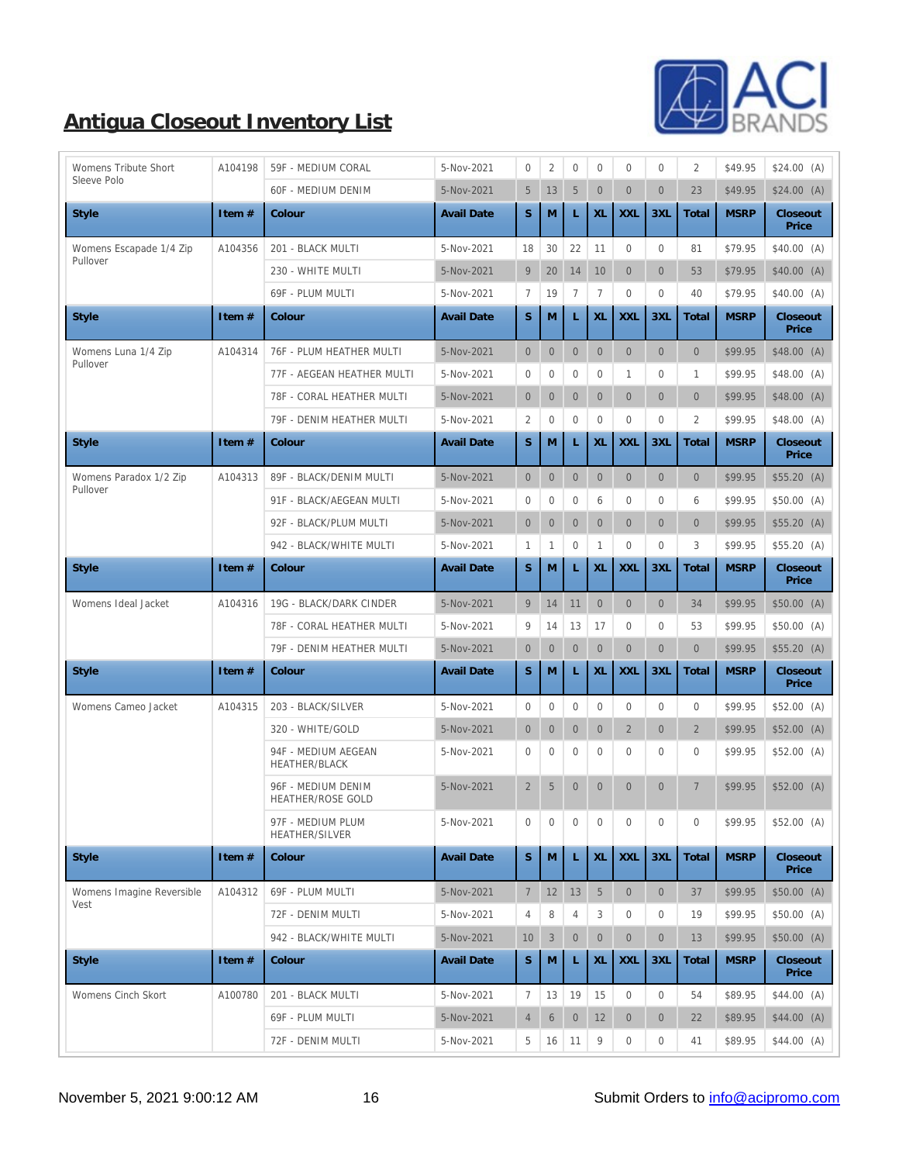

| <b>Womens Tribute Short</b> | A104198  | 59F - MEDIUM CORAL                             | 5-Nov-2021        | $\bf{0}$         | $\boldsymbol{2}$ | $\boldsymbol{0}$ | $\bf{0}$         | $\mathbf{0}$     | $\mathbf{0}$ | $\overline{c}$ | \$49.95     | \$24.00(A)        |
|-----------------------------|----------|------------------------------------------------|-------------------|------------------|------------------|------------------|------------------|------------------|--------------|----------------|-------------|-------------------|
| Sleeve Polo                 |          | <b>60F - MEDIUM DENIM</b>                      | 5-Nov-2021        | $5\overline{)}$  | 13               | $\mathbf 5$      | $\mathbf{0}$     | $\overline{0}$   | $\mathbf{0}$ | 23             | \$49.95     | $$24.00$ (A)      |
| <b>Style</b>                | Item #   | Colour                                         | <b>Avail Date</b> | S                | M                | L                | XL               | <b>XXL</b>       | 3XL          | Total          | <b>MSRP</b> | Closeout<br>Price |
| Womens Escapade 1/4 Zip     | A104356  | 201 - BLACK MULTI                              | 5-Nov-2021        | 18               | 30               | 22               | 11               | $\boldsymbol{0}$ | $\mathbf{0}$ | 81             | \$79.95     | \$40.00(A)        |
| Pullover                    |          | 230 - WHITE MULTI                              | 5-Nov-2021        | 9                | 20               | 14               | 10               | $\overline{0}$   | $\mathbf{0}$ | 53             | \$79.95     | \$40.00(A)        |
|                             |          | 69F - PLUM MULTI                               | 5-Nov-2021        | 7                | 19               | $\boldsymbol{7}$ | $\tau$           | $\bf{0}$         | $\bf{0}$     | 40             | \$79.95     | \$40.00(A)        |
| <b>Style</b>                | Item #   | Colour                                         | <b>Avail Date</b> | ${\bf S}$        | M                | L                | XL               | <b>XXL</b>       | 3XL          | Total          | <b>MSRP</b> | Closeout<br>Price |
| Womens Luna 1/4 Zip         | A104314  | 76F - PLUM HEATHER MULTI                       | 5-Nov-2021        | $\mathbf{0}$     | $\mathbf{0}$     | $\mathbf{0}$     | $\mathbf{0}$     | $\mathbf{0}$     | $\mathbf{0}$ | $\mathbf{0}$   | \$99.95     | \$48.00(A)        |
| Pullover                    |          | 77F - AEGEAN HEATHER MULTI                     | 5-Nov-2021        | $\boldsymbol{0}$ | $\mathbf{0}$     | $\boldsymbol{0}$ | $\mathbf{0}$     | 1                | $\bf{0}$     | $\mathbf{1}$   | \$99.95     | \$48.00(A)        |
|                             |          | 78F - CORAL HEATHER MULTI                      | 5-Nov-2021        | $\overline{0}$   | $\mathbf{0}$     | $\boldsymbol{0}$ | $\mathbf{0}$     | $\overline{0}$   | $\mathbf{0}$ | $\overline{0}$ | \$99.95     | \$48.00(A)        |
|                             |          | 79F - DENIM HEATHER MULTI                      | 5-Nov-2021        | $\boldsymbol{2}$ | $\mathbf{0}$     | $\mathbf{0}$     | $\overline{0}$   | $\boldsymbol{0}$ | $\mathbf{0}$ | $\overline{2}$ | \$99.95     | \$48.00(A)        |
| <b>Style</b>                | Item $#$ | Colour                                         | <b>Avail Date</b> | S                | M                | L                | XL               | <b>XXL</b>       | 3XL          | Total          | <b>MSRP</b> | Closeout<br>Price |
| Womens Paradox 1/2 Zip      | A104313  | 89F - BLACK/DENIM MULTI                        | 5-Nov-2021        | $\overline{0}$   | $\mathbf{0}$     | $\mathbf{0}$     | $\mathbf{0}$     | $\overline{0}$   | $\mathbf{0}$ | $\overline{0}$ | \$99.95     | \$55.20(A)        |
| Pullover                    |          | 91F - BLACK/AEGEAN MULTI                       | 5-Nov-2021        | $\bf{0}$         | $\mathbf{0}$     | $\boldsymbol{0}$ | 6                | $\overline{0}$   | $\bf{0}$     | 6              | \$99.95     | \$50.00 (A)       |
|                             |          | 92F - BLACK/PLUM MULTI                         | 5-Nov-2021        | $\overline{0}$   | $\mathbf{0}$     | $\boldsymbol{0}$ | $\boldsymbol{0}$ | $\overline{0}$   | $\mathbf{0}$ | $\overline{0}$ | \$99.95     | \$55.20(A)        |
|                             |          | 942 - BLACK/WHITE MULTI                        | 5-Nov-2021        | $\mathbf{1}$     | 1                | $\boldsymbol{0}$ | $\mathbf{1}$     | $\bf{0}$         | $\mathbf{0}$ | 3              | \$99.95     | \$55.20(A)        |
| <b>Style</b>                | Item #   | Colour                                         | <b>Avail Date</b> | $\mathbf S$      | M                | L                | $\mathbf{XL}$    | <b>XXL</b>       | 3XL          | Total          | <b>MSRP</b> | Closeout<br>Price |
| Womens Ideal Jacket         | A104316  | 19G - BLACK/DARK CINDER                        | 5-Nov-2021        | 9                | 14               | 11               | $\mathbf{0}$     | $\overline{0}$   | $\mathbf{0}$ | 34             | \$99.95     | \$50.00(A)        |
|                             |          | 78F - CORAL HEATHER MULTI                      | 5-Nov-2021        | 9                | 14               | 13               | 17               | $\bf{0}$         | $\bf{0}$     | 53             | \$99.95     | \$50.00(A)        |
|                             |          | 79F - DENIM HEATHER MULTI                      | 5-Nov-2021        | $\overline{0}$   | $\mathbf{0}$     | $\mathbf{0}$     | $\mathbf{0}$     | $\overline{0}$   | $\mathbf{0}$ | $\mathbf{0}$   | \$99.95     | \$55.20(A)        |
| <b>Style</b>                | Item #   | Colour                                         | <b>Avail Date</b> | S                | M                | L                | XL               | <b>XXL</b>       | 3XL          | Total          | <b>MSRP</b> | Closeout<br>Price |
| Womens Cameo Jacket         | A104315  | 203 - BLACK/SILVER                             | 5-Nov-2021        | $\boldsymbol{0}$ | $\mathbf{0}$     | $\mathbf{0}$     | $\overline{0}$   | $\boldsymbol{0}$ | $\mathbf{0}$ | $\mathbf{0}$   | \$99.95     | \$52.00(A)        |
|                             |          | 320 - WHITE/GOLD                               | 5-Nov-2021        | $\overline{0}$   | $\overline{0}$   | $\mathbf{0}$     | $\mathbf{0}$     | $\sqrt{2}$       | $\mathbf{0}$ | $\overline{2}$ | \$99.95     | \$52.00(A)        |
|                             |          | 94F - MEDIUM AEGEAN<br><b>HEATHER/BLACK</b>    | 5-Nov-2021        | $\bf{0}$         | $\bf{0}$         | $\boldsymbol{0}$ | $\boldsymbol{0}$ | $\bf{0}$         | $\bf{0}$     | $\bf{0}$       | \$99.95     | \$52.00(A)        |
|                             |          | 96F - MEDIUM DENIM<br><b>HEATHER/ROSE GOLD</b> | 5-Nov-2021        | $\mathbf{2}$     | $\sqrt{5}$       | $\mathbf{0}$     | $\boldsymbol{0}$ | $\mathbf{0}$     | $\mathbf{0}$ | $\,7$          | \$99.95     | \$52.00(A)        |
|                             |          | 97F - MEDIUM PLUM<br><b>HEATHER/SILVER</b>     | 5-Nov-2021        | $\boldsymbol{0}$ | $\bf{0}$         | 0                | $\boldsymbol{0}$ | 0                | $\bf{0}$     | $\bf{0}$       | \$99.95     | \$52.00(A)        |
| <b>Style</b>                | Item #   | Colour                                         | <b>Avail Date</b> | $\mathbf S$      | M                | L                | XL               | <b>XXL</b>       | 3XL          | Total          | <b>MSRP</b> | Closeout<br>Price |
| Womens Imagine Reversible   | A104312  | 69F - PLUM MULTI                               | 5-Nov-2021        | $7\phantom{.0}$  | 12               | 13               | $\overline{5}$   | $\overline{0}$   | $\mathbf{0}$ | 37             | \$99.95     | \$50.00(A)        |
| Vest                        |          | 72F - DENIM MULTI                              | 5-Nov-2021        | $\overline{4}$   | 8                | 4                | 3                | $\mathbf{0}$     | $\bf{0}$     | 19             | \$99.95     | \$50.00(A)        |
|                             |          | 942 - BLACK/WHITE MULTI                        | 5-Nov-2021        | 10               | $\sqrt{3}$       | $\boldsymbol{0}$ | $\boldsymbol{0}$ | $\overline{0}$   | $\mathbf{0}$ | 13             | \$99.95     | \$50.00(A)        |
| Style                       | Item #   | Colour                                         | <b>Avail Date</b> | $\mathbf S$      | M                | L                | XL               | <b>XXL</b>       | 3XL          | Total          | <b>MSRP</b> | Closeout<br>Price |
| Womens Cinch Skort          | A100780  | 201 - BLACK MULTI                              | 5-Nov-2021        | $\tau$           | 13               | 19               | 15               | $\boldsymbol{0}$ | $\mathbf{0}$ | 54             | \$89.95     | $$44.00$ (A)      |
|                             |          | 69F - PLUM MULTI                               | 5-Nov-2021        | $\overline{4}$   | $\,6\,$          | $\mathbf{0}$     | 12               | $\mathbf{0}$     | $\mathbf{0}$ | 22             | \$89.95     | $$44.00$ (A)      |
|                             |          | 72F - DENIM MULTI                              | 5-Nov-2021        | 5                | 16               | 11               | 9                | $\boldsymbol{0}$ | $\bf{0}$     | 41             | \$89.95     | \$44.00(A)        |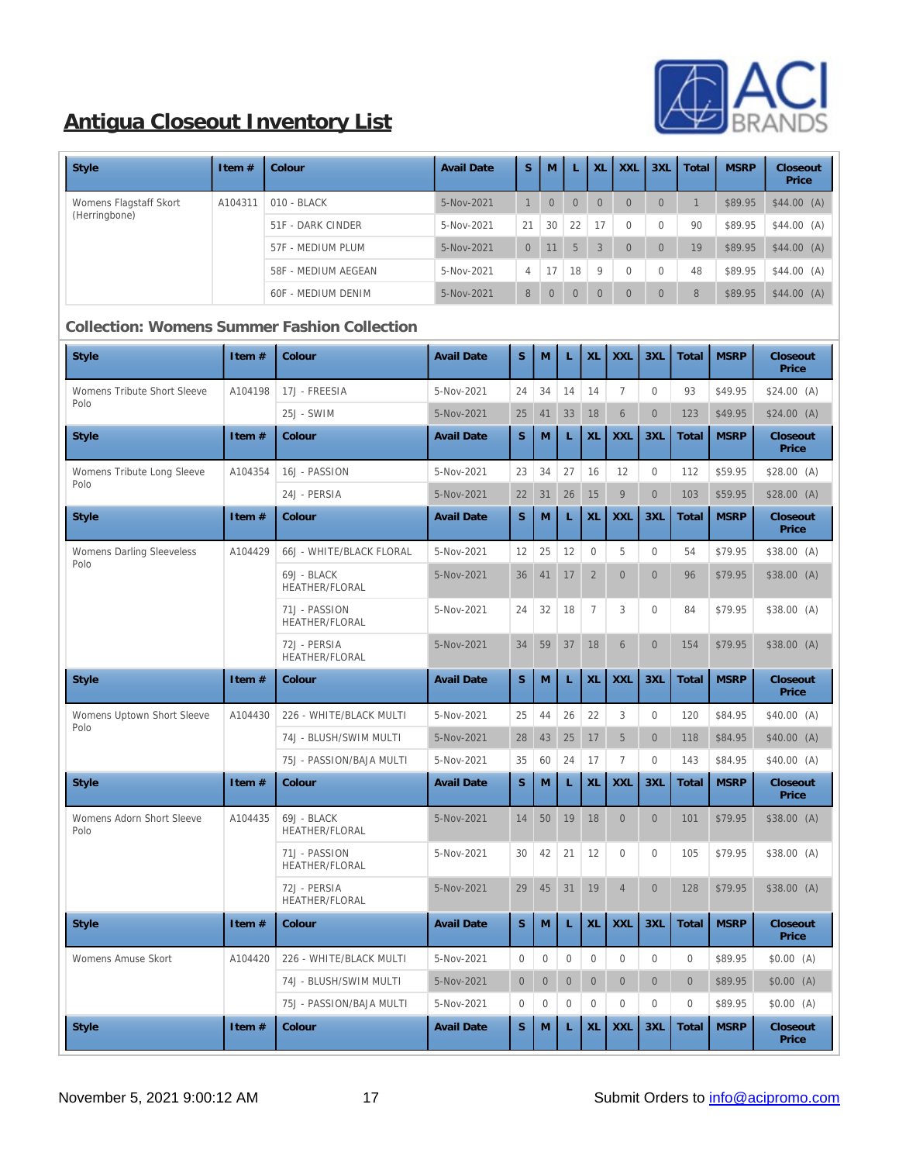

| Style                  | Item $#$ | Colour               | <b>Avail Date</b> | S.             | M              |                | XL             | <b>XXL</b>     | 3XL            | Total | <b>MSRP</b> | Closeout<br>Price |
|------------------------|----------|----------------------|-------------------|----------------|----------------|----------------|----------------|----------------|----------------|-------|-------------|-------------------|
| Womens Flagstaff Skort | A104311  | $010 - \text{BLACK}$ | 5-Nov-2021        |                | $\overline{0}$ | $\overline{0}$ | $\overline{0}$ | $\overline{0}$ | $\overline{0}$ |       | \$89.95     | $$44.00$ (A)      |
| (Herringbone)          |          | 51F - DARK CINDER    | $5-Nov-2021$      | 21             | 30             | 22             | 17             | $\Omega$       | $\Omega$       | 90    | \$89.95     | \$44.00(A)        |
|                        |          | 57F - MEDIUM PLUM    | 5-Nov-2021        | $\Omega$       | 11             | $\sqrt{5}$     | 3              | $\overline{0}$ | $\left($       | 19    | \$89.95     | $$44.00$ (A)      |
|                        |          | 58F - MEDIUM AEGEAN  | 5-Nov-2021        | $\overline{4}$ | 17             | 18             | 9              | $\mathbf{0}$   | $\Omega$       | 48    | \$89.95     | \$44.00(A)        |
|                        |          | 60F - MEDIUM DENIM   | $5-Nov-2021$      | 8              | $\Omega$       | $\overline{0}$ | $\overline{0}$ | $\overline{0}$ | $\overline{0}$ | 8     | \$89.95     | $$44.00$ (A)      |

### **Collection: Womens Summer Fashion Collection**

| <b>Style</b>                        | Item#   | Colour                                | <b>Avail Date</b> | S                | M            | L            | XL             | <b>XXL</b>       | 3XL            | Total        | <b>MSRP</b> | Closeout<br>Price |
|-------------------------------------|---------|---------------------------------------|-------------------|------------------|--------------|--------------|----------------|------------------|----------------|--------------|-------------|-------------------|
| Womens Tribute Short Sleeve<br>Polo | A104198 | 17J - FREESIA                         | 5-Nov-2021        | 24               | 34           | 14           | 14             | $\tau$           | $\mathbf{0}$   | 93           | \$49.95     | \$24.00(A)        |
|                                     |         | 25J - SWIM                            | 5-Nov-2021        | 25               | 41           | 33           | 18             | $\,6\,$          | $\mathbf{0}$   | 123          | \$49.95     | \$24.00(A)        |
| <b>Style</b>                        | Item #  | Colour                                | <b>Avail Date</b> | S                | M            | L            | XL             | <b>XXL</b>       | 3XL            | Total        | <b>MSRP</b> | Closeout<br>Price |
| Womens Tribute Long Sleeve          | A104354 | 16J - PASSION                         | 5-Nov-2021        | 23               | 34           | 27           | 16             | 12               | $\mathbf{0}$   | 112          | \$59.95     | \$28.00(A)        |
| Polo                                |         | 24J - PERSIA                          | 5-Nov-2021        | 22               | 31           | 26           | 15             | $\boldsymbol{9}$ | $\overline{0}$ | 103          | \$59.95     | \$28.00(A)        |
| <b>Style</b>                        | Item#   | Colour                                | <b>Avail Date</b> | $\mathbf S$      | M            | L            | XL             | <b>XXL</b>       | 3XL            | Total        | <b>MSRP</b> | Closeout<br>Price |
| <b>Womens Darling Sleeveless</b>    | A104429 | 66J - WHITE/BLACK FLORAL              | 5-Nov-2021        | 12               | $25\,$       | 12           | $\mathbf 0$    | $5\,$            | $\Omega$       | 54           | \$79.95     | \$38.00 (A)       |
| Polo                                |         | 69J - BLACK<br>HEATHER/FLORAL         | 5-Nov-2021        | 36               | 41           | 17           | $\sqrt{2}$     | $\mathbf{0}$     | $\overline{0}$ | 96           | \$79.95     | \$38.00(A)        |
|                                     |         | 71J - PASSION<br>HEATHER/FLORAL       | 5-Nov-2021        | 24               | 32           | 18           | $\tau$         | 3                | $\mathbf{0}$   | 84           | \$79.95     | \$38.00 (A)       |
|                                     |         | 72J - PERSIA<br><b>HEATHER/FLORAL</b> | 5-Nov-2021        | 34               | 59           | 37           | 18             | $6\phantom{.}$   | $\mathbf{0}$   | 154          | \$79.95     | \$38.00(A)        |
| <b>Style</b>                        | Item#   | Colour                                | <b>Avail Date</b> | S                | M            | $\mathbf L$  | XL             | <b>XXL</b>       | 3XL            | Total        | <b>MSRP</b> | Closeout<br>Price |
| Womens Uptown Short Sleeve          | A104430 | 226 - WHITE/BLACK MULTI               | 5-Nov-2021        | 25               | 44           | 26           | 22             | 3                | $\mathbf{0}$   | 120          | \$84.95     | \$40.00(A)        |
| Polo                                |         | 74J - BLUSH/SWIM MULTI                | 5-Nov-2021        | 28               | 43           | 25           | 17             | $\mathbf 5$      | $\mathbf{0}$   | 118          | \$84.95     | \$40.00 (A)       |
|                                     |         | 75J - PASSION/BAJA MULTI              | 5-Nov-2021        | 35               | 60           | 24           | 17             | $\boldsymbol{7}$ | $\mathbf{0}$   | 143          | \$84.95     | \$40.00(A)        |
| <b>Style</b>                        | Item#   | Colour                                | <b>Avail Date</b> | S                | M            | L            | XL             | <b>XXL</b>       | 3XL            | Total        | <b>MSRP</b> | Closeout<br>Price |
| Womens Adorn Short Sleeve<br>Polo   | A104435 | 69J - BLACK<br><b>HEATHER/FLORAL</b>  | 5-Nov-2021        | 14               | 50           | 19           | 18             | $\mathbf{0}$     | $\mathbf{0}$   | 101          | \$79.95     | \$38.00(A)        |
|                                     |         | 71J - PASSION<br>HEATHER/FLORAL       | 5-Nov-2021        | 30               | 42           | 21           | 12             | $\mathbf{0}$     | $\mathbf{0}$   | 105          | \$79.95     | \$38.00 (A)       |
|                                     |         | 72J - PERSIA<br>HEATHER/FLORAL        | 5-Nov-2021        | 29               | 45           | 31           | 19             | $\overline{4}$   | $\overline{0}$ | 128          | \$79.95     | \$38.00(A)        |
| <b>Style</b>                        | Item#   | Colour                                | <b>Avail Date</b> | S                | M            | L            | XL             | <b>XXL</b>       | 3XL            | Total        | <b>MSRP</b> | Closeout<br>Price |
| <b>Womens Amuse Skort</b>           | A104420 | 226 - WHITE/BLACK MULTI               | 5-Nov-2021        | $\mathbf{0}$     | $\bf{0}$     | $\mathbf{0}$ | $\mathbf{0}$   | $\boldsymbol{0}$ | $\Omega$       | $\mathbf{0}$ | \$89.95     | \$0.00(A)         |
|                                     |         | 74J - BLUSH/SWIM MULTI                | 5-Nov-2021        | $\boldsymbol{0}$ | $\mathbf{0}$ | $\mathbf{0}$ | $\overline{0}$ | $\mathbf{0}$     | $\overline{0}$ | $\mathbf{0}$ | \$89.95     | \$0.00(A)         |
|                                     |         | 75J - PASSION/BAJA MULTI              | 5-Nov-2021        | $\boldsymbol{0}$ | $\bf{0}$     | $\mathbf{0}$ | $\mathbf{0}$   | $\mathbf{0}$     | $\mathbf{0}$   | $\mathbf{0}$ | \$89.95     | \$0.00(A)         |
| <b>Style</b>                        | Item#   | Colour                                | <b>Avail Date</b> | S                | M            | L            | XL             | <b>XXL</b>       | 3XL            | Total        | <b>MSRP</b> | Closeout<br>Price |